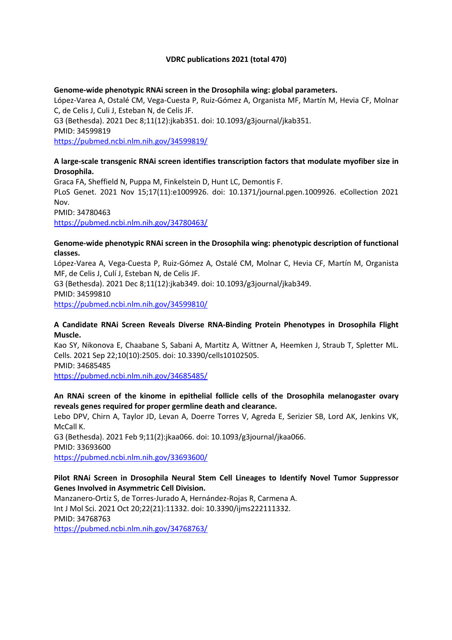#### **VDRC publications 2021 (total 470)**

#### **Genome-wide phenotypic RNAi screen in the Drosophila wing: global parameters.**

López-Varea A, Ostalé CM, Vega-Cuesta P, Ruiz-Gómez A, Organista MF, Martín M, Hevia CF, Molnar C, de Celis J, Culi J, Esteban N, de Celis JF. G3 (Bethesda). 2021 Dec 8;11(12):jkab351. doi: 10.1093/g3journal/jkab351. PMID: 34599819 https://pubmed.ncbi.nlm.nih.gov/34599819/

#### **A large-scale transgenic RNAi screen identifies transcription factors that modulate myofiber size in Drosophila.**

Graca FA, Sheffield N, Puppa M, Finkelstein D, Hunt LC, Demontis F. PLoS Genet. 2021 Nov 15;17(11):e1009926. doi: 10.1371/journal.pgen.1009926. eCollection 2021 Nov. PMID: 34780463 https://pubmed.ncbi.nlm.nih.gov/34780463/

#### **Genome-wide phenotypic RNAi screen in the Drosophila wing: phenotypic description of functional classes.**

López-Varea A, Vega-Cuesta P, Ruiz-Gómez A, Ostalé CM, Molnar C, Hevia CF, Martín M, Organista MF, de Celis J, Culí J, Esteban N, de Celis JF.

G3 (Bethesda). 2021 Dec 8;11(12):jkab349. doi: 10.1093/g3journal/jkab349. PMID: 34599810 https://pubmed.ncbi.nlm.nih.gov/34599810/

#### **A Candidate RNAi Screen Reveals Diverse RNA-Binding Protein Phenotypes in Drosophila Flight Muscle.**

Kao SY, Nikonova E, Chaabane S, Sabani A, Martitz A, Wittner A, Heemken J, Straub T, Spletter ML. Cells. 2021 Sep 22;10(10):2505. doi: 10.3390/cells10102505. PMID: 34685485 https://pubmed.ncbi.nlm.nih.gov/34685485/

### **An RNAi screen of the kinome in epithelial follicle cells of the Drosophila melanogaster ovary reveals genes required for proper germline death and clearance.**

Lebo DPV, Chirn A, Taylor JD, Levan A, Doerre Torres V, Agreda E, Serizier SB, Lord AK, Jenkins VK, McCall K.

G3 (Bethesda). 2021 Feb 9;11(2):jkaa066. doi: 10.1093/g3journal/jkaa066. PMID: 33693600 https://pubmed.ncbi.nlm.nih.gov/33693600/

#### **Pilot RNAi Screen in Drosophila Neural Stem Cell Lineages to Identify Novel Tumor Suppressor Genes Involved in Asymmetric Cell Division.**

Manzanero-Ortiz S, de Torres-Jurado A, Hernández-Rojas R, Carmena A. Int J Mol Sci. 2021 Oct 20;22(21):11332. doi: 10.3390/ijms222111332. PMID: 34768763

https://pubmed.ncbi.nlm.nih.gov/34768763/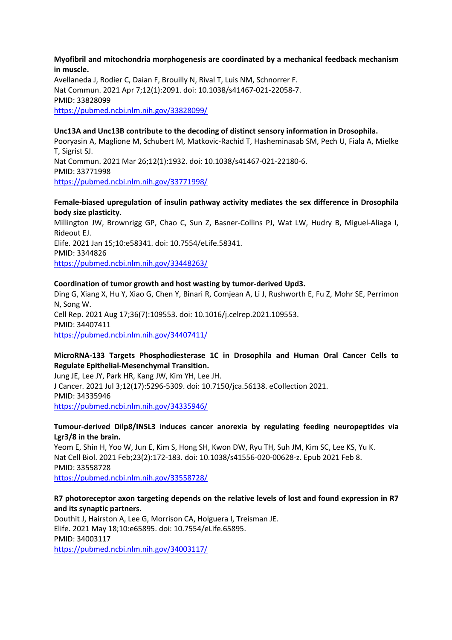#### **Myofibril and mitochondria morphogenesis are coordinated by a mechanical feedback mechanism in muscle.**

Avellaneda J, Rodier C, Daian F, Brouilly N, Rival T, Luis NM, Schnorrer F. Nat Commun. 2021 Apr 7;12(1):2091. doi: 10.1038/s41467-021-22058-7. PMID: 33828099 https://pubmed.ncbi.nlm.nih.gov/33828099/

#### **Unc13A and Unc13B contribute to the decoding of distinct sensory information in Drosophila.**

Pooryasin A, Maglione M, Schubert M, Matkovic-Rachid T, Hasheminasab SM, Pech U, Fiala A, Mielke T, Sigrist SJ. Nat Commun. 2021 Mar 26;12(1):1932. doi: 10.1038/s41467-021-22180-6. PMID: 33771998 https://pubmed.ncbi.nlm.nih.gov/33771998/

#### **Female-biased upregulation of insulin pathway activity mediates the sex difference in Drosophila body size plasticity.**

Millington JW, Brownrigg GP, Chao C, Sun Z, Basner-Collins PJ, Wat LW, Hudry B, Miguel-Aliaga I, Rideout EJ. Elife. 2021 Jan 15;10:e58341. doi: 10.7554/eLife.58341. PMID: 3344826

https://pubmed.ncbi.nlm.nih.gov/33448263/

#### **Coordination of tumor growth and host wasting by tumor-derived Upd3.**

Ding G, Xiang X, Hu Y, Xiao G, Chen Y, Binari R, Comjean A, Li J, Rushworth E, Fu Z, Mohr SE, Perrimon N, Song W. Cell Rep. 2021 Aug 17;36(7):109553. doi: 10.1016/j.celrep.2021.109553. PMID: 34407411 https://pubmed.ncbi.nlm.nih.gov/34407411/

### **MicroRNA-133 Targets Phosphodiesterase 1C in Drosophila and Human Oral Cancer Cells to Regulate Epithelial-Mesenchymal Transition.**

Jung JE, Lee JY, Park HR, Kang JW, Kim YH, Lee JH. J Cancer. 2021 Jul 3;12(17):5296-5309. doi: 10.7150/jca.56138. eCollection 2021. PMID: 34335946 https://pubmed.ncbi.nlm.nih.gov/34335946/

#### **Tumour-derived Dilp8/INSL3 induces cancer anorexia by regulating feeding neuropeptides via Lgr3/8 in the brain.**

Yeom E, Shin H, Yoo W, Jun E, Kim S, Hong SH, Kwon DW, Ryu TH, Suh JM, Kim SC, Lee KS, Yu K. Nat Cell Biol. 2021 Feb;23(2):172-183. doi: 10.1038/s41556-020-00628-z. Epub 2021 Feb 8. PMID: 33558728

https://pubmed.ncbi.nlm.nih.gov/33558728/

#### **R7 photoreceptor axon targeting depends on the relative levels of lost and found expression in R7 and its synaptic partners.**

Douthit J, Hairston A, Lee G, Morrison CA, Holguera I, Treisman JE. Elife. 2021 May 18;10:e65895. doi: 10.7554/eLife.65895. PMID: 34003117 https://pubmed.ncbi.nlm.nih.gov/34003117/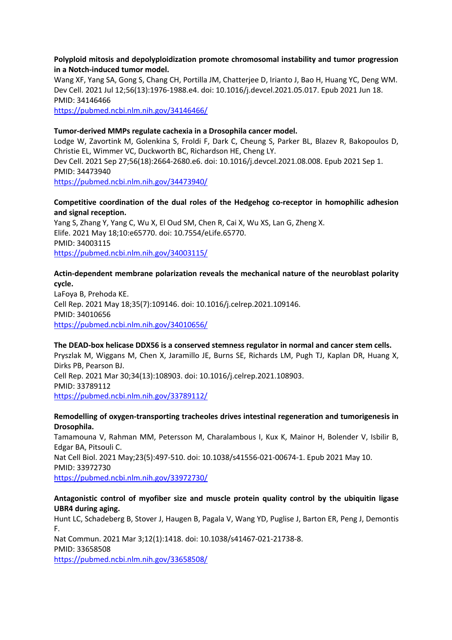#### **Polyploid mitosis and depolyploidization promote chromosomal instability and tumor progression in a Notch-induced tumor model.**

Wang XF, Yang SA, Gong S, Chang CH, Portilla JM, Chatterjee D, Irianto J, Bao H, Huang YC, Deng WM. Dev Cell. 2021 Jul 12;56(13):1976-1988.e4. doi: 10.1016/j.devcel.2021.05.017. Epub 2021 Jun 18. PMID: 34146466

https://pubmed.ncbi.nlm.nih.gov/34146466/

#### **Tumor-derived MMPs regulate cachexia in a Drosophila cancer model.**

Lodge W, Zavortink M, Golenkina S, Froldi F, Dark C, Cheung S, Parker BL, Blazev R, Bakopoulos D, Christie EL, Wimmer VC, Duckworth BC, Richardson HE, Cheng LY. Dev Cell. 2021 Sep 27;56(18):2664-2680.e6. doi: 10.1016/j.devcel.2021.08.008. Epub 2021 Sep 1. PMID: 34473940 https://pubmed.ncbi.nlm.nih.gov/34473940/

#### **Competitive coordination of the dual roles of the Hedgehog co-receptor in homophilic adhesion and signal reception.**

Yang S, Zhang Y, Yang C, Wu X, El Oud SM, Chen R, Cai X, Wu XS, Lan G, Zheng X. Elife. 2021 May 18;10:e65770. doi: 10.7554/eLife.65770. PMID: 34003115 https://pubmed.ncbi.nlm.nih.gov/34003115/

#### **Actin-dependent membrane polarization reveals the mechanical nature of the neuroblast polarity cycle.**

LaFoya B, Prehoda KE. Cell Rep. 2021 May 18;35(7):109146. doi: 10.1016/j.celrep.2021.109146. PMID: 34010656 https://pubmed.ncbi.nlm.nih.gov/34010656/

#### **The DEAD-box helicase DDX56 is a conserved stemness regulator in normal and cancer stem cells.**

Pryszlak M, Wiggans M, Chen X, Jaramillo JE, Burns SE, Richards LM, Pugh TJ, Kaplan DR, Huang X, Dirks PB, Pearson BJ. Cell Rep. 2021 Mar 30;34(13):108903. doi: 10.1016/j.celrep.2021.108903. PMID: 33789112 https://pubmed.ncbi.nlm.nih.gov/33789112/

**Remodelling of oxygen-transporting tracheoles drives intestinal regeneration and tumorigenesis in Drosophila.**

Tamamouna V, Rahman MM, Petersson M, Charalambous I, Kux K, Mainor H, Bolender V, Isbilir B, Edgar BA, Pitsouli C. Nat Cell Biol. 2021 May;23(5):497-510. doi: 10.1038/s41556-021-00674-1. Epub 2021 May 10. PMID: 33972730

https://pubmed.ncbi.nlm.nih.gov/33972730/

### **Antagonistic control of myofiber size and muscle protein quality control by the ubiquitin ligase UBR4 during aging.**

Hunt LC, Schadeberg B, Stover J, Haugen B, Pagala V, Wang YD, Puglise J, Barton ER, Peng J, Demontis F.

Nat Commun. 2021 Mar 3;12(1):1418. doi: 10.1038/s41467-021-21738-8. PMID: 33658508

https://pubmed.ncbi.nlm.nih.gov/33658508/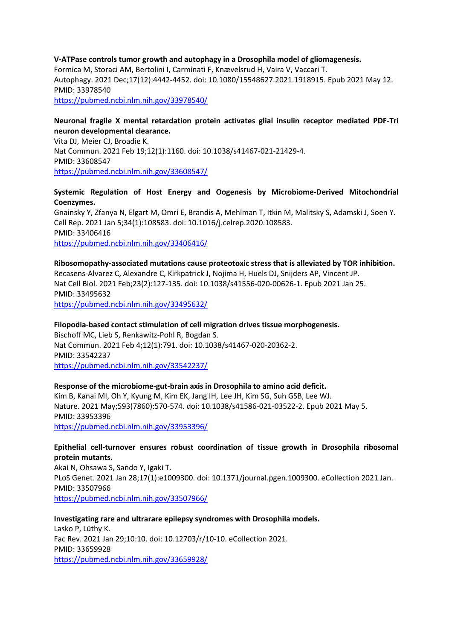# **V-ATPase controls tumor growth and autophagy in a Drosophila model of gliomagenesis.**

Formica M, Storaci AM, Bertolini I, Carminati F, Knævelsrud H, Vaira V, Vaccari T. Autophagy. 2021 Dec;17(12):4442-4452. doi: 10.1080/15548627.2021.1918915. Epub 2021 May 12. PMID: 33978540 https://pubmed.ncbi.nlm.nih.gov/33978540/

#### **Neuronal fragile X mental retardation protein activates glial insulin receptor mediated PDF-Tri neuron developmental clearance.**

Vita DJ, Meier CJ, Broadie K. Nat Commun. 2021 Feb 19;12(1):1160. doi: 10.1038/s41467-021-21429-4. PMID: 33608547 https://pubmed.ncbi.nlm.nih.gov/33608547/

#### **Systemic Regulation of Host Energy and Oogenesis by Microbiome-Derived Mitochondrial Coenzymes.**

Gnainsky Y, Zfanya N, Elgart M, Omri E, Brandis A, Mehlman T, Itkin M, Malitsky S, Adamski J, Soen Y. Cell Rep. 2021 Jan 5;34(1):108583. doi: 10.1016/j.celrep.2020.108583. PMID: 33406416 https://pubmed.ncbi.nlm.nih.gov/33406416/

#### **Ribosomopathy-associated mutations cause proteotoxic stress that is alleviated by TOR inhibition.**

Recasens-Alvarez C, Alexandre C, Kirkpatrick J, Nojima H, Huels DJ, Snijders AP, Vincent JP. Nat Cell Biol. 2021 Feb;23(2):127-135. doi: 10.1038/s41556-020-00626-1. Epub 2021 Jan 25. PMID: 33495632

https://pubmed.ncbi.nlm.nih.gov/33495632/

#### **Filopodia-based contact stimulation of cell migration drives tissue morphogenesis.**

Bischoff MC, Lieb S, Renkawitz-Pohl R, Bogdan S. Nat Commun. 2021 Feb 4;12(1):791. doi: 10.1038/s41467-020-20362-2. PMID: 33542237 https://pubmed.ncbi.nlm.nih.gov/33542237/

#### **Response of the microbiome-gut-brain axis in Drosophila to amino acid deficit.**

Kim B, Kanai MI, Oh Y, Kyung M, Kim EK, Jang IH, Lee JH, Kim SG, Suh GSB, Lee WJ. Nature. 2021 May;593(7860):570-574. doi: 10.1038/s41586-021-03522-2. Epub 2021 May 5. PMID: 33953396 https://pubmed.ncbi.nlm.nih.gov/33953396/

#### **Epithelial cell-turnover ensures robust coordination of tissue growth in Drosophila ribosomal protein mutants.**

Akai N, Ohsawa S, Sando Y, Igaki T. PLoS Genet. 2021 Jan 28;17(1):e1009300. doi: 10.1371/journal.pgen.1009300. eCollection 2021 Jan. PMID: 33507966 https://pubmed.ncbi.nlm.nih.gov/33507966/

**Investigating rare and ultrarare epilepsy syndromes with Drosophila models.** Lasko P, Lüthy K. Fac Rev. 2021 Jan 29;10:10. doi: 10.12703/r/10-10. eCollection 2021. PMID: 33659928 https://pubmed.ncbi.nlm.nih.gov/33659928/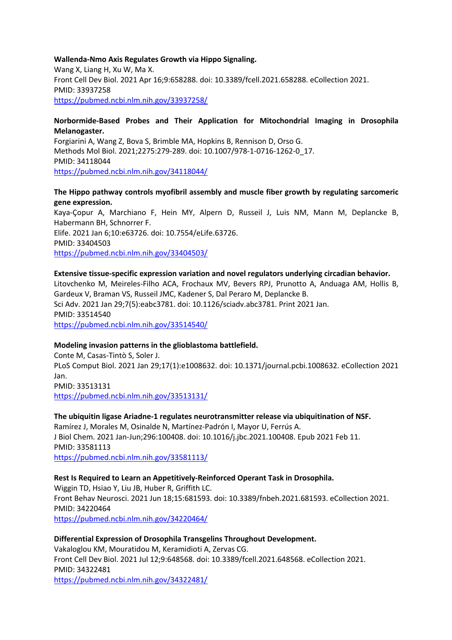#### **Wallenda-Nmo Axis Regulates Growth via Hippo Signaling.**

Wang X, Liang H, Xu W, Ma X. Front Cell Dev Biol. 2021 Apr 16;9:658288. doi: 10.3389/fcell.2021.658288. eCollection 2021. PMID: 33937258 https://pubmed.ncbi.nlm.nih.gov/33937258/

#### **Norbormide-Based Probes and Their Application for Mitochondrial Imaging in Drosophila Melanogaster.**

Forgiarini A, Wang Z, Bova S, Brimble MA, Hopkins B, Rennison D, Orso G. Methods Mol Biol. 2021;2275:279-289. doi: 10.1007/978-1-0716-1262-0\_17. PMID: 34118044 https://pubmed.ncbi.nlm.nih.gov/34118044/

#### **The Hippo pathway controls myofibril assembly and muscle fiber growth by regulating sarcomeric gene expression.**

Kaya-Çopur A, Marchiano F, Hein MY, Alpern D, Russeil J, Luis NM, Mann M, Deplancke B, Habermann BH, Schnorrer F. Elife. 2021 Jan 6;10:e63726. doi: 10.7554/eLife.63726. PMID: 33404503 https://pubmed.ncbi.nlm.nih.gov/33404503/

#### **Extensive tissue-specific expression variation and novel regulators underlying circadian behavior.**

Litovchenko M, Meireles-Filho ACA, Frochaux MV, Bevers RPJ, Prunotto A, Anduaga AM, Hollis B, Gardeux V, Braman VS, Russeil JMC, Kadener S, Dal Peraro M, Deplancke B. Sci Adv. 2021 Jan 29;7(5):eabc3781. doi: 10.1126/sciadv.abc3781. Print 2021 Jan. PMID: 33514540 https://pubmed.ncbi.nlm.nih.gov/33514540/

#### **Modeling invasion patterns in the glioblastoma battlefield.**

Conte M, Casas-Tintò S, Soler J. PLoS Comput Biol. 2021 Jan 29;17(1):e1008632. doi: 10.1371/journal.pcbi.1008632. eCollection 2021 Jan. PMID: 33513131 https://pubmed.ncbi.nlm.nih.gov/33513131/

**The ubiquitin ligase Ariadne-1 regulates neurotransmitter release via ubiquitination of NSF.** Ramírez J, Morales M, Osinalde N, Martínez-Padrón I, Mayor U, Ferrús A. J Biol Chem. 2021 Jan-Jun;296:100408. doi: 10.1016/j.jbc.2021.100408. Epub 2021 Feb 11. PMID: 33581113 https://pubmed.ncbi.nlm.nih.gov/33581113/

### **Rest Is Required to Learn an Appetitively-Reinforced Operant Task in Drosophila.**

Wiggin TD, Hsiao Y, Liu JB, Huber R, Griffith LC. Front Behav Neurosci. 2021 Jun 18;15:681593. doi: 10.3389/fnbeh.2021.681593. eCollection 2021. PMID: 34220464 https://pubmed.ncbi.nlm.nih.gov/34220464/

#### **Differential Expression of Drosophila Transgelins Throughout Development.**

Vakaloglou KM, Mouratidou M, Keramidioti A, Zervas CG. Front Cell Dev Biol. 2021 Jul 12;9:648568. doi: 10.3389/fcell.2021.648568. eCollection 2021. PMID: 34322481

https://pubmed.ncbi.nlm.nih.gov/34322481/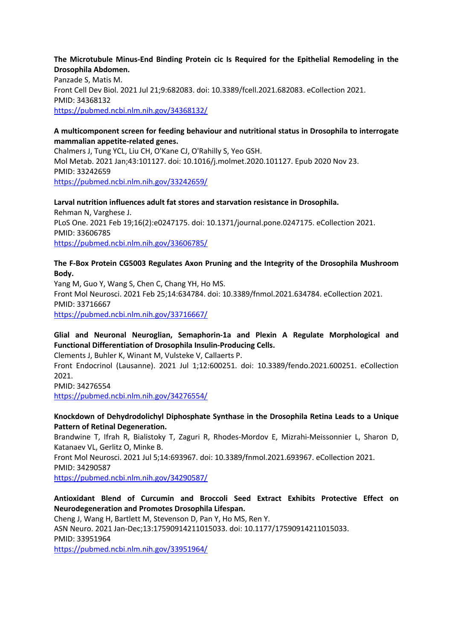#### **The Microtubule Minus-End Binding Protein cic Is Required for the Epithelial Remodeling in the Drosophila Abdomen.**

Panzade S, Matis M. Front Cell Dev Biol. 2021 Jul 21;9:682083. doi: 10.3389/fcell.2021.682083. eCollection 2021. PMID: 34368132 https://pubmed.ncbi.nlm.nih.gov/34368132/

#### **A multicomponent screen for feeding behaviour and nutritional status in Drosophila to interrogate mammalian appetite-related genes.**

Chalmers J, Tung YCL, Liu CH, O'Kane CJ, O'Rahilly S, Yeo GSH. Mol Metab. 2021 Jan;43:101127. doi: 10.1016/j.molmet.2020.101127. Epub 2020 Nov 23. PMID: 33242659 https://pubmed.ncbi.nlm.nih.gov/33242659/

**Larval nutrition influences adult fat stores and starvation resistance in Drosophila.** Rehman N, Varghese J. PLoS One. 2021 Feb 19;16(2):e0247175. doi: 10.1371/journal.pone.0247175. eCollection 2021. PMID: 33606785 https://pubmed.ncbi.nlm.nih.gov/33606785/

#### **The F-Box Protein CG5003 Regulates Axon Pruning and the Integrity of the Drosophila Mushroom Body.**

Yang M, Guo Y, Wang S, Chen C, Chang YH, Ho MS. Front Mol Neurosci. 2021 Feb 25;14:634784. doi: 10.3389/fnmol.2021.634784. eCollection 2021. PMID: 33716667

https://pubmed.ncbi.nlm.nih.gov/33716667/

# **Glial and Neuronal Neuroglian, Semaphorin-1a and Plexin A Regulate Morphological and Functional Differentiation of Drosophila Insulin-Producing Cells.**

Clements J, Buhler K, Winant M, Vulsteke V, Callaerts P. Front Endocrinol (Lausanne). 2021 Jul 1;12:600251. doi: 10.3389/fendo.2021.600251. eCollection 2021.

PMID: 34276554

https://pubmed.ncbi.nlm.nih.gov/34276554/

### **Knockdown of Dehydrodolichyl Diphosphate Synthase in the Drosophila Retina Leads to a Unique Pattern of Retinal Degeneration.**

Brandwine T, Ifrah R, Bialistoky T, Zaguri R, Rhodes-Mordov E, Mizrahi-Meissonnier L, Sharon D, Katanaev VL, Gerlitz O, Minke B.

Front Mol Neurosci. 2021 Jul 5;14:693967. doi: 10.3389/fnmol.2021.693967. eCollection 2021. PMID: 34290587

https://pubmed.ncbi.nlm.nih.gov/34290587/

### **Antioxidant Blend of Curcumin and Broccoli Seed Extract Exhibits Protective Effect on Neurodegeneration and Promotes Drosophila Lifespan.**

Cheng J, Wang H, Bartlett M, Stevenson D, Pan Y, Ho MS, Ren Y. ASN Neuro. 2021 Jan-Dec;13:17590914211015033. doi: 10.1177/17590914211015033. PMID: 33951964

https://pubmed.ncbi.nlm.nih.gov/33951964/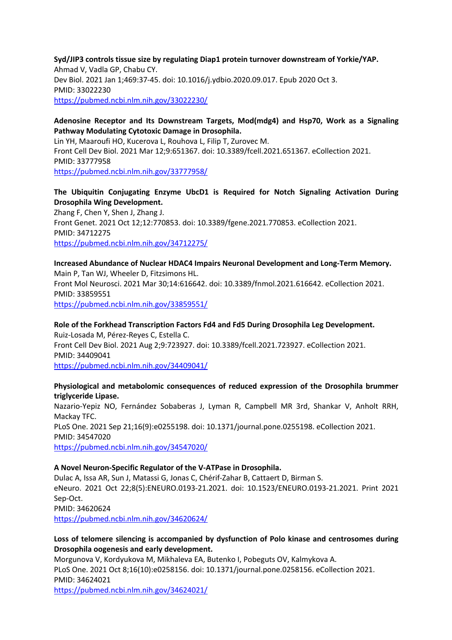**Syd/JIP3 controls tissue size by regulating Diap1 protein turnover downstream of Yorkie/YAP.** Ahmad V, Vadla GP, Chabu CY. Dev Biol. 2021 Jan 1;469:37-45. doi: 10.1016/j.ydbio.2020.09.017. Epub 2020 Oct 3. PMID: 33022230 https://pubmed.ncbi.nlm.nih.gov/33022230/

#### **Adenosine Receptor and Its Downstream Targets, Mod(mdg4) and Hsp70, Work as a Signaling Pathway Modulating Cytotoxic Damage in Drosophila.**

Lin YH, Maaroufi HO, Kucerova L, Rouhova L, Filip T, Zurovec M. Front Cell Dev Biol. 2021 Mar 12;9:651367. doi: 10.3389/fcell.2021.651367. eCollection 2021. PMID: 33777958 https://pubmed.ncbi.nlm.nih.gov/33777958/

### **The Ubiquitin Conjugating Enzyme UbcD1 is Required for Notch Signaling Activation During Drosophila Wing Development.**

Zhang F, Chen Y, Shen J, Zhang J. Front Genet. 2021 Oct 12;12:770853. doi: 10.3389/fgene.2021.770853. eCollection 2021. PMID: 34712275 https://pubmed.ncbi.nlm.nih.gov/34712275/

# **Increased Abundance of Nuclear HDAC4 Impairs Neuronal Development and Long-Term Memory.** Main P, Tan WJ, Wheeler D, Fitzsimons HL.

Front Mol Neurosci. 2021 Mar 30;14:616642. doi: 10.3389/fnmol.2021.616642. eCollection 2021. PMID: 33859551 https://pubmed.ncbi.nlm.nih.gov/33859551/

# **Role of the Forkhead Transcription Factors Fd4 and Fd5 During Drosophila Leg Development.** Ruiz-Losada M, Pérez-Reyes C, Estella C. Front Cell Dev Biol. 2021 Aug 2;9:723927. doi: 10.3389/fcell.2021.723927. eCollection 2021. PMID: 34409041

https://pubmed.ncbi.nlm.nih.gov/34409041/

### **Physiological and metabolomic consequences of reduced expression of the Drosophila brummer triglyceride Lipase.**

Nazario-Yepiz NO, Fernández Sobaberas J, Lyman R, Campbell MR 3rd, Shankar V, Anholt RRH, Mackay TFC. PLoS One. 2021 Sep 21;16(9):e0255198. doi: 10.1371/journal.pone.0255198. eCollection 2021. PMID: 34547020 https://pubmed.ncbi.nlm.nih.gov/34547020/

### **A Novel Neuron-Specific Regulator of the V-ATPase in Drosophila.**

Dulac A, Issa AR, Sun J, Matassi G, Jonas C, Chérif-Zahar B, Cattaert D, Birman S. eNeuro. 2021 Oct 22;8(5):ENEURO.0193-21.2021. doi: 10.1523/ENEURO.0193-21.2021. Print 2021 Sep-Oct. PMID: 34620624 https://pubmed.ncbi.nlm.nih.gov/34620624/

# **Loss of telomere silencing is accompanied by dysfunction of Polo kinase and centrosomes during Drosophila oogenesis and early development.**

Morgunova V, Kordyukova M, Mikhaleva EA, Butenko I, Pobeguts OV, Kalmykova A. PLoS One. 2021 Oct 8;16(10):e0258156. doi: 10.1371/journal.pone.0258156. eCollection 2021. PMID: 34624021 https://pubmed.ncbi.nlm.nih.gov/34624021/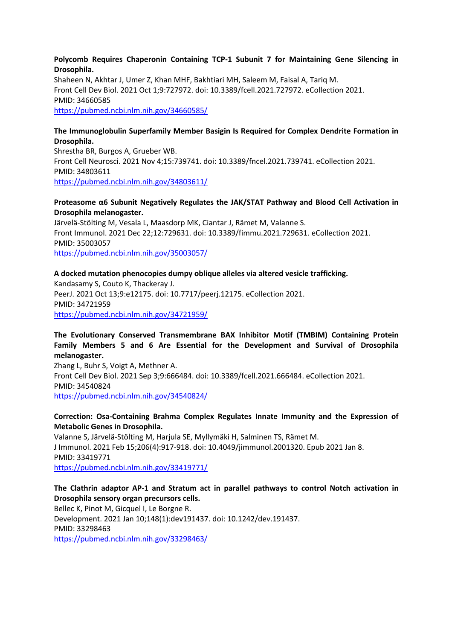#### **Polycomb Requires Chaperonin Containing TCP-1 Subunit 7 for Maintaining Gene Silencing in Drosophila.**

Shaheen N, Akhtar J, Umer Z, Khan MHF, Bakhtiari MH, Saleem M, Faisal A, Tariq M. Front Cell Dev Biol. 2021 Oct 1;9:727972. doi: 10.3389/fcell.2021.727972. eCollection 2021. PMID: 34660585 https://pubmed.ncbi.nlm.nih.gov/34660585/

#### **The Immunoglobulin Superfamily Member Basigin Is Required for Complex Dendrite Formation in Drosophila.**

Shrestha BR, Burgos A, Grueber WB. Front Cell Neurosci. 2021 Nov 4;15:739741. doi: 10.3389/fncel.2021.739741. eCollection 2021. PMID: 34803611 https://pubmed.ncbi.nlm.nih.gov/34803611/

#### **Proteasome α6 Subunit Negatively Regulates the JAK/STAT Pathway and Blood Cell Activation in Drosophila melanogaster.**

Järvelä-Stölting M, Vesala L, Maasdorp MK, Ciantar J, Rämet M, Valanne S. Front Immunol. 2021 Dec 22;12:729631. doi: 10.3389/fimmu.2021.729631. eCollection 2021. PMID: 35003057 https://pubmed.ncbi.nlm.nih.gov/35003057/

#### **A docked mutation phenocopies dumpy oblique alleles via altered vesicle trafficking.**

Kandasamy S, Couto K, Thackeray J. PeerJ. 2021 Oct 13;9:e12175. doi: 10.7717/peerj.12175. eCollection 2021. PMID: 34721959 https://pubmed.ncbi.nlm.nih.gov/34721959/

### **The Evolutionary Conserved Transmembrane BAX Inhibitor Motif (TMBIM) Containing Protein Family Members 5 and 6 Are Essential for the Development and Survival of Drosophila melanogaster.**

Zhang L, Buhr S, Voigt A, Methner A. Front Cell Dev Biol. 2021 Sep 3;9:666484. doi: 10.3389/fcell.2021.666484. eCollection 2021. PMID: 34540824 https://pubmed.ncbi.nlm.nih.gov/34540824/

#### **Correction: Osa-Containing Brahma Complex Regulates Innate Immunity and the Expression of Metabolic Genes in Drosophila.**

Valanne S, Järvelä-Stölting M, Harjula SE, Myllymäki H, Salminen TS, Rämet M. J Immunol. 2021 Feb 15;206(4):917-918. doi: 10.4049/jimmunol.2001320. Epub 2021 Jan 8. PMID: 33419771 https://pubmed.ncbi.nlm.nih.gov/33419771/

### **The Clathrin adaptor AP-1 and Stratum act in parallel pathways to control Notch activation in Drosophila sensory organ precursors cells.**

Bellec K, Pinot M, Gicquel I, Le Borgne R. Development. 2021 Jan 10;148(1):dev191437. doi: 10.1242/dev.191437. PMID: 33298463 https://pubmed.ncbi.nlm.nih.gov/33298463/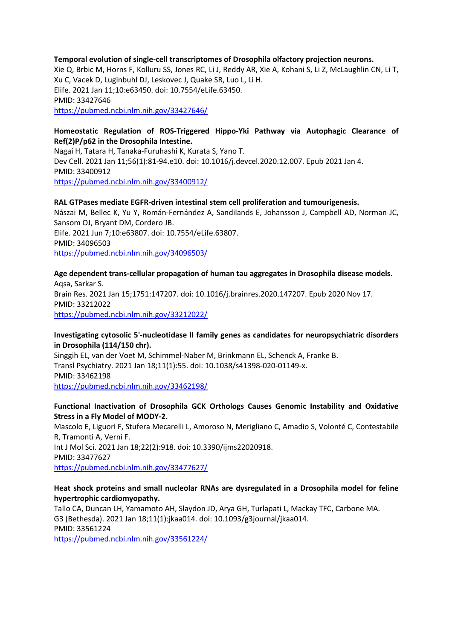#### **Temporal evolution of single-cell transcriptomes of Drosophila olfactory projection neurons.**

Xie Q, Brbic M, Horns F, Kolluru SS, Jones RC, Li J, Reddy AR, Xie A, Kohani S, Li Z, McLaughlin CN, Li T, Xu C, Vacek D, Luginbuhl DJ, Leskovec J, Quake SR, Luo L, Li H. Elife. 2021 Jan 11;10:e63450. doi: 10.7554/eLife.63450. PMID: 33427646 https://pubmed.ncbi.nlm.nih.gov/33427646/

#### **Homeostatic Regulation of ROS-Triggered Hippo-Yki Pathway via Autophagic Clearance of Ref(2)P/p62 in the Drosophila Intestine.**

Nagai H, Tatara H, Tanaka-Furuhashi K, Kurata S, Yano T. Dev Cell. 2021 Jan 11;56(1):81-94.e10. doi: 10.1016/j.devcel.2020.12.007. Epub 2021 Jan 4. PMID: 33400912 https://pubmed.ncbi.nlm.nih.gov/33400912/

#### **RAL GTPases mediate EGFR-driven intestinal stem cell proliferation and tumourigenesis.**

Nászai M, Bellec K, Yu Y, Román-Fernández A, Sandilands E, Johansson J, Campbell AD, Norman JC, Sansom OJ, Bryant DM, Cordero JB. Elife. 2021 Jun 7;10:e63807. doi: 10.7554/eLife.63807. PMID: 34096503 https://pubmed.ncbi.nlm.nih.gov/34096503/

**Age dependent trans-cellular propagation of human tau aggregates in Drosophila disease models.** Aqsa, Sarkar S. Brain Res. 2021 Jan 15;1751:147207. doi: 10.1016/j.brainres.2020.147207. Epub 2020 Nov 17. PMID: 33212022 https://pubmed.ncbi.nlm.nih.gov/33212022/

#### **Investigating cytosolic 5'-nucleotidase II family genes as candidates for neuropsychiatric disorders in Drosophila (114/150 chr).**

Singgih EL, van der Voet M, Schimmel-Naber M, Brinkmann EL, Schenck A, Franke B. Transl Psychiatry. 2021 Jan 18;11(1):55. doi: 10.1038/s41398-020-01149-x. PMID: 33462198 https://pubmed.ncbi.nlm.nih.gov/33462198/

#### **Functional Inactivation of Drosophila GCK Orthologs Causes Genomic Instability and Oxidative Stress in a Fly Model of MODY-2.**

Mascolo E, Liguori F, Stufera Mecarelli L, Amoroso N, Merigliano C, Amadio S, Volonté C, Contestabile R, Tramonti A, Vernì F. Int J Mol Sci. 2021 Jan 18;22(2):918. doi: 10.3390/ijms22020918. PMID: 33477627 https://pubmed.ncbi.nlm.nih.gov/33477627/

#### **Heat shock proteins and small nucleolar RNAs are dysregulated in a Drosophila model for feline hypertrophic cardiomyopathy.**

Tallo CA, Duncan LH, Yamamoto AH, Slaydon JD, Arya GH, Turlapati L, Mackay TFC, Carbone MA. G3 (Bethesda). 2021 Jan 18;11(1):jkaa014. doi: 10.1093/g3journal/jkaa014. PMID: 33561224 https://pubmed.ncbi.nlm.nih.gov/33561224/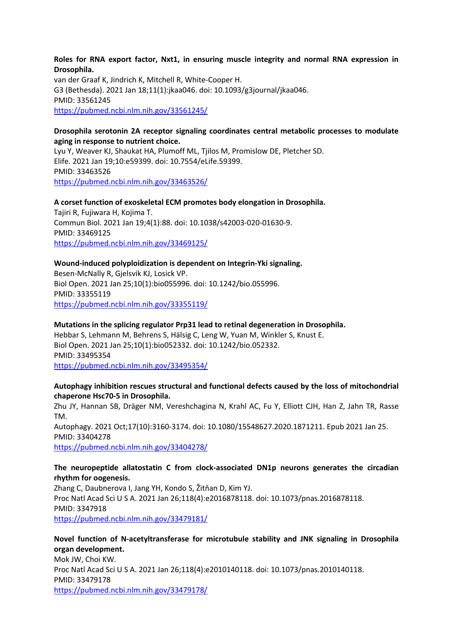#### **Roles for RNA export factor, Nxt1, in ensuring muscle integrity and normal RNA expression in Drosophila.**

van der Graaf K, Jindrich K, Mitchell R, White-Cooper H. G3 (Bethesda). 2021 Jan 18;11(1):jkaa046. doi: 10.1093/g3journal/jkaa046. PMID: 33561245 https://pubmed.ncbi.nlm.nih.gov/33561245/

#### **Drosophila serotonin 2A receptor signaling coordinates central metabolic processes to modulate aging in response to nutrient choice.**

Lyu Y, Weaver KJ, Shaukat HA, Plumoff ML, Tjilos M, Promislow DE, Pletcher SD. Elife. 2021 Jan 19;10:e59399. doi: 10.7554/eLife.59399. PMID: 33463526 https://pubmed.ncbi.nlm.nih.gov/33463526/

#### **A corset function of exoskeletal ECM promotes body elongation in Drosophila.**

Tajiri R, Fujiwara H, Kojima T. Commun Biol. 2021 Jan 19;4(1):88. doi: 10.1038/s42003-020-01630-9. PMID: 33469125 https://pubmed.ncbi.nlm.nih.gov/33469125/

#### **Wound-induced polyploidization is dependent on Integrin-Yki signaling.**

Besen-McNally R, Gjelsvik KJ, Losick VP. Biol Open. 2021 Jan 25;10(1):bio055996. doi: 10.1242/bio.055996. PMID: 33355119 https://pubmed.ncbi.nlm.nih.gov/33355119/

#### **Mutations in the splicing regulator Prp31 lead to retinal degeneration in Drosophila.**

Hebbar S, Lehmann M, Behrens S, Hälsig C, Leng W, Yuan M, Winkler S, Knust E. Biol Open. 2021 Jan 25;10(1):bio052332. doi: 10.1242/bio.052332. PMID: 33495354

https://pubmed.ncbi.nlm.nih.gov/33495354/

#### **Autophagy inhibition rescues structural and functional defects caused by the loss of mitochondrial chaperone Hsc70-5 in Drosophila.**

Zhu JY, Hannan SB, Dräger NM, Vereshchagina N, Krahl AC, Fu Y, Elliott CJH, Han Z, Jahn TR, Rasse TM. Autophagy. 2021 Oct;17(10):3160-3174. doi: 10.1080/15548627.2020.1871211. Epub 2021 Jan 25.

PMID: 33404278 https://pubmed.ncbi.nlm.nih.gov/33404278/

#### **The neuropeptide allatostatin C from clock-associated DN1p neurons generates the circadian rhythm for oogenesis.**

Zhang C, Daubnerova I, Jang YH, Kondo S, Žitňan D, Kim YJ. Proc Natl Acad Sci U S A. 2021 Jan 26;118(4):e2016878118. doi: 10.1073/pnas.2016878118. PMID: 3347918 https://pubmed.ncbi.nlm.nih.gov/33479181/

# **Novel function of N-acetyltransferase for microtubule stability and JNK signaling in Drosophila organ development.**

Mok JW, Choi KW. Proc Natl Acad Sci U S A. 2021 Jan 26;118(4):e2010140118. doi: 10.1073/pnas.2010140118. PMID: 33479178 https://pubmed.ncbi.nlm.nih.gov/33479178/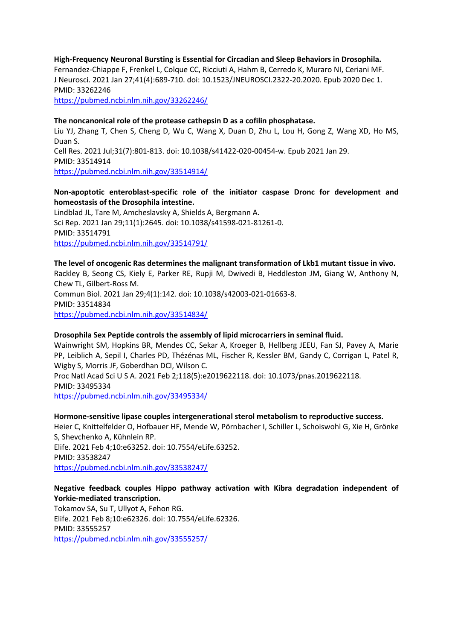**High-Frequency Neuronal Bursting is Essential for Circadian and Sleep Behaviors in Drosophila.** Fernandez-Chiappe F, Frenkel L, Colque CC, Ricciuti A, Hahm B, Cerredo K, Muraro NI, Ceriani MF. J Neurosci. 2021 Jan 27;41(4):689-710. doi: 10.1523/JNEUROSCI.2322-20.2020. Epub 2020 Dec 1. PMID: 33262246

https://pubmed.ncbi.nlm.nih.gov/33262246/

#### **The noncanonical role of the protease cathepsin D as a cofilin phosphatase.**

Liu YJ, Zhang T, Chen S, Cheng D, Wu C, Wang X, Duan D, Zhu L, Lou H, Gong Z, Wang XD, Ho MS, Duan S. Cell Res. 2021 Jul;31(7):801-813. doi: 10.1038/s41422-020-00454-w. Epub 2021 Jan 29.

PMID: 33514914

https://pubmed.ncbi.nlm.nih.gov/33514914/

#### **Non-apoptotic enteroblast-specific role of the initiator caspase Dronc for development and homeostasis of the Drosophila intestine.**

Lindblad JL, Tare M, Amcheslavsky A, Shields A, Bergmann A. Sci Rep. 2021 Jan 29;11(1):2645. doi: 10.1038/s41598-021-81261-0. PMID: 33514791 https://pubmed.ncbi.nlm.nih.gov/33514791/

#### **The level of oncogenic Ras determines the malignant transformation of Lkb1 mutant tissue in vivo.**

Rackley B, Seong CS, Kiely E, Parker RE, Rupji M, Dwivedi B, Heddleston JM, Giang W, Anthony N, Chew TL, Gilbert-Ross M.

Commun Biol. 2021 Jan 29;4(1):142. doi: 10.1038/s42003-021-01663-8. PMID: 33514834 https://pubmed.ncbi.nlm.nih.gov/33514834/

#### **Drosophila Sex Peptide controls the assembly of lipid microcarriers in seminal fluid.**

Wainwright SM, Hopkins BR, Mendes CC, Sekar A, Kroeger B, Hellberg JEEU, Fan SJ, Pavey A, Marie PP, Leiblich A, Sepil I, Charles PD, Thézénas ML, Fischer R, Kessler BM, Gandy C, Corrigan L, Patel R, Wigby S, Morris JF, Goberdhan DCI, Wilson C.

Proc Natl Acad Sci U S A. 2021 Feb 2;118(5):e2019622118. doi: 10.1073/pnas.2019622118. PMID: 33495334

https://pubmed.ncbi.nlm.nih.gov/33495334/

#### **Hormone-sensitive lipase couples intergenerational sterol metabolism to reproductive success.**

Heier C, Knittelfelder O, Hofbauer HF, Mende W, Pörnbacher I, Schiller L, Schoiswohl G, Xie H, Grönke S, Shevchenko A, Kühnlein RP. Elife. 2021 Feb 4;10:e63252. doi: 10.7554/eLife.63252. PMID: 33538247

https://pubmed.ncbi.nlm.nih.gov/33538247/

### **Negative feedback couples Hippo pathway activation with Kibra degradation independent of Yorkie-mediated transcription.**

Tokamov SA, Su T, Ullyot A, Fehon RG. Elife. 2021 Feb 8;10:e62326. doi: 10.7554/eLife.62326. PMID: 33555257 https://pubmed.ncbi.nlm.nih.gov/33555257/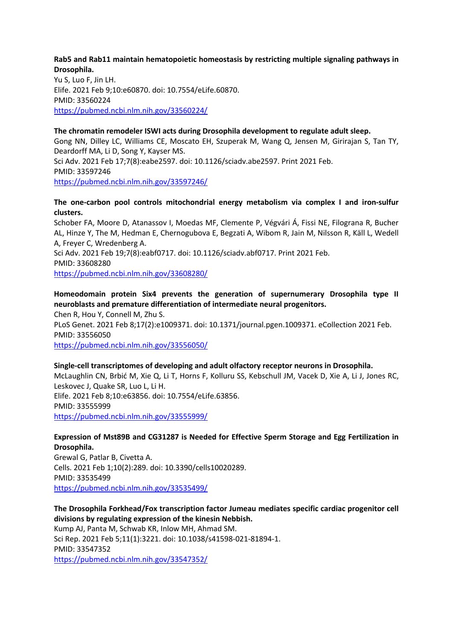#### **Rab5 and Rab11 maintain hematopoietic homeostasis by restricting multiple signaling pathways in Drosophila.**

Yu S, Luo F, Jin LH. Elife. 2021 Feb 9;10:e60870. doi: 10.7554/eLife.60870. PMID: 33560224 https://pubmed.ncbi.nlm.nih.gov/33560224/

#### **The chromatin remodeler ISWI acts during Drosophila development to regulate adult sleep.**

Gong NN, Dilley LC, Williams CE, Moscato EH, Szuperak M, Wang Q, Jensen M, Girirajan S, Tan TY, Deardorff MA, Li D, Song Y, Kayser MS. Sci Adv. 2021 Feb 17;7(8):eabe2597. doi: 10.1126/sciadv.abe2597. Print 2021 Feb. PMID: 33597246 https://pubmed.ncbi.nlm.nih.gov/33597246/

#### **The one-carbon pool controls mitochondrial energy metabolism via complex I and iron-sulfur clusters.**

Schober FA, Moore D, Atanassov I, Moedas MF, Clemente P, Végvári Á, Fissi NE, Filograna R, Bucher AL, Hinze Y, The M, Hedman E, Chernogubova E, Begzati A, Wibom R, Jain M, Nilsson R, Käll L, Wedell A, Freyer C, Wredenberg A. Sci Adv. 2021 Feb 19;7(8):eabf0717. doi: 10.1126/sciadv.abf0717. Print 2021 Feb.

PMID: 33608280 https://pubmed.ncbi.nlm.nih.gov/33608280/

# **Homeodomain protein Six4 prevents the generation of supernumerary Drosophila type II neuroblasts and premature differentiation of intermediate neural progenitors.**

Chen R, Hou Y, Connell M, Zhu S. PLoS Genet. 2021 Feb 8;17(2):e1009371. doi: 10.1371/journal.pgen.1009371. eCollection 2021 Feb. PMID: 33556050

https://pubmed.ncbi.nlm.nih.gov/33556050/

### **Single-cell transcriptomes of developing and adult olfactory receptor neurons in Drosophila.**

McLaughlin CN, Brbić M, Xie Q, Li T, Horns F, Kolluru SS, Kebschull JM, Vacek D, Xie A, Li J, Jones RC, Leskovec J, Quake SR, Luo L, Li H. Elife. 2021 Feb 8;10:e63856. doi: 10.7554/eLife.63856. PMID: 33555999

https://pubmed.ncbi.nlm.nih.gov/33555999/

#### **Expression of Mst89B and CG31287 is Needed for Effective Sperm Storage and Egg Fertilization in Drosophila.**

Grewal G, Patlar B, Civetta A. Cells. 2021 Feb 1;10(2):289. doi: 10.3390/cells10020289. PMID: 33535499 https://pubmed.ncbi.nlm.nih.gov/33535499/

**The Drosophila Forkhead/Fox transcription factor Jumeau mediates specific cardiac progenitor cell divisions by regulating expression of the kinesin Nebbish.** Kump AJ, Panta M, Schwab KR, Inlow MH, Ahmad SM. Sci Rep. 2021 Feb 5;11(1):3221. doi: 10.1038/s41598-021-81894-1. PMID: 33547352 https://pubmed.ncbi.nlm.nih.gov/33547352/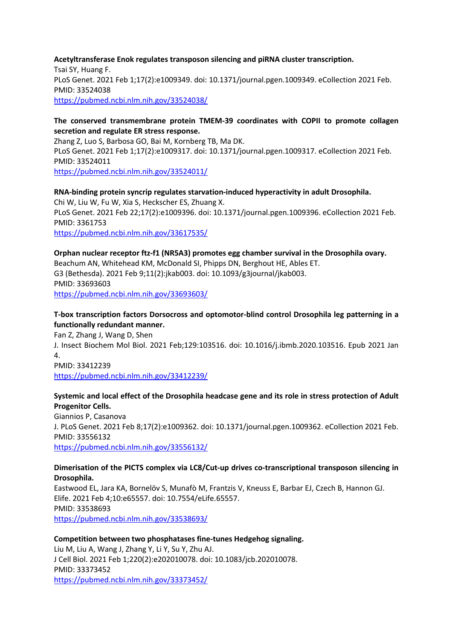#### **Acetyltransferase Enok regulates transposon silencing and piRNA cluster transcription.** Tsai SY, Huang F. PLoS Genet. 2021 Feb 1;17(2):e1009349. doi: 10.1371/journal.pgen.1009349. eCollection 2021 Feb. PMID: 33524038 https://pubmed.ncbi.nlm.nih.gov/33524038/

#### **The conserved transmembrane protein TMEM-39 coordinates with COPII to promote collagen secretion and regulate ER stress response.**

Zhang Z, Luo S, Barbosa GO, Bai M, Kornberg TB, Ma DK. PLoS Genet. 2021 Feb 1;17(2):e1009317. doi: 10.1371/journal.pgen.1009317. eCollection 2021 Feb. PMID: 33524011 https://pubmed.ncbi.nlm.nih.gov/33524011/

**RNA-binding protein syncrip regulates starvation-induced hyperactivity in adult Drosophila.** Chi W, Liu W, Fu W, Xia S, Heckscher ES, Zhuang X. PLoS Genet. 2021 Feb 22;17(2):e1009396. doi: 10.1371/journal.pgen.1009396. eCollection 2021 Feb. PMID: 3361753 https://pubmed.ncbi.nlm.nih.gov/33617535/

**Orphan nuclear receptor ftz-f1 (NR5A3) promotes egg chamber survival in the Drosophila ovary.** Beachum AN, Whitehead KM, McDonald SI, Phipps DN, Berghout HE, Ables ET. G3 (Bethesda). 2021 Feb 9;11(2):jkab003. doi: 10.1093/g3journal/jkab003. PMID: 33693603 https://pubmed.ncbi.nlm.nih.gov/33693603/

### **T-box transcription factors Dorsocross and optomotor-blind control Drosophila leg patterning in a functionally redundant manner.**

Fan Z, Zhang J, Wang D, Shen J. Insect Biochem Mol Biol. 2021 Feb;129:103516. doi: 10.1016/j.ibmb.2020.103516. Epub 2021 Jan 4. PMID: 33412239 https://pubmed.ncbi.nlm.nih.gov/33412239/

### **Systemic and local effect of the Drosophila headcase gene and its role in stress protection of Adult Progenitor Cells.**

Giannios P, Casanova J. PLoS Genet. 2021 Feb 8;17(2):e1009362. doi: 10.1371/journal.pgen.1009362. eCollection 2021 Feb. PMID: 33556132 https://pubmed.ncbi.nlm.nih.gov/33556132/

#### **Dimerisation of the PICTS complex via LC8/Cut-up drives co-transcriptional transposon silencing in Drosophila.**

Eastwood EL, Jara KA, Bornelöv S, Munafò M, Frantzis V, Kneuss E, Barbar EJ, Czech B, Hannon GJ. Elife. 2021 Feb 4;10:e65557. doi: 10.7554/eLife.65557. PMID: 33538693 https://pubmed.ncbi.nlm.nih.gov/33538693/

### **Competition between two phosphatases fine-tunes Hedgehog signaling.**

Liu M, Liu A, Wang J, Zhang Y, Li Y, Su Y, Zhu AJ. J Cell Biol. 2021 Feb 1;220(2):e202010078. doi: 10.1083/jcb.202010078. PMID: 33373452 https://pubmed.ncbi.nlm.nih.gov/33373452/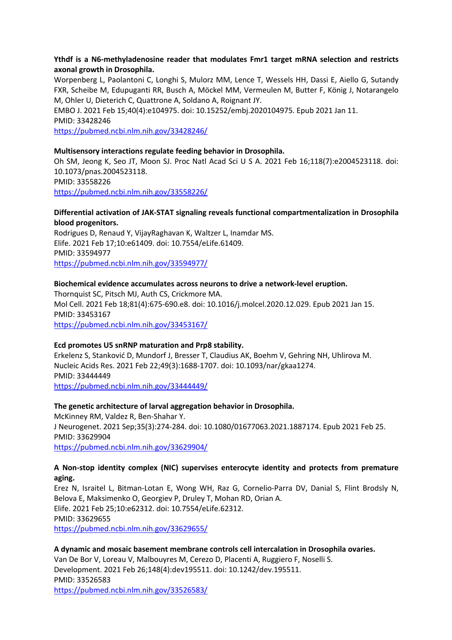#### **Ythdf is a N6-methyladenosine reader that modulates Fmr1 target mRNA selection and restricts axonal growth in Drosophila.**

Worpenberg L, Paolantoni C, Longhi S, Mulorz MM, Lence T, Wessels HH, Dassi E, Aiello G, Sutandy FXR, Scheibe M, Edupuganti RR, Busch A, Möckel MM, Vermeulen M, Butter F, König J, Notarangelo M, Ohler U, Dieterich C, Quattrone A, Soldano A, Roignant JY.

EMBO J. 2021 Feb 15;40(4):e104975. doi: 10.15252/embj.2020104975. Epub 2021 Jan 11. PMID: 33428246

https://pubmed.ncbi.nlm.nih.gov/33428246/

#### **Multisensory interactions regulate feeding behavior in Drosophila.**

Oh SM, Jeong K, Seo JT, Moon SJ. Proc Natl Acad Sci U S A. 2021 Feb 16;118(7):e2004523118. doi: 10.1073/pnas.2004523118. PMID: 33558226 https://pubmed.ncbi.nlm.nih.gov/33558226/

#### **Differential activation of JAK-STAT signaling reveals functional compartmentalization in Drosophila blood progenitors.**

Rodrigues D, Renaud Y, VijayRaghavan K, Waltzer L, Inamdar MS. Elife. 2021 Feb 17;10:e61409. doi: 10.7554/eLife.61409. PMID: 33594977

https://pubmed.ncbi.nlm.nih.gov/33594977/

#### **Biochemical evidence accumulates across neurons to drive a network-level eruption.**

Thornquist SC, Pitsch MJ, Auth CS, Crickmore MA. Mol Cell. 2021 Feb 18;81(4):675-690.e8. doi: 10.1016/j.molcel.2020.12.029. Epub 2021 Jan 15. PMID: 33453167 https://pubmed.ncbi.nlm.nih.gov/33453167/

#### **Ecd promotes U5 snRNP maturation and Prp8 stability.**

Erkelenz S, Stanković D, Mundorf J, Bresser T, Claudius AK, Boehm V, Gehring NH, Uhlirova M. Nucleic Acids Res. 2021 Feb 22;49(3):1688-1707. doi: 10.1093/nar/gkaa1274. PMID: 33444449 https://pubmed.ncbi.nlm.nih.gov/33444449/

### **The genetic architecture of larval aggregation behavior in Drosophila.**

McKinney RM, Valdez R, Ben-Shahar Y. J Neurogenet. 2021 Sep;35(3):274-284. doi: 10.1080/01677063.2021.1887174. Epub 2021 Feb 25. PMID: 33629904 https://pubmed.ncbi.nlm.nih.gov/33629904/

#### **A Non-stop identity complex (NIC) supervises enterocyte identity and protects from premature aging.**

Erez N, Israitel L, Bitman-Lotan E, Wong WH, Raz G, Cornelio-Parra DV, Danial S, Flint Brodsly N, Belova E, Maksimenko O, Georgiev P, Druley T, Mohan RD, Orian A. Elife. 2021 Feb 25;10:e62312. doi: 10.7554/eLife.62312. PMID: 33629655 https://pubmed.ncbi.nlm.nih.gov/33629655/

#### **A dynamic and mosaic basement membrane controls cell intercalation in Drosophila ovaries.** Van De Bor V, Loreau V, Malbouyres M, Cerezo D, Placenti A, Ruggiero F, Noselli S. Development. 2021 Feb 26;148(4):dev195511. doi: 10.1242/dev.195511. PMID: 33526583 https://pubmed.ncbi.nlm.nih.gov/33526583/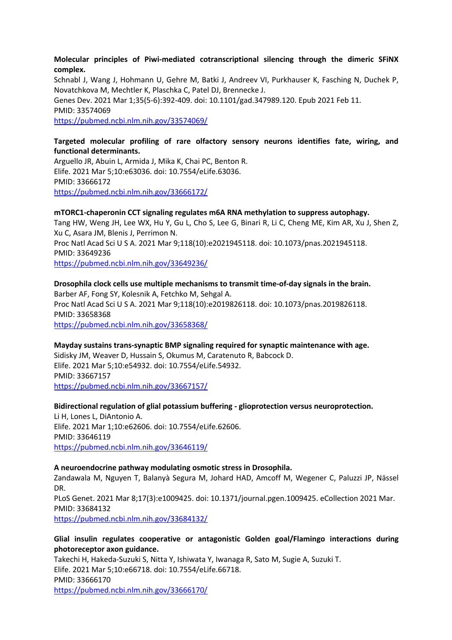#### **Molecular principles of Piwi-mediated cotranscriptional silencing through the dimeric SFiNX complex.**

Schnabl J, Wang J, Hohmann U, Gehre M, Batki J, Andreev VI, Purkhauser K, Fasching N, Duchek P, Novatchkova M, Mechtler K, Plaschka C, Patel DJ, Brennecke J. Genes Dev. 2021 Mar 1;35(5-6):392-409. doi: 10.1101/gad.347989.120. Epub 2021 Feb 11. PMID: 33574069 https://pubmed.ncbi.nlm.nih.gov/33574069/

### **Targeted molecular profiling of rare olfactory sensory neurons identifies fate, wiring, and functional determinants.**

Arguello JR, Abuin L, Armida J, Mika K, Chai PC, Benton R. Elife. 2021 Mar 5;10:e63036. doi: 10.7554/eLife.63036. PMID: 33666172 https://pubmed.ncbi.nlm.nih.gov/33666172/

#### **mTORC1-chaperonin CCT signaling regulates m6A RNA methylation to suppress autophagy.**

Tang HW, Weng JH, Lee WX, Hu Y, Gu L, Cho S, Lee G, Binari R, Li C, Cheng ME, Kim AR, Xu J, Shen Z, Xu C, Asara JM, Blenis J, Perrimon N. Proc Natl Acad Sci U S A. 2021 Mar 9;118(10):e2021945118. doi: 10.1073/pnas.2021945118. PMID: 33649236

https://pubmed.ncbi.nlm.nih.gov/33649236/

#### **Drosophila clock cells use multiple mechanisms to transmit time-of-day signals in the brain.** Barber AF, Fong SY, Kolesnik A, Fetchko M, Sehgal A. Proc Natl Acad Sci U S A. 2021 Mar 9;118(10):e2019826118. doi: 10.1073/pnas.2019826118. PMID: 33658368 https://pubmed.ncbi.nlm.nih.gov/33658368/

### **Mayday sustains trans-synaptic BMP signaling required for synaptic maintenance with age.**

Sidisky JM, Weaver D, Hussain S, Okumus M, Caratenuto R, Babcock D. Elife. 2021 Mar 5;10:e54932. doi: 10.7554/eLife.54932. PMID: 33667157 https://pubmed.ncbi.nlm.nih.gov/33667157/

#### **Bidirectional regulation of glial potassium buffering - glioprotection versus neuroprotection.** Li H, Lones L, DiAntonio A. Elife. 2021 Mar 1;10:e62606. doi: 10.7554/eLife.62606. PMID: 33646119 https://pubmed.ncbi.nlm.nih.gov/33646119/

# **A neuroendocrine pathway modulating osmotic stress in Drosophila.**

Zandawala M, Nguyen T, Balanyà Segura M, Johard HAD, Amcoff M, Wegener C, Paluzzi JP, Nässel DR.

PLoS Genet. 2021 Mar 8;17(3):e1009425. doi: 10.1371/journal.pgen.1009425. eCollection 2021 Mar. PMID: 33684132

https://pubmed.ncbi.nlm.nih.gov/33684132/

### **Glial insulin regulates cooperative or antagonistic Golden goal/Flamingo interactions during photoreceptor axon guidance.**

Takechi H, Hakeda-Suzuki S, Nitta Y, Ishiwata Y, Iwanaga R, Sato M, Sugie A, Suzuki T. Elife. 2021 Mar 5;10:e66718. doi: 10.7554/eLife.66718. PMID: 33666170 https://pubmed.ncbi.nlm.nih.gov/33666170/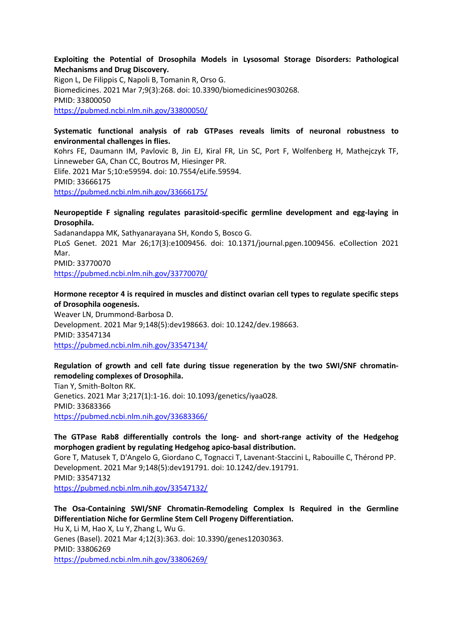#### **Exploiting the Potential of Drosophila Models in Lysosomal Storage Disorders: Pathological Mechanisms and Drug Discovery.**

Rigon L, De Filippis C, Napoli B, Tomanin R, Orso G. Biomedicines. 2021 Mar 7;9(3):268. doi: 10.3390/biomedicines9030268. PMID: 33800050 https://pubmed.ncbi.nlm.nih.gov/33800050/

#### **Systematic functional analysis of rab GTPases reveals limits of neuronal robustness to environmental challenges in flies.**

Kohrs FE, Daumann IM, Pavlovic B, Jin EJ, Kiral FR, Lin SC, Port F, Wolfenberg H, Mathejczyk TF, Linneweber GA, Chan CC, Boutros M, Hiesinger PR. Elife. 2021 Mar 5;10:e59594. doi: 10.7554/eLife.59594. PMID: 33666175 https://pubmed.ncbi.nlm.nih.gov/33666175/

#### **Neuropeptide F signaling regulates parasitoid-specific germline development and egg-laying in Drosophila.**

Sadanandappa MK, Sathyanarayana SH, Kondo S, Bosco G. PLoS Genet. 2021 Mar 26;17(3):e1009456. doi: 10.1371/journal.pgen.1009456. eCollection 2021 Mar. PMID: 33770070

https://pubmed.ncbi.nlm.nih.gov/33770070/

### **Hormone receptor 4 is required in muscles and distinct ovarian cell types to regulate specific steps of Drosophila oogenesis.**

Weaver LN, Drummond-Barbosa D. Development. 2021 Mar 9;148(5):dev198663. doi: 10.1242/dev.198663. PMID: 33547134 https://pubmed.ncbi.nlm.nih.gov/33547134/

### **Regulation of growth and cell fate during tissue regeneration by the two SWI/SNF chromatinremodeling complexes of Drosophila.**

Tian Y, Smith-Bolton RK. Genetics. 2021 Mar 3;217(1):1-16. doi: 10.1093/genetics/iyaa028. PMID: 33683366 https://pubmed.ncbi.nlm.nih.gov/33683366/

### **The GTPase Rab8 differentially controls the long- and short-range activity of the Hedgehog morphogen gradient by regulating Hedgehog apico-basal distribution.**

Gore T, Matusek T, D'Angelo G, Giordano C, Tognacci T, Lavenant-Staccini L, Rabouille C, Thérond PP. Development. 2021 Mar 9;148(5):dev191791. doi: 10.1242/dev.191791. PMID: 33547132 https://pubmed.ncbi.nlm.nih.gov/33547132/

# **The Osa-Containing SWI/SNF Chromatin-Remodeling Complex Is Required in the Germline Differentiation Niche for Germline Stem Cell Progeny Differentiation.** Hu X, Li M, Hao X, Lu Y, Zhang L, Wu G. Genes (Basel). 2021 Mar 4;12(3):363. doi: 10.3390/genes12030363. PMID: 33806269

https://pubmed.ncbi.nlm.nih.gov/33806269/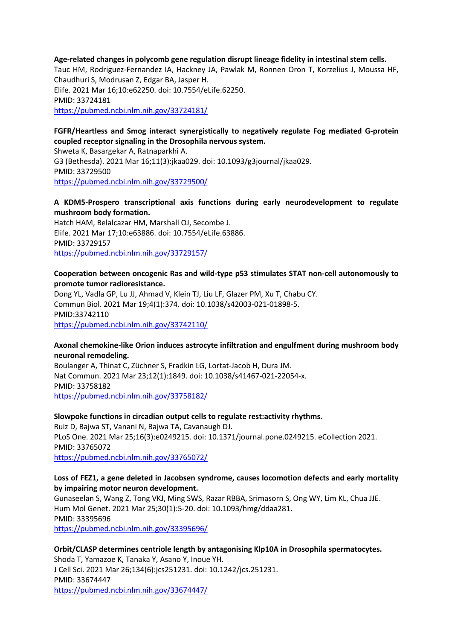**Age-related changes in polycomb gene regulation disrupt lineage fidelity in intestinal stem cells.** Tauc HM, Rodriguez-Fernandez IA, Hackney JA, Pawlak M, Ronnen Oron T, Korzelius J, Moussa HF, Chaudhuri S, Modrusan Z, Edgar BA, Jasper H. Elife. 2021 Mar 16;10:e62250. doi: 10.7554/eLife.62250. PMID: 33724181 https://pubmed.ncbi.nlm.nih.gov/33724181/

### **FGFR/Heartless and Smog interact synergistically to negatively regulate Fog mediated G-protein coupled receptor signaling in the Drosophila nervous system.**

Shweta K, Basargekar A, Ratnaparkhi A. G3 (Bethesda). 2021 Mar 16;11(3):jkaa029. doi: 10.1093/g3journal/jkaa029. PMID: 33729500 https://pubmed.ncbi.nlm.nih.gov/33729500/

#### **A KDM5-Prospero transcriptional axis functions during early neurodevelopment to regulate mushroom body formation.**

Hatch HAM, Belalcazar HM, Marshall OJ, Secombe J. Elife. 2021 Mar 17;10:e63886. doi: 10.7554/eLife.63886. PMID: 33729157 https://pubmed.ncbi.nlm.nih.gov/33729157/

#### **Cooperation between oncogenic Ras and wild-type p53 stimulates STAT non-cell autonomously to promote tumor radioresistance.**

Dong YL, Vadla GP, Lu JJ, Ahmad V, Klein TJ, Liu LF, Glazer PM, Xu T, Chabu CY. Commun Biol. 2021 Mar 19;4(1):374. doi: 10.1038/s42003-021-01898-5. PMID:33742110 https://pubmed.ncbi.nlm.nih.gov/33742110/

#### **Axonal chemokine-like Orion induces astrocyte infiltration and engulfment during mushroom body neuronal remodeling.**

Boulanger A, Thinat C, Züchner S, Fradkin LG, Lortat-Jacob H, Dura JM. Nat Commun. 2021 Mar 23;12(1):1849. doi: 10.1038/s41467-021-22054-x. PMID: 33758182 https://pubmed.ncbi.nlm.nih.gov/33758182/

#### **Slowpoke functions in circadian output cells to regulate rest:activity rhythms.**

Ruiz D, Bajwa ST, Vanani N, Bajwa TA, Cavanaugh DJ. PLoS One. 2021 Mar 25;16(3):e0249215. doi: 10.1371/journal.pone.0249215. eCollection 2021. PMID: 33765072 https://pubmed.ncbi.nlm.nih.gov/33765072/

#### **Loss of FEZ1, a gene deleted in Jacobsen syndrome, causes locomotion defects and early mortality by impairing motor neuron development.**

Gunaseelan S, Wang Z, Tong VKJ, Ming SWS, Razar RBBA, Srimasorn S, Ong WY, Lim KL, Chua JJE. Hum Mol Genet. 2021 Mar 25;30(1):5-20. doi: 10.1093/hmg/ddaa281. PMID: 33395696 https://pubmed.ncbi.nlm.nih.gov/33395696/

### **Orbit/CLASP determines centriole length by antagonising Klp10A in Drosophila spermatocytes.**

Shoda T, Yamazoe K, Tanaka Y, Asano Y, Inoue YH. J Cell Sci. 2021 Mar 26;134(6):jcs251231. doi: 10.1242/jcs.251231. PMID: 33674447 https://pubmed.ncbi.nlm.nih.gov/33674447/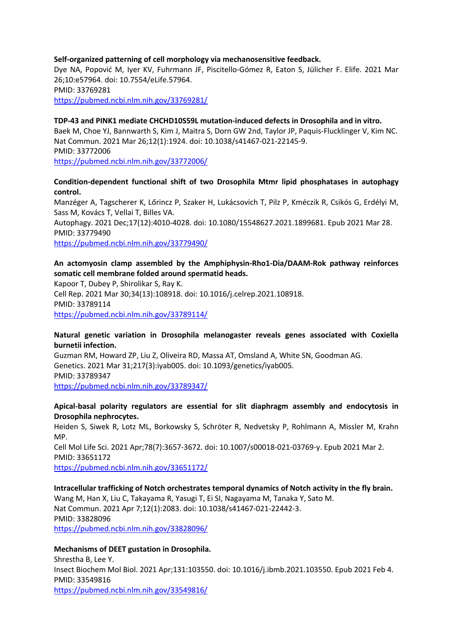#### **Self-organized patterning of cell morphology via mechanosensitive feedback.**

Dye NA, Popović M, Iyer KV, Fuhrmann JF, Piscitello-Gómez R, Eaton S, Jülicher F. Elife. 2021 Mar 26;10:e57964. doi: 10.7554/eLife.57964. PMID: 33769281 https://pubmed.ncbi.nlm.nih.gov/33769281/

#### **TDP-43 and PINK1 mediate CHCHD10S59L mutation-induced defects in Drosophila and in vitro.**

Baek M, Choe YJ, Bannwarth S, Kim J, Maitra S, Dorn GW 2nd, Taylor JP, Paquis-Flucklinger V, Kim NC. Nat Commun. 2021 Mar 26;12(1):1924. doi: 10.1038/s41467-021-22145-9. PMID: 33772006 https://pubmed.ncbi.nlm.nih.gov/33772006/

#### **Condition-dependent functional shift of two Drosophila Mtmr lipid phosphatases in autophagy control.**

Manzéger A, Tagscherer K, Lőrincz P, Szaker H, Lukácsovich T, Pilz P, Kméczik R, Csikós G, Erdélyi M, Sass M, Kovács T, Vellai T, Billes VA. Autophagy. 2021 Dec;17(12):4010-4028. doi: 10.1080/15548627.2021.1899681. Epub 2021 Mar 28. PMID: 33779490 https://pubmed.ncbi.nlm.nih.gov/33779490/

#### **An actomyosin clamp assembled by the Amphiphysin-Rho1-Dia/DAAM-Rok pathway reinforces somatic cell membrane folded around spermatid heads.**

Kapoor T, Dubey P, Shirolikar S, Ray K. Cell Rep. 2021 Mar 30;34(13):108918. doi: 10.1016/j.celrep.2021.108918. PMID: 33789114 https://pubmed.ncbi.nlm.nih.gov/33789114/

#### **Natural genetic variation in Drosophila melanogaster reveals genes associated with Coxiella burnetii infection.**

Guzman RM, Howard ZP, Liu Z, Oliveira RD, Massa AT, Omsland A, White SN, Goodman AG. Genetics. 2021 Mar 31;217(3):iyab005. doi: 10.1093/genetics/iyab005. PMID: 33789347 https://pubmed.ncbi.nlm.nih.gov/33789347/

#### **Apical-basal polarity regulators are essential for slit diaphragm assembly and endocytosis in Drosophila nephrocytes.**

Heiden S, Siwek R, Lotz ML, Borkowsky S, Schröter R, Nedvetsky P, Rohlmann A, Missler M, Krahn MP. Cell Mol Life Sci. 2021 Apr;78(7):3657-3672. doi: 10.1007/s00018-021-03769-y. Epub 2021 Mar 2. PMID: 33651172 https://pubmed.ncbi.nlm.nih.gov/33651172/

#### **Intracellular trafficking of Notch orchestrates temporal dynamics of Notch activity in the fly brain.** Wang M, Han X, Liu C, Takayama R, Yasugi T, Ei SI, Nagayama M, Tanaka Y, Sato M. Nat Commun. 2021 Apr 7;12(1):2083. doi: 10.1038/s41467-021-22442-3. PMID: 33828096 https://pubmed.ncbi.nlm.nih.gov/33828096/

#### **Mechanisms of DEET gustation in Drosophila.**

Shrestha B, Lee Y. Insect Biochem Mol Biol. 2021 Apr;131:103550. doi: 10.1016/j.ibmb.2021.103550. Epub 2021 Feb 4. PMID: 33549816 https://pubmed.ncbi.nlm.nih.gov/33549816/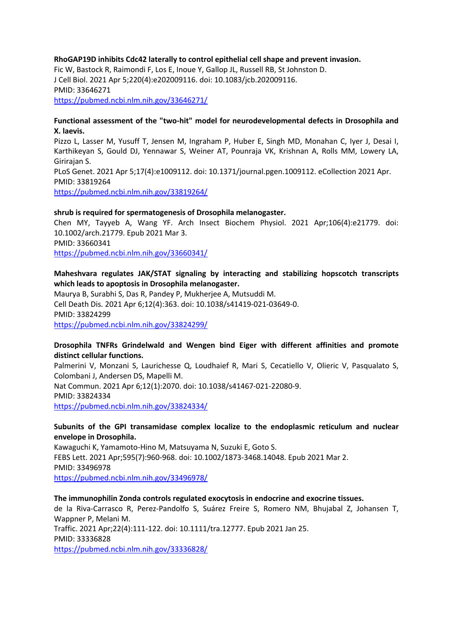#### **RhoGAP19D inhibits Cdc42 laterally to control epithelial cell shape and prevent invasion.**

Fic W, Bastock R, Raimondi F, Los E, Inoue Y, Gallop JL, Russell RB, St Johnston D. J Cell Biol. 2021 Apr 5;220(4):e202009116. doi: 10.1083/jcb.202009116. PMID: 33646271 https://pubmed.ncbi.nlm.nih.gov/33646271/

#### **Functional assessment of the "two-hit" model for neurodevelopmental defects in Drosophila and X. laevis.**

Pizzo L, Lasser M, Yusuff T, Jensen M, Ingraham P, Huber E, Singh MD, Monahan C, Iyer J, Desai I, Karthikeyan S, Gould DJ, Yennawar S, Weiner AT, Pounraja VK, Krishnan A, Rolls MM, Lowery LA, Girirajan S. PLoS Genet. 2021 Apr 5;17(4):e1009112. doi: 10.1371/journal.pgen.1009112. eCollection 2021 Apr. PMID: 33819264

https://pubmed.ncbi.nlm.nih.gov/33819264/

#### **shrub is required for spermatogenesis of Drosophila melanogaster.**

Chen MY, Tayyeb A, Wang YF. Arch Insect Biochem Physiol. 2021 Apr;106(4):e21779. doi: 10.1002/arch.21779. Epub 2021 Mar 3. PMID: 33660341 https://pubmed.ncbi.nlm.nih.gov/33660341/

#### **Maheshvara regulates JAK/STAT signaling by interacting and stabilizing hopscotch transcripts which leads to apoptosis in Drosophila melanogaster.**

Maurya B, Surabhi S, Das R, Pandey P, Mukherjee A, Mutsuddi M. Cell Death Dis. 2021 Apr 6;12(4):363. doi: 10.1038/s41419-021-03649-0. PMID: 33824299 https://pubmed.ncbi.nlm.nih.gov/33824299/

#### **Drosophila TNFRs Grindelwald and Wengen bind Eiger with different affinities and promote distinct cellular functions.**

Palmerini V, Monzani S, Laurichesse Q, Loudhaief R, Mari S, Cecatiello V, Olieric V, Pasqualato S, Colombani J, Andersen DS, Mapelli M.

Nat Commun. 2021 Apr 6;12(1):2070. doi: 10.1038/s41467-021-22080-9. PMID: 33824334 https://pubmed.ncbi.nlm.nih.gov/33824334/

#### **Subunits of the GPI transamidase complex localize to the endoplasmic reticulum and nuclear envelope in Drosophila.**

Kawaguchi K, Yamamoto-Hino M, Matsuyama N, Suzuki E, Goto S. FEBS Lett. 2021 Apr;595(7):960-968. doi: 10.1002/1873-3468.14048. Epub 2021 Mar 2. PMID: 33496978 https://pubmed.ncbi.nlm.nih.gov/33496978/

# **The immunophilin Zonda controls regulated exocytosis in endocrine and exocrine tissues.**

de la Riva-Carrasco R, Perez-Pandolfo S, Suárez Freire S, Romero NM, Bhujabal Z, Johansen T, Wappner P, Melani M. Traffic. 2021 Apr;22(4):111-122. doi: 10.1111/tra.12777. Epub 2021 Jan 25. PMID: 33336828 https://pubmed.ncbi.nlm.nih.gov/33336828/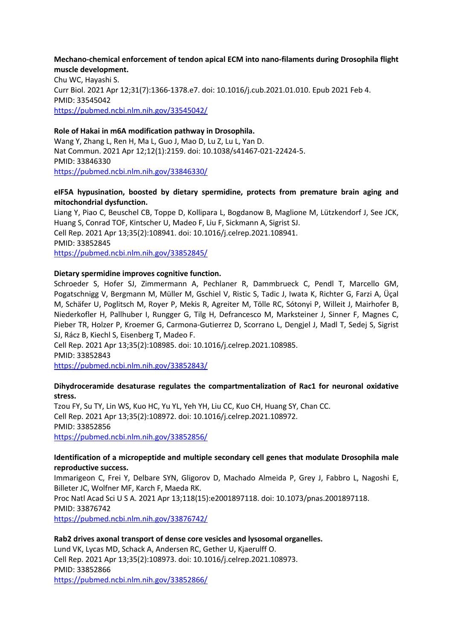#### **Mechano-chemical enforcement of tendon apical ECM into nano-filaments during Drosophila flight muscle development.**

Chu WC, Hayashi S. Curr Biol. 2021 Apr 12;31(7):1366-1378.e7. doi: 10.1016/j.cub.2021.01.010. Epub 2021 Feb 4. PMID: 33545042 https://pubmed.ncbi.nlm.nih.gov/33545042/

#### **Role of Hakai in m6A modification pathway in Drosophila.**

Wang Y, Zhang L, Ren H, Ma L, Guo J, Mao D, Lu Z, Lu L, Yan D. Nat Commun. 2021 Apr 12;12(1):2159. doi: 10.1038/s41467-021-22424-5. PMID: 33846330 https://pubmed.ncbi.nlm.nih.gov/33846330/

#### **eIF5A hypusination, boosted by dietary spermidine, protects from premature brain aging and mitochondrial dysfunction.**

Liang Y, Piao C, Beuschel CB, Toppe D, Kollipara L, Bogdanow B, Maglione M, Lützkendorf J, See JCK, Huang S, Conrad TOF, Kintscher U, Madeo F, Liu F, Sickmann A, Sigrist SJ.

Cell Rep. 2021 Apr 13;35(2):108941. doi: 10.1016/j.celrep.2021.108941.

PMID: 33852845

https://pubmed.ncbi.nlm.nih.gov/33852845/

#### **Dietary spermidine improves cognitive function.**

Schroeder S, Hofer SJ, Zimmermann A, Pechlaner R, Dammbrueck C, Pendl T, Marcello GM, Pogatschnigg V, Bergmann M, Müller M, Gschiel V, Ristic S, Tadic J, Iwata K, Richter G, Farzi A, Üçal M, Schäfer U, Poglitsch M, Royer P, Mekis R, Agreiter M, Tölle RC, Sótonyi P, Willeit J, Mairhofer B, Niederkofler H, Pallhuber I, Rungger G, Tilg H, Defrancesco M, Marksteiner J, Sinner F, Magnes C, Pieber TR, Holzer P, Kroemer G, Carmona-Gutierrez D, Scorrano L, Dengjel J, Madl T, Sedej S, Sigrist SJ, Rácz B, Kiechl S, Eisenberg T, Madeo F.

Cell Rep. 2021 Apr 13;35(2):108985. doi: 10.1016/j.celrep.2021.108985. PMID: 33852843

https://pubmed.ncbi.nlm.nih.gov/33852843/

### **Dihydroceramide desaturase regulates the compartmentalization of Rac1 for neuronal oxidative stress.**

Tzou FY, Su TY, Lin WS, Kuo HC, Yu YL, Yeh YH, Liu CC, Kuo CH, Huang SY, Chan CC. Cell Rep. 2021 Apr 13;35(2):108972. doi: 10.1016/j.celrep.2021.108972. PMID: 33852856 https://pubmed.ncbi.nlm.nih.gov/33852856/

#### **Identification of a micropeptide and multiple secondary cell genes that modulate Drosophila male reproductive success.**

Immarigeon C, Frei Y, Delbare SYN, Gligorov D, Machado Almeida P, Grey J, Fabbro L, Nagoshi E, Billeter JC, Wolfner MF, Karch F, Maeda RK.

Proc Natl Acad Sci U S A. 2021 Apr 13;118(15):e2001897118. doi: 10.1073/pnas.2001897118. PMID: 33876742 https://pubmed.ncbi.nlm.nih.gov/33876742/

### **Rab2 drives axonal transport of dense core vesicles and lysosomal organelles.**

Lund VK, Lycas MD, Schack A, Andersen RC, Gether U, Kjaerulff O. Cell Rep. 2021 Apr 13;35(2):108973. doi: 10.1016/j.celrep.2021.108973. PMID: 33852866 https://pubmed.ncbi.nlm.nih.gov/33852866/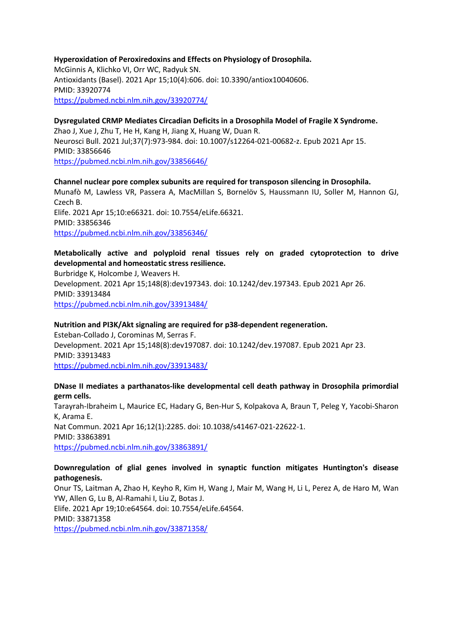#### **Hyperoxidation of Peroxiredoxins and Effects on Physiology of Drosophila.**

McGinnis A, Klichko VI, Orr WC, Radyuk SN. Antioxidants (Basel). 2021 Apr 15;10(4):606. doi: 10.3390/antiox10040606. PMID: 33920774 https://pubmed.ncbi.nlm.nih.gov/33920774/

# **Dysregulated CRMP Mediates Circadian Deficits in a Drosophila Model of Fragile X Syndrome.**

Zhao J, Xue J, Zhu T, He H, Kang H, Jiang X, Huang W, Duan R. Neurosci Bull. 2021 Jul;37(7):973-984. doi: 10.1007/s12264-021-00682-z. Epub 2021 Apr 15. PMID: 33856646 https://pubmed.ncbi.nlm.nih.gov/33856646/

#### **Channel nuclear pore complex subunits are required for transposon silencing in Drosophila.**

Munafò M, Lawless VR, Passera A, MacMillan S, Bornelöv S, Haussmann IU, Soller M, Hannon GJ, Czech B. Elife. 2021 Apr 15;10:e66321. doi: 10.7554/eLife.66321. PMID: 33856346

https://pubmed.ncbi.nlm.nih.gov/33856346/

### **Metabolically active and polyploid renal tissues rely on graded cytoprotection to drive developmental and homeostatic stress resilience.**

Burbridge K, Holcombe J, Weavers H. Development. 2021 Apr 15;148(8):dev197343. doi: 10.1242/dev.197343. Epub 2021 Apr 26. PMID: 33913484 https://pubmed.ncbi.nlm.nih.gov/33913484/

### **Nutrition and PI3K/Akt signaling are required for p38-dependent regeneration.**

Esteban-Collado J, Corominas M, Serras F. Development. 2021 Apr 15;148(8):dev197087. doi: 10.1242/dev.197087. Epub 2021 Apr 23. PMID: 33913483 https://pubmed.ncbi.nlm.nih.gov/33913483/

#### **DNase II mediates a parthanatos-like developmental cell death pathway in Drosophila primordial germ cells.**

Tarayrah-Ibraheim L, Maurice EC, Hadary G, Ben-Hur S, Kolpakova A, Braun T, Peleg Y, Yacobi-Sharon K, Arama E. Nat Commun. 2021 Apr 16;12(1):2285. doi: 10.1038/s41467-021-22622-1. PMID: 33863891 https://pubmed.ncbi.nlm.nih.gov/33863891/

### **Downregulation of glial genes involved in synaptic function mitigates Huntington's disease pathogenesis.**

Onur TS, Laitman A, Zhao H, Keyho R, Kim H, Wang J, Mair M, Wang H, Li L, Perez A, de Haro M, Wan YW, Allen G, Lu B, Al-Ramahi I, Liu Z, Botas J. Elife. 2021 Apr 19;10:e64564. doi: 10.7554/eLife.64564. PMID: 33871358 https://pubmed.ncbi.nlm.nih.gov/33871358/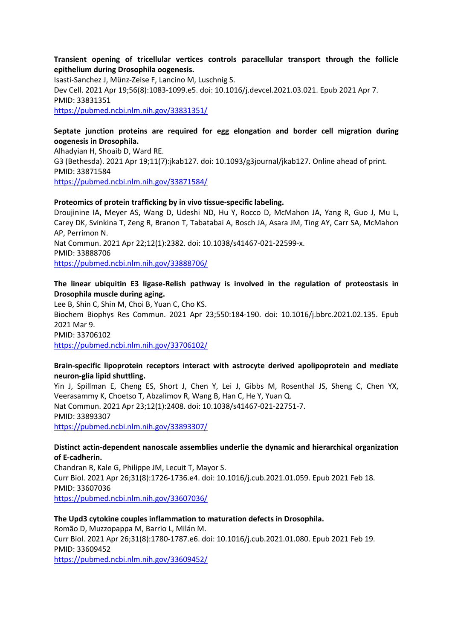#### **Transient opening of tricellular vertices controls paracellular transport through the follicle epithelium during Drosophila oogenesis.**

Isasti-Sanchez J, Münz-Zeise F, Lancino M, Luschnig S. Dev Cell. 2021 Apr 19;56(8):1083-1099.e5. doi: 10.1016/j.devcel.2021.03.021. Epub 2021 Apr 7. PMID: 33831351 https://pubmed.ncbi.nlm.nih.gov/33831351/

# **Septate junction proteins are required for egg elongation and border cell migration during oogenesis in Drosophila.**

Alhadyian H, Shoaib D, Ward RE. G3 (Bethesda). 2021 Apr 19;11(7):jkab127. doi: 10.1093/g3journal/jkab127. Online ahead of print. PMID: 33871584 https://pubmed.ncbi.nlm.nih.gov/33871584/

#### **Proteomics of protein trafficking by in vivo tissue-specific labeling.**

Droujinine IA, Meyer AS, Wang D, Udeshi ND, Hu Y, Rocco D, McMahon JA, Yang R, Guo J, Mu L, Carey DK, Svinkina T, Zeng R, Branon T, Tabatabai A, Bosch JA, Asara JM, Ting AY, Carr SA, McMahon AP, Perrimon N. Nat Commun. 2021 Apr 22;12(1):2382. doi: 10.1038/s41467-021-22599-x. PMID: 33888706

https://pubmed.ncbi.nlm.nih.gov/33888706/

#### **The linear ubiquitin E3 ligase-Relish pathway is involved in the regulation of proteostasis in Drosophila muscle during aging.**

Lee B, Shin C, Shin M, Choi B, Yuan C, Cho KS. Biochem Biophys Res Commun. 2021 Apr 23;550:184-190. doi: 10.1016/j.bbrc.2021.02.135. Epub 2021 Mar 9. PMID: 33706102 https://pubmed.ncbi.nlm.nih.gov/33706102/

### **Brain-specific lipoprotein receptors interact with astrocyte derived apolipoprotein and mediate neuron-glia lipid shuttling.**

Yin J, Spillman E, Cheng ES, Short J, Chen Y, Lei J, Gibbs M, Rosenthal JS, Sheng C, Chen YX, Veerasammy K, Choetso T, Abzalimov R, Wang B, Han C, He Y, Yuan Q. Nat Commun. 2021 Apr 23;12(1):2408. doi: 10.1038/s41467-021-22751-7. PMID: 33893307 https://pubmed.ncbi.nlm.nih.gov/33893307/

#### **Distinct actin-dependent nanoscale assemblies underlie the dynamic and hierarchical organization of E-cadherin.**

Chandran R, Kale G, Philippe JM, Lecuit T, Mayor S. Curr Biol. 2021 Apr 26;31(8):1726-1736.e4. doi: 10.1016/j.cub.2021.01.059. Epub 2021 Feb 18. PMID: 33607036 https://pubmed.ncbi.nlm.nih.gov/33607036/

#### **The Upd3 cytokine couples inflammation to maturation defects in Drosophila.**

Romão D, Muzzopappa M, Barrio L, Milán M. Curr Biol. 2021 Apr 26;31(8):1780-1787.e6. doi: 10.1016/j.cub.2021.01.080. Epub 2021 Feb 19. PMID: 33609452 https://pubmed.ncbi.nlm.nih.gov/33609452/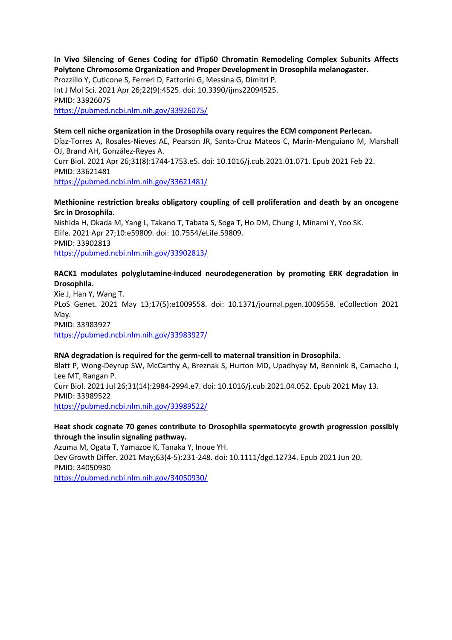#### **In Vivo Silencing of Genes Coding for dTip60 Chromatin Remodeling Complex Subunits Affects Polytene Chromosome Organization and Proper Development in Drosophila melanogaster.**

Prozzillo Y, Cuticone S, Ferreri D, Fattorini G, Messina G, Dimitri P. Int J Mol Sci. 2021 Apr 26;22(9):4525. doi: 10.3390/ijms22094525. PMID: 33926075 https://pubmed.ncbi.nlm.nih.gov/33926075/

#### **Stem cell niche organization in the Drosophila ovary requires the ECM component Perlecan.**

Díaz-Torres A, Rosales-Nieves AE, Pearson JR, Santa-Cruz Mateos C, Marín-Menguiano M, Marshall OJ, Brand AH, González-Reyes A. Curr Biol. 2021 Apr 26;31(8):1744-1753.e5. doi: 10.1016/j.cub.2021.01.071. Epub 2021 Feb 22.

PMID: 33621481 https://pubmed.ncbi.nlm.nih.gov/33621481/

**Methionine restriction breaks obligatory coupling of cell proliferation and death by an oncogene Src in Drosophila.**

Nishida H, Okada M, Yang L, Takano T, Tabata S, Soga T, Ho DM, Chung J, Minami Y, Yoo SK. Elife. 2021 Apr 27;10:e59809. doi: 10.7554/eLife.59809. PMID: 33902813 https://pubmed.ncbi.nlm.nih.gov/33902813/

### **RACK1 modulates polyglutamine-induced neurodegeneration by promoting ERK degradation in Drosophila.**

Xie J, Han Y, Wang T. PLoS Genet. 2021 May 13;17(5):e1009558. doi: 10.1371/journal.pgen.1009558. eCollection 2021 May. PMID: 33983927 https://pubmed.ncbi.nlm.nih.gov/33983927/

#### **RNA degradation is required for the germ-cell to maternal transition in Drosophila.**

Blatt P, Wong-Deyrup SW, McCarthy A, Breznak S, Hurton MD, Upadhyay M, Bennink B, Camacho J, Lee MT, Rangan P. Curr Biol. 2021 Jul 26;31(14):2984-2994.e7. doi: 10.1016/j.cub.2021.04.052. Epub 2021 May 13. PMID: 33989522 https://pubmed.ncbi.nlm.nih.gov/33989522/

#### **Heat shock cognate 70 genes contribute to Drosophila spermatocyte growth progression possibly through the insulin signaling pathway.**

Azuma M, Ogata T, Yamazoe K, Tanaka Y, Inoue YH. Dev Growth Differ. 2021 May;63(4-5):231-248. doi: 10.1111/dgd.12734. Epub 2021 Jun 20. PMID: 34050930 https://pubmed.ncbi.nlm.nih.gov/34050930/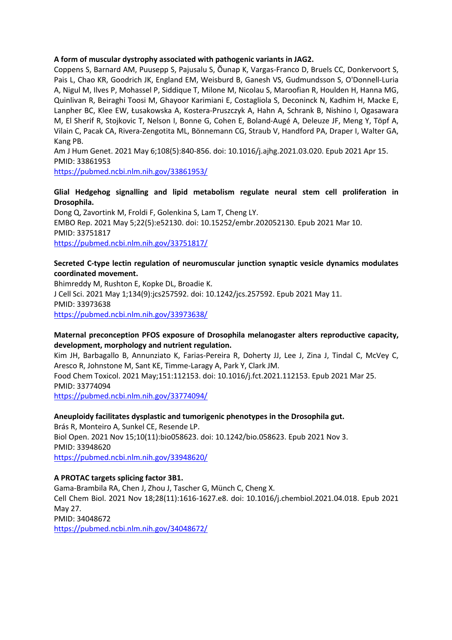#### **A form of muscular dystrophy associated with pathogenic variants in JAG2.**

Coppens S, Barnard AM, Puusepp S, Pajusalu S, Õunap K, Vargas-Franco D, Bruels CC, Donkervoort S, Pais L, Chao KR, Goodrich JK, England EM, Weisburd B, Ganesh VS, Gudmundsson S, O'Donnell-Luria A, Nigul M, Ilves P, Mohassel P, Siddique T, Milone M, Nicolau S, Maroofian R, Houlden H, Hanna MG, Quinlivan R, Beiraghi Toosi M, Ghayoor Karimiani E, Costagliola S, Deconinck N, Kadhim H, Macke E, Lanpher BC, Klee EW, Łusakowska A, Kostera-Pruszczyk A, Hahn A, Schrank B, Nishino I, Ogasawara M, El Sherif R, Stojkovic T, Nelson I, Bonne G, Cohen E, Boland-Augé A, Deleuze JF, Meng Y, Töpf A, Vilain C, Pacak CA, Rivera-Zengotita ML, Bönnemann CG, Straub V, Handford PA, Draper I, Walter GA, Kang PB.

Am J Hum Genet. 2021 May 6;108(5):840-856. doi: 10.1016/j.ajhg.2021.03.020. Epub 2021 Apr 15. PMID: 33861953

https://pubmed.ncbi.nlm.nih.gov/33861953/

#### **Glial Hedgehog signalling and lipid metabolism regulate neural stem cell proliferation in Drosophila.**

Dong Q, Zavortink M, Froldi F, Golenkina S, Lam T, Cheng LY. EMBO Rep. 2021 May 5;22(5):e52130. doi: 10.15252/embr.202052130. Epub 2021 Mar 10. PMID: 33751817 https://pubmed.ncbi.nlm.nih.gov/33751817/

#### **Secreted C-type lectin regulation of neuromuscular junction synaptic vesicle dynamics modulates coordinated movement.**

Bhimreddy M, Rushton E, Kopke DL, Broadie K. J Cell Sci. 2021 May 1;134(9):jcs257592. doi: 10.1242/jcs.257592. Epub 2021 May 11. PMID: 33973638 https://pubmed.ncbi.nlm.nih.gov/33973638/

#### **Maternal preconception PFOS exposure of Drosophila melanogaster alters reproductive capacity, development, morphology and nutrient regulation.**

Kim JH, Barbagallo B, Annunziato K, Farias-Pereira R, Doherty JJ, Lee J, Zina J, Tindal C, McVey C, Aresco R, Johnstone M, Sant KE, Timme-Laragy A, Park Y, Clark JM. Food Chem Toxicol. 2021 May;151:112153. doi: 10.1016/j.fct.2021.112153. Epub 2021 Mar 25. PMID: 33774094

https://pubmed.ncbi.nlm.nih.gov/33774094/

### **Aneuploidy facilitates dysplastic and tumorigenic phenotypes in the Drosophila gut.**

Brás R, Monteiro A, Sunkel CE, Resende LP. Biol Open. 2021 Nov 15;10(11):bio058623. doi: 10.1242/bio.058623. Epub 2021 Nov 3. PMID: 33948620 https://pubmed.ncbi.nlm.nih.gov/33948620/

#### **A PROTAC targets splicing factor 3B1.**

Gama-Brambila RA, Chen J, Zhou J, Tascher G, Münch C, Cheng X. Cell Chem Biol. 2021 Nov 18;28(11):1616-1627.e8. doi: 10.1016/j.chembiol.2021.04.018. Epub 2021 May 27. PMID: 34048672 https://pubmed.ncbi.nlm.nih.gov/34048672/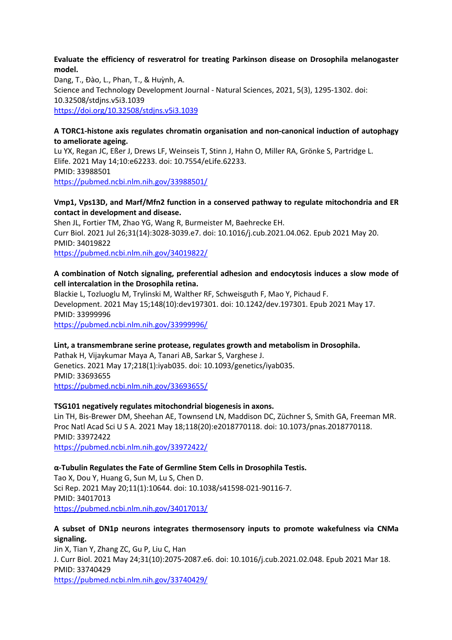#### **Evaluate the efficiency of resveratrol for treating Parkinson disease on Drosophila melanogaster model.**

Dang, T., Đào, L., Phan, T., & Huỳnh, A. Science and Technology Development Journal - Natural Sciences, 2021, 5(3), 1295-1302. doi: 10.32508/stdjns.v5i3.1039 https://doi.org/10.32508/stdjns.v5i3.1039

#### **A TORC1-histone axis regulates chromatin organisation and non-canonical induction of autophagy to ameliorate ageing.**

Lu YX, Regan JC, Eßer J, Drews LF, Weinseis T, Stinn J, Hahn O, Miller RA, Grönke S, Partridge L. Elife. 2021 May 14;10:e62233. doi: 10.7554/eLife.62233. PMID: 33988501 https://pubmed.ncbi.nlm.nih.gov/33988501/

#### **Vmp1, Vps13D, and Marf/Mfn2 function in a conserved pathway to regulate mitochondria and ER contact in development and disease.**

Shen JL, Fortier TM, Zhao YG, Wang R, Burmeister M, Baehrecke EH. Curr Biol. 2021 Jul 26;31(14):3028-3039.e7. doi: 10.1016/j.cub.2021.04.062. Epub 2021 May 20. PMID: 34019822 https://pubmed.ncbi.nlm.nih.gov/34019822/

# **A combination of Notch signaling, preferential adhesion and endocytosis induces a slow mode of cell intercalation in the Drosophila retina.**

Blackie L, Tozluoglu M, Trylinski M, Walther RF, Schweisguth F, Mao Y, Pichaud F. Development. 2021 May 15;148(10):dev197301. doi: 10.1242/dev.197301. Epub 2021 May 17. PMID: 33999996

https://pubmed.ncbi.nlm.nih.gov/33999996/

### **Lint, a transmembrane serine protease, regulates growth and metabolism in Drosophila.**

Pathak H, Vijaykumar Maya A, Tanari AB, Sarkar S, Varghese J. Genetics. 2021 May 17;218(1):iyab035. doi: 10.1093/genetics/iyab035. PMID: 33693655 https://pubmed.ncbi.nlm.nih.gov/33693655/

### **TSG101 negatively regulates mitochondrial biogenesis in axons.**

Lin TH, Bis-Brewer DM, Sheehan AE, Townsend LN, Maddison DC, Züchner S, Smith GA, Freeman MR. Proc Natl Acad Sci U S A. 2021 May 18;118(20):e2018770118. doi: 10.1073/pnas.2018770118. PMID: 33972422 https://pubmed.ncbi.nlm.nih.gov/33972422/

### **α-Tubulin Regulates the Fate of Germline Stem Cells in Drosophila Testis.**

Tao X, Dou Y, Huang G, Sun M, Lu S, Chen D. Sci Rep. 2021 May 20;11(1):10644. doi: 10.1038/s41598-021-90116-7. PMID: 34017013 https://pubmed.ncbi.nlm.nih.gov/34017013/

#### **A subset of DN1p neurons integrates thermosensory inputs to promote wakefulness via CNMa signaling.**

Jin X, Tian Y, Zhang ZC, Gu P, Liu C, Han J. Curr Biol. 2021 May 24;31(10):2075-2087.e6. doi: 10.1016/j.cub.2021.02.048. Epub 2021 Mar 18. PMID: 33740429 https://pubmed.ncbi.nlm.nih.gov/33740429/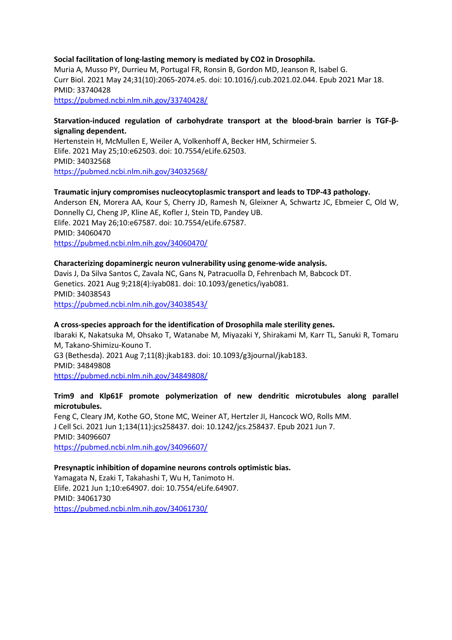#### **Social facilitation of long-lasting memory is mediated by CO2 in Drosophila.**

Muria A, Musso PY, Durrieu M, Portugal FR, Ronsin B, Gordon MD, Jeanson R, Isabel G. Curr Biol. 2021 May 24;31(10):2065-2074.e5. doi: 10.1016/j.cub.2021.02.044. Epub 2021 Mar 18. PMID: 33740428

https://pubmed.ncbi.nlm.nih.gov/33740428/

#### **Starvation-induced regulation of carbohydrate transport at the blood-brain barrier is TGF-βsignaling dependent.**

Hertenstein H, McMullen E, Weiler A, Volkenhoff A, Becker HM, Schirmeier S. Elife. 2021 May 25;10:e62503. doi: 10.7554/eLife.62503. PMID: 34032568 https://pubmed.ncbi.nlm.nih.gov/34032568/

#### **Traumatic injury compromises nucleocytoplasmic transport and leads to TDP-43 pathology.**

Anderson EN, Morera AA, Kour S, Cherry JD, Ramesh N, Gleixner A, Schwartz JC, Ebmeier C, Old W, Donnelly CJ, Cheng JP, Kline AE, Kofler J, Stein TD, Pandey UB. Elife. 2021 May 26;10:e67587. doi: 10.7554/eLife.67587. PMID: 34060470 https://pubmed.ncbi.nlm.nih.gov/34060470/

#### **Characterizing dopaminergic neuron vulnerability using genome-wide analysis.**

Davis J, Da Silva Santos C, Zavala NC, Gans N, Patracuolla D, Fehrenbach M, Babcock DT. Genetics. 2021 Aug 9;218(4):iyab081. doi: 10.1093/genetics/iyab081. PMID: 34038543 https://pubmed.ncbi.nlm.nih.gov/34038543/

#### **A cross-species approach for the identification of Drosophila male sterility genes.**

Ibaraki K, Nakatsuka M, Ohsako T, Watanabe M, Miyazaki Y, Shirakami M, Karr TL, Sanuki R, Tomaru M, Takano-Shimizu-Kouno T. G3 (Bethesda). 2021 Aug 7;11(8):jkab183. doi: 10.1093/g3journal/jkab183. PMID: 34849808

https://pubmed.ncbi.nlm.nih.gov/34849808/

#### **Trim9 and Klp61F promote polymerization of new dendritic microtubules along parallel microtubules.**

Feng C, Cleary JM, Kothe GO, Stone MC, Weiner AT, Hertzler JI, Hancock WO, Rolls MM. J Cell Sci. 2021 Jun 1;134(11):jcs258437. doi: 10.1242/jcs.258437. Epub 2021 Jun 7. PMID: 34096607 https://pubmed.ncbi.nlm.nih.gov/34096607/

#### **Presynaptic inhibition of dopamine neurons controls optimistic bias.**

Yamagata N, Ezaki T, Takahashi T, Wu H, Tanimoto H. Elife. 2021 Jun 1;10:e64907. doi: 10.7554/eLife.64907. PMID: 34061730 https://pubmed.ncbi.nlm.nih.gov/34061730/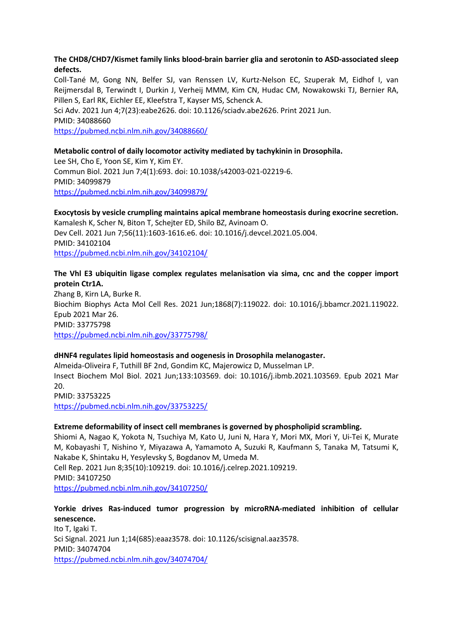#### **The CHD8/CHD7/Kismet family links blood-brain barrier glia and serotonin to ASD-associated sleep defects.**

Coll-Tané M, Gong NN, Belfer SJ, van Renssen LV, Kurtz-Nelson EC, Szuperak M, Eidhof I, van Reijmersdal B, Terwindt I, Durkin J, Verheij MMM, Kim CN, Hudac CM, Nowakowski TJ, Bernier RA, Pillen S, Earl RK, Eichler EE, Kleefstra T, Kayser MS, Schenck A.

Sci Adv. 2021 Jun 4;7(23):eabe2626. doi: 10.1126/sciadv.abe2626. Print 2021 Jun. PMID: 34088660

https://pubmed.ncbi.nlm.nih.gov/34088660/

#### **Metabolic control of daily locomotor activity mediated by tachykinin in Drosophila.**

Lee SH, Cho E, Yoon SE, Kim Y, Kim EY. Commun Biol. 2021 Jun 7;4(1):693. doi: 10.1038/s42003-021-02219-6. PMID: 34099879 https://pubmed.ncbi.nlm.nih.gov/34099879/

#### **Exocytosis by vesicle crumpling maintains apical membrane homeostasis during exocrine secretion.** Kamalesh K, Scher N, Biton T, Schejter ED, Shilo BZ, Avinoam O. Dev Cell. 2021 Jun 7;56(11):1603-1616.e6. doi: 10.1016/j.devcel.2021.05.004. PMID: 34102104

https://pubmed.ncbi.nlm.nih.gov/34102104/

### **The Vhl E3 ubiquitin ligase complex regulates melanisation via sima, cnc and the copper import protein Ctr1A.**

Zhang B, Kirn LA, Burke R. Biochim Biophys Acta Mol Cell Res. 2021 Jun;1868(7):119022. doi: 10.1016/j.bbamcr.2021.119022. Epub 2021 Mar 26. PMID: 33775798 https://pubmed.ncbi.nlm.nih.gov/33775798/

#### **dHNF4 regulates lipid homeostasis and oogenesis in Drosophila melanogaster.**

Almeida-Oliveira F, Tuthill BF 2nd, Gondim KC, Majerowicz D, Musselman LP. Insect Biochem Mol Biol. 2021 Jun;133:103569. doi: 10.1016/j.ibmb.2021.103569. Epub 2021 Mar 20. PMID: 33753225 https://pubmed.ncbi.nlm.nih.gov/33753225/

#### **Extreme deformability of insect cell membranes is governed by phospholipid scrambling.**

Shiomi A, Nagao K, Yokota N, Tsuchiya M, Kato U, Juni N, Hara Y, Mori MX, Mori Y, Ui-Tei K, Murate M, Kobayashi T, Nishino Y, Miyazawa A, Yamamoto A, Suzuki R, Kaufmann S, Tanaka M, Tatsumi K, Nakabe K, Shintaku H, Yesylevsky S, Bogdanov M, Umeda M. Cell Rep. 2021 Jun 8;35(10):109219. doi: 10.1016/j.celrep.2021.109219. PMID: 34107250

https://pubmed.ncbi.nlm.nih.gov/34107250/

# **Yorkie drives Ras-induced tumor progression by microRNA-mediated inhibition of cellular senescence.** Ito T, Igaki T. Sci Signal. 2021 Jun 1;14(685):eaaz3578. doi: 10.1126/scisignal.aaz3578. PMID: 34074704

https://pubmed.ncbi.nlm.nih.gov/34074704/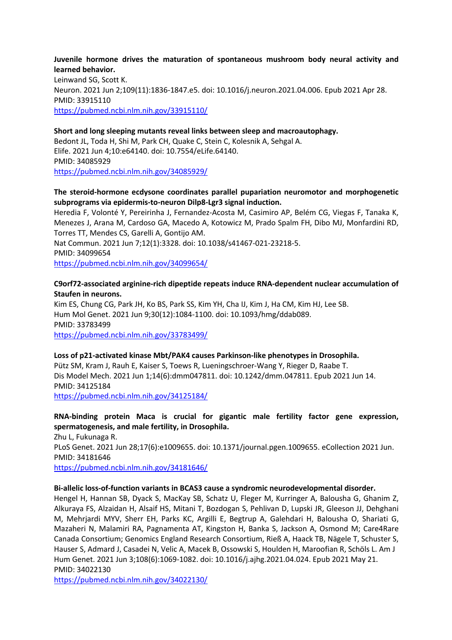#### **Juvenile hormone drives the maturation of spontaneous mushroom body neural activity and learned behavior.**

Leinwand SG, Scott K. Neuron. 2021 Jun 2;109(11):1836-1847.e5. doi: 10.1016/j.neuron.2021.04.006. Epub 2021 Apr 28. PMID: 33915110 https://pubmed.ncbi.nlm.nih.gov/33915110/

#### **Short and long sleeping mutants reveal links between sleep and macroautophagy.**

Bedont JL, Toda H, Shi M, Park CH, Quake C, Stein C, Kolesnik A, Sehgal A. Elife. 2021 Jun 4;10:e64140. doi: 10.7554/eLife.64140. PMID: 34085929 https://pubmed.ncbi.nlm.nih.gov/34085929/

#### **The steroid-hormone ecdysone coordinates parallel pupariation neuromotor and morphogenetic subprograms via epidermis-to-neuron Dilp8-Lgr3 signal induction.**

Heredia F, Volonté Y, Pereirinha J, Fernandez-Acosta M, Casimiro AP, Belém CG, Viegas F, Tanaka K, Menezes J, Arana M, Cardoso GA, Macedo A, Kotowicz M, Prado Spalm FH, Dibo MJ, Monfardini RD, Torres TT, Mendes CS, Garelli A, Gontijo AM.

Nat Commun. 2021 Jun 7;12(1):3328. doi: 10.1038/s41467-021-23218-5. PMID: 34099654 https://pubmed.ncbi.nlm.nih.gov/34099654/

#### **C9orf72-associated arginine-rich dipeptide repeats induce RNA-dependent nuclear accumulation of Staufen in neurons.**

Kim ES, Chung CG, Park JH, Ko BS, Park SS, Kim YH, Cha IJ, Kim J, Ha CM, Kim HJ, Lee SB. Hum Mol Genet. 2021 Jun 9;30(12):1084-1100. doi: 10.1093/hmg/ddab089. PMID: 33783499 https://pubmed.ncbi.nlm.nih.gov/33783499/

#### **Loss of p21-activated kinase Mbt/PAK4 causes Parkinson-like phenotypes in Drosophila.**

Pütz SM, Kram J, Rauh E, Kaiser S, Toews R, Lueningschroer-Wang Y, Rieger D, Raabe T. Dis Model Mech. 2021 Jun 1;14(6):dmm047811. doi: 10.1242/dmm.047811. Epub 2021 Jun 14. PMID: 34125184

https://pubmed.ncbi.nlm.nih.gov/34125184/

# **RNA-binding protein Maca is crucial for gigantic male fertility factor gene expression, spermatogenesis, and male fertility, in Drosophila.**

Zhu L, Fukunaga R. PLoS Genet. 2021 Jun 28;17(6):e1009655. doi: 10.1371/journal.pgen.1009655. eCollection 2021 Jun. PMID: 34181646 https://pubmed.ncbi.nlm.nih.gov/34181646/

#### **Bi-allelic loss-of-function variants in BCAS3 cause a syndromic neurodevelopmental disorder.**

Hengel H, Hannan SB, Dyack S, MacKay SB, Schatz U, Fleger M, Kurringer A, Balousha G, Ghanim Z, Alkuraya FS, Alzaidan H, Alsaif HS, Mitani T, Bozdogan S, Pehlivan D, Lupski JR, Gleeson JJ, Dehghani M, Mehrjardi MYV, Sherr EH, Parks KC, Argilli E, Begtrup A, Galehdari H, Balousha O, Shariati G, Mazaheri N, Malamiri RA, Pagnamenta AT, Kingston H, Banka S, Jackson A, Osmond M; Care4Rare Canada Consortium; Genomics England Research Consortium, Rieß A, Haack TB, Nägele T, Schuster S, Hauser S, Admard J, Casadei N, Velic A, Macek B, Ossowski S, Houlden H, Maroofian R, Schöls L. Am J Hum Genet. 2021 Jun 3;108(6):1069-1082. doi: 10.1016/j.ajhg.2021.04.024. Epub 2021 May 21. PMID: 34022130

https://pubmed.ncbi.nlm.nih.gov/34022130/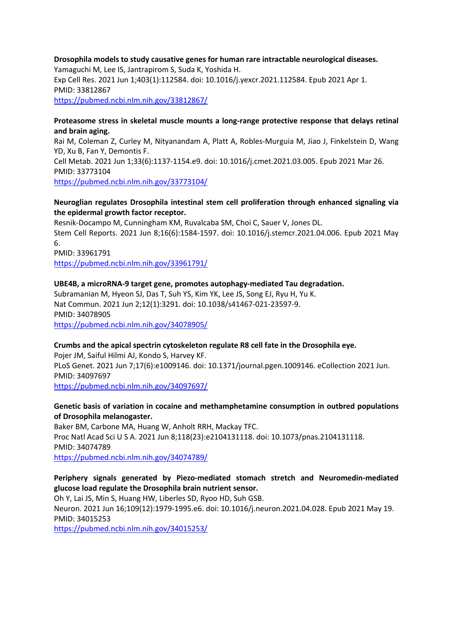# **Drosophila models to study causative genes for human rare intractable neurological diseases.** Yamaguchi M, Lee IS, Jantrapirom S, Suda K, Yoshida H. Exp Cell Res. 2021 Jun 1;403(1):112584. doi: 10.1016/j.yexcr.2021.112584. Epub 2021 Apr 1. PMID: 33812867 https://pubmed.ncbi.nlm.nih.gov/33812867/

#### **Proteasome stress in skeletal muscle mounts a long-range protective response that delays retinal and brain aging.**

Rai M, Coleman Z, Curley M, Nityanandam A, Platt A, Robles-Murguia M, Jiao J, Finkelstein D, Wang YD, Xu B, Fan Y, Demontis F. Cell Metab. 2021 Jun 1;33(6):1137-1154.e9. doi: 10.1016/j.cmet.2021.03.005. Epub 2021 Mar 26. PMID: 33773104 https://pubmed.ncbi.nlm.nih.gov/33773104/

#### **Neuroglian regulates Drosophila intestinal stem cell proliferation through enhanced signaling via the epidermal growth factor receptor.**

Resnik-Docampo M, Cunningham KM, Ruvalcaba SM, Choi C, Sauer V, Jones DL. Stem Cell Reports. 2021 Jun 8;16(6):1584-1597. doi: 10.1016/j.stemcr.2021.04.006. Epub 2021 May 6. PMID: 33961791

https://pubmed.ncbi.nlm.nih.gov/33961791/

### **UBE4B, a microRNA-9 target gene, promotes autophagy-mediated Tau degradation.**

Subramanian M, Hyeon SJ, Das T, Suh YS, Kim YK, Lee JS, Song EJ, Ryu H, Yu K. Nat Commun. 2021 Jun 2;12(1):3291. doi: 10.1038/s41467-021-23597-9. PMID: 34078905 https://pubmed.ncbi.nlm.nih.gov/34078905/

### **Crumbs and the apical spectrin cytoskeleton regulate R8 cell fate in the Drosophila eye.**

Pojer JM, Saiful Hilmi AJ, Kondo S, Harvey KF. PLoS Genet. 2021 Jun 7;17(6):e1009146. doi: 10.1371/journal.pgen.1009146. eCollection 2021 Jun. PMID: 34097697 https://pubmed.ncbi.nlm.nih.gov/34097697/

# **Genetic basis of variation in cocaine and methamphetamine consumption in outbred populations of Drosophila melanogaster.**

Baker BM, Carbone MA, Huang W, Anholt RRH, Mackay TFC. Proc Natl Acad Sci U S A. 2021 Jun 8;118(23):e2104131118. doi: 10.1073/pnas.2104131118. PMID: 34074789 https://pubmed.ncbi.nlm.nih.gov/34074789/

# **Periphery signals generated by Piezo-mediated stomach stretch and Neuromedin-mediated glucose load regulate the Drosophila brain nutrient sensor.**

Oh Y, Lai JS, Min S, Huang HW, Liberles SD, Ryoo HD, Suh GSB.

Neuron. 2021 Jun 16;109(12):1979-1995.e6. doi: 10.1016/j.neuron.2021.04.028. Epub 2021 May 19. PMID: 34015253

https://pubmed.ncbi.nlm.nih.gov/34015253/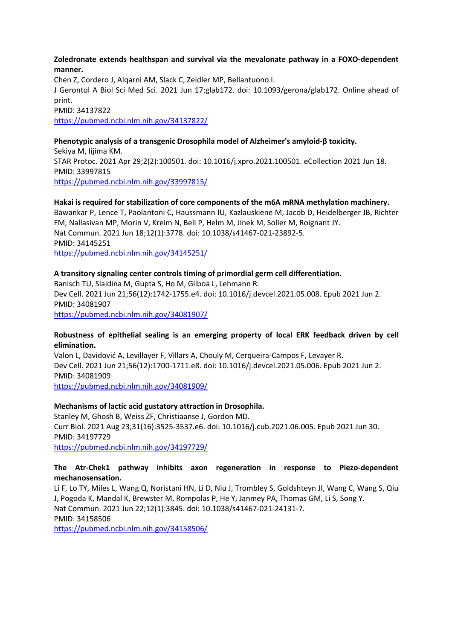#### **Zoledronate extends healthspan and survival via the mevalonate pathway in a FOXO-dependent manner.**

Chen Z, Cordero J, Alqarni AM, Slack C, Zeidler MP, Bellantuono I. J Gerontol A Biol Sci Med Sci. 2021 Jun 17:glab172. doi: 10.1093/gerona/glab172. Online ahead of print. PMID: 34137822 https://pubmed.ncbi.nlm.nih.gov/34137822/

# **Phenotypic analysis of a transgenic Drosophila model of Alzheimer's amyloid-β toxicity.**

Sekiya M, Iijima KM. STAR Protoc. 2021 Apr 29;2(2):100501. doi: 10.1016/j.xpro.2021.100501. eCollection 2021 Jun 18. PMID: 33997815 https://pubmed.ncbi.nlm.nih.gov/33997815/

#### **Hakai is required for stabilization of core components of the m6A mRNA methylation machinery.**

Bawankar P, Lence T, Paolantoni C, Haussmann IU, Kazlauskiene M, Jacob D, Heidelberger JB, Richter FM, Nallasivan MP, Morin V, Kreim N, Beli P, Helm M, Jinek M, Soller M, Roignant JY. Nat Commun. 2021 Jun 18;12(1):3778. doi: 10.1038/s41467-021-23892-5. PMID: 34145251 https://pubmed.ncbi.nlm.nih.gov/34145251/

### **A transitory signaling center controls timing of primordial germ cell differentiation.**

Banisch TU, Slaidina M, Gupta S, Ho M, Gilboa L, Lehmann R. Dev Cell. 2021 Jun 21;56(12):1742-1755.e4. doi: 10.1016/j.devcel.2021.05.008. Epub 2021 Jun 2. PMID: 34081907 https://pubmed.ncbi.nlm.nih.gov/34081907/

#### **Robustness of epithelial sealing is an emerging property of local ERK feedback driven by cell elimination.**

Valon L, Davidović A, Levillayer F, Villars A, Chouly M, Cerqueira-Campos F, Levayer R. Dev Cell. 2021 Jun 21;56(12):1700-1711.e8. doi: 10.1016/j.devcel.2021.05.006. Epub 2021 Jun 2. PMID: 34081909

https://pubmed.ncbi.nlm.nih.gov/34081909/

### **Mechanisms of lactic acid gustatory attraction in Drosophila.**

Stanley M, Ghosh B, Weiss ZF, Christiaanse J, Gordon MD. Curr Biol. 2021 Aug 23;31(16):3525-3537.e6. doi: 10.1016/j.cub.2021.06.005. Epub 2021 Jun 30. PMID: 34197729 https://pubmed.ncbi.nlm.nih.gov/34197729/

#### **The Atr-Chek1 pathway inhibits axon regeneration in response to Piezo-dependent mechanosensation.**

Li F, Lo TY, Miles L, Wang Q, Noristani HN, Li D, Niu J, Trombley S, Goldshteyn JI, Wang C, Wang S, Qiu J, Pogoda K, Mandal K, Brewster M, Rompolas P, He Y, Janmey PA, Thomas GM, Li S, Song Y. Nat Commun. 2021 Jun 22;12(1):3845. doi: 10.1038/s41467-021-24131-7. PMID: 34158506 https://pubmed.ncbi.nlm.nih.gov/34158506/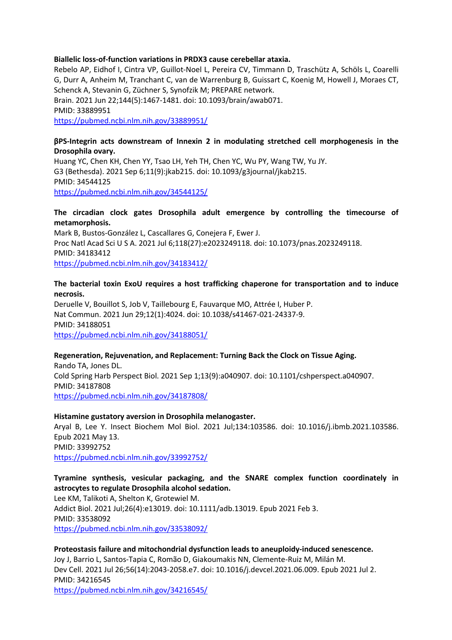#### **Biallelic loss-of-function variations in PRDX3 cause cerebellar ataxia.**

Rebelo AP, Eidhof I, Cintra VP, Guillot-Noel L, Pereira CV, Timmann D, Traschütz A, Schöls L, Coarelli G, Durr A, Anheim M, Tranchant C, van de Warrenburg B, Guissart C, Koenig M, Howell J, Moraes CT, Schenck A, Stevanin G, Züchner S, Synofzik M; PREPARE network. Brain. 2021 Jun 22;144(5):1467-1481. doi: 10.1093/brain/awab071. PMID: 33889951 https://pubmed.ncbi.nlm.nih.gov/33889951/

#### **βPS-Integrin acts downstream of Innexin 2 in modulating stretched cell morphogenesis in the Drosophila ovary.**

Huang YC, Chen KH, Chen YY, Tsao LH, Yeh TH, Chen YC, Wu PY, Wang TW, Yu JY. G3 (Bethesda). 2021 Sep 6;11(9):jkab215. doi: 10.1093/g3journal/jkab215. PMID: 34544125 https://pubmed.ncbi.nlm.nih.gov/34544125/

#### **The circadian clock gates Drosophila adult emergence by controlling the timecourse of metamorphosis.**

Mark B, Bustos-González L, Cascallares G, Conejera F, Ewer J. Proc Natl Acad Sci U S A. 2021 Jul 6;118(27):e2023249118. doi: 10.1073/pnas.2023249118. PMID: 34183412 https://pubmed.ncbi.nlm.nih.gov/34183412/

#### **The bacterial toxin ExoU requires a host trafficking chaperone for transportation and to induce necrosis.**

Deruelle V, Bouillot S, Job V, Taillebourg E, Fauvarque MO, Attrée I, Huber P. Nat Commun. 2021 Jun 29;12(1):4024. doi: 10.1038/s41467-021-24337-9. PMID: 34188051 https://pubmed.ncbi.nlm.nih.gov/34188051/

#### **Regeneration, Rejuvenation, and Replacement: Turning Back the Clock on Tissue Aging.**

Rando TA, Jones DL. Cold Spring Harb Perspect Biol. 2021 Sep 1;13(9):a040907. doi: 10.1101/cshperspect.a040907. PMID: 34187808 https://pubmed.ncbi.nlm.nih.gov/34187808/

#### **Histamine gustatory aversion in Drosophila melanogaster.**

Aryal B, Lee Y. Insect Biochem Mol Biol. 2021 Jul;134:103586. doi: 10.1016/j.ibmb.2021.103586. Epub 2021 May 13. PMID: 33992752 https://pubmed.ncbi.nlm.nih.gov/33992752/

### **Tyramine synthesis, vesicular packaging, and the SNARE complex function coordinately in astrocytes to regulate Drosophila alcohol sedation.**

Lee KM, Talikoti A, Shelton K, Grotewiel M. Addict Biol. 2021 Jul;26(4):e13019. doi: 10.1111/adb.13019. Epub 2021 Feb 3. PMID: 33538092 https://pubmed.ncbi.nlm.nih.gov/33538092/

#### **Proteostasis failure and mitochondrial dysfunction leads to aneuploidy-induced senescence.** Joy J, Barrio L, Santos-Tapia C, Romão D, Giakoumakis NN, Clemente-Ruiz M, Milán M. Dev Cell. 2021 Jul 26;56(14):2043-2058.e7. doi: 10.1016/j.devcel.2021.06.009. Epub 2021 Jul 2. PMID: 34216545 https://pubmed.ncbi.nlm.nih.gov/34216545/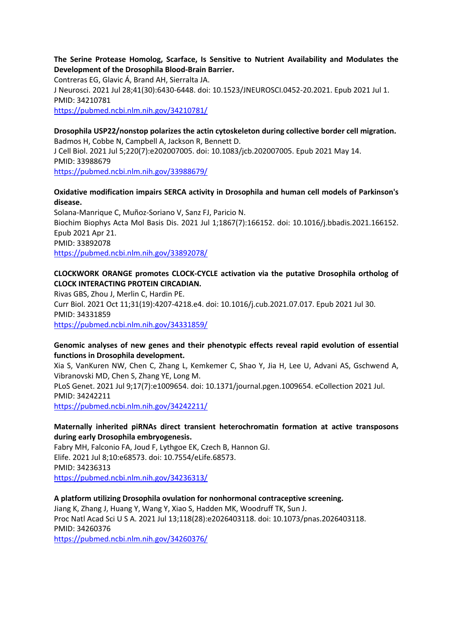#### **The Serine Protease Homolog, Scarface, Is Sensitive to Nutrient Availability and Modulates the Development of the Drosophila Blood-Brain Barrier.**

Contreras EG, Glavic Á, Brand AH, Sierralta JA. J Neurosci. 2021 Jul 28;41(30):6430-6448. doi: 10.1523/JNEUROSCI.0452-20.2021. Epub 2021 Jul 1. PMID: 34210781 https://pubmed.ncbi.nlm.nih.gov/34210781/

# **Drosophila USP22/nonstop polarizes the actin cytoskeleton during collective border cell migration.** Badmos H, Cobbe N, Campbell A, Jackson R, Bennett D. J Cell Biol. 2021 Jul 5;220(7):e202007005. doi: 10.1083/jcb.202007005. Epub 2021 May 14. PMID: 33988679

https://pubmed.ncbi.nlm.nih.gov/33988679/

# **Oxidative modification impairs SERCA activity in Drosophila and human cell models of Parkinson's disease.**

Solana-Manrique C, Muñoz-Soriano V, Sanz FJ, Paricio N. Biochim Biophys Acta Mol Basis Dis. 2021 Jul 1;1867(7):166152. doi: 10.1016/j.bbadis.2021.166152. Epub 2021 Apr 21. PMID: 33892078 https://pubmed.ncbi.nlm.nih.gov/33892078/

# **CLOCKWORK ORANGE promotes CLOCK-CYCLE activation via the putative Drosophila ortholog of CLOCK INTERACTING PROTEIN CIRCADIAN.**

Rivas GBS, Zhou J, Merlin C, Hardin PE. Curr Biol. 2021 Oct 11;31(19):4207-4218.e4. doi: 10.1016/j.cub.2021.07.017. Epub 2021 Jul 30. PMID: 34331859 https://pubmed.ncbi.nlm.nih.gov/34331859/

### **Genomic analyses of new genes and their phenotypic effects reveal rapid evolution of essential functions in Drosophila development.**

Xia S, VanKuren NW, Chen C, Zhang L, Kemkemer C, Shao Y, Jia H, Lee U, Advani AS, Gschwend A, Vibranovski MD, Chen S, Zhang YE, Long M.

PLoS Genet. 2021 Jul 9;17(7):e1009654. doi: 10.1371/journal.pgen.1009654. eCollection 2021 Jul. PMID: 34242211

https://pubmed.ncbi.nlm.nih.gov/34242211/

# **Maternally inherited piRNAs direct transient heterochromatin formation at active transposons during early Drosophila embryogenesis.**

Fabry MH, Falconio FA, Joud F, Lythgoe EK, Czech B, Hannon GJ. Elife. 2021 Jul 8;10:e68573. doi: 10.7554/eLife.68573. PMID: 34236313 https://pubmed.ncbi.nlm.nih.gov/34236313/

### **A platform utilizing Drosophila ovulation for nonhormonal contraceptive screening.**

Jiang K, Zhang J, Huang Y, Wang Y, Xiao S, Hadden MK, Woodruff TK, Sun J. Proc Natl Acad Sci U S A. 2021 Jul 13;118(28):e2026403118. doi: 10.1073/pnas.2026403118. PMID: 34260376 https://pubmed.ncbi.nlm.nih.gov/34260376/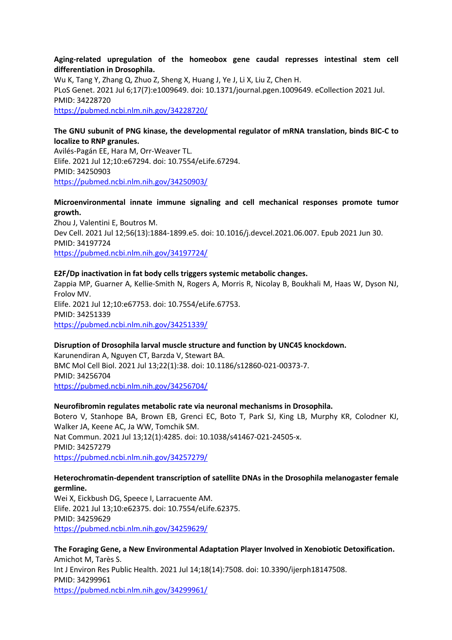#### **Aging-related upregulation of the homeobox gene caudal represses intestinal stem cell differentiation in Drosophila.**

Wu K, Tang Y, Zhang Q, Zhuo Z, Sheng X, Huang J, Ye J, Li X, Liu Z, Chen H. PLoS Genet. 2021 Jul 6;17(7):e1009649. doi: 10.1371/journal.pgen.1009649. eCollection 2021 Jul. PMID: 34228720 https://pubmed.ncbi.nlm.nih.gov/34228720/

#### **The GNU subunit of PNG kinase, the developmental regulator of mRNA translation, binds BIC-C to localize to RNP granules.**

Avilés-Pagán EE, Hara M, Orr-Weaver TL. Elife. 2021 Jul 12;10:e67294. doi: 10.7554/eLife.67294. PMID: 34250903 https://pubmed.ncbi.nlm.nih.gov/34250903/

### **Microenvironmental innate immune signaling and cell mechanical responses promote tumor growth.**

Zhou J, Valentini E, Boutros M. Dev Cell. 2021 Jul 12;56(13):1884-1899.e5. doi: 10.1016/j.devcel.2021.06.007. Epub 2021 Jun 30. PMID: 34197724 https://pubmed.ncbi.nlm.nih.gov/34197724/

#### **E2F/Dp inactivation in fat body cells triggers systemic metabolic changes.**

Zappia MP, Guarner A, Kellie-Smith N, Rogers A, Morris R, Nicolay B, Boukhali M, Haas W, Dyson NJ, Frolov MV. Elife. 2021 Jul 12;10:e67753. doi: 10.7554/eLife.67753. PMID: 34251339 https://pubmed.ncbi.nlm.nih.gov/34251339/

### **Disruption of Drosophila larval muscle structure and function by UNC45 knockdown.**

Karunendiran A, Nguyen CT, Barzda V, Stewart BA. BMC Mol Cell Biol. 2021 Jul 13;22(1):38. doi: 10.1186/s12860-021-00373-7. PMID: 34256704 https://pubmed.ncbi.nlm.nih.gov/34256704/

#### **Neurofibromin regulates metabolic rate via neuronal mechanisms in Drosophila.**

Botero V, Stanhope BA, Brown EB, Grenci EC, Boto T, Park SJ, King LB, Murphy KR, Colodner KJ, Walker JA, Keene AC, Ja WW, Tomchik SM. Nat Commun. 2021 Jul 13;12(1):4285. doi: 10.1038/s41467-021-24505-x. PMID: 34257279 https://pubmed.ncbi.nlm.nih.gov/34257279/

#### **Heterochromatin-dependent transcription of satellite DNAs in the Drosophila melanogaster female germline.**

Wei X, Eickbush DG, Speece I, Larracuente AM. Elife. 2021 Jul 13;10:e62375. doi: 10.7554/eLife.62375. PMID: 34259629 https://pubmed.ncbi.nlm.nih.gov/34259629/

**The Foraging Gene, a New Environmental Adaptation Player Involved in Xenobiotic Detoxification.** Amichot M, Tarès S. Int J Environ Res Public Health. 2021 Jul 14;18(14):7508. doi: 10.3390/ijerph18147508. PMID: 34299961 https://pubmed.ncbi.nlm.nih.gov/34299961/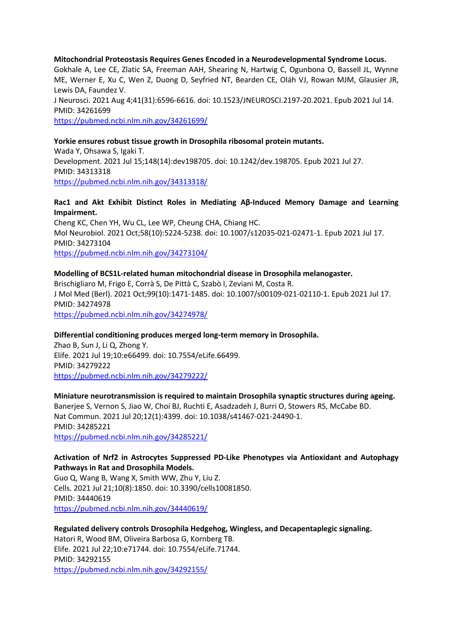**Mitochondrial Proteostasis Requires Genes Encoded in a Neurodevelopmental Syndrome Locus.** Gokhale A, Lee CE, Zlatic SA, Freeman AAH, Shearing N, Hartwig C, Ogunbona O, Bassell JL, Wynne ME, Werner E, Xu C, Wen Z, Duong D, Seyfried NT, Bearden CE, Oláh VJ, Rowan MJM, Glausier JR, Lewis DA, Faundez V. J Neurosci. 2021 Aug 4;41(31):6596-6616. doi: 10.1523/JNEUROSCI.2197-20.2021. Epub 2021 Jul 14. PMID: 34261699 https://pubmed.ncbi.nlm.nih.gov/34261699/

#### **Yorkie ensures robust tissue growth in Drosophila ribosomal protein mutants.**

Wada Y, Ohsawa S, Igaki T. Development. 2021 Jul 15;148(14):dev198705. doi: 10.1242/dev.198705. Epub 2021 Jul 27. PMID: 34313318 https://pubmed.ncbi.nlm.nih.gov/34313318/

#### **Rac1 and Akt Exhibit Distinct Roles in Mediating Aβ-Induced Memory Damage and Learning Impairment.**

Cheng KC, Chen YH, Wu CL, Lee WP, Cheung CHA, Chiang HC. Mol Neurobiol. 2021 Oct;58(10):5224-5238. doi: 10.1007/s12035-021-02471-1. Epub 2021 Jul 17. PMID: 34273104 https://pubmed.ncbi.nlm.nih.gov/34273104/

#### **Modelling of BCS1L-related human mitochondrial disease in Drosophila melanogaster.**

Brischigliaro M, Frigo E, Corrà S, De Pittà C, Szabò I, Zeviani M, Costa R. J Mol Med (Berl). 2021 Oct;99(10):1471-1485. doi: 10.1007/s00109-021-02110-1. Epub 2021 Jul 17. PMID: 34274978 https://pubmed.ncbi.nlm.nih.gov/34274978/

#### **Differential conditioning produces merged long-term memory in Drosophila.**

Zhao B, Sun J, Li Q, Zhong Y. Elife. 2021 Jul 19;10:e66499. doi: 10.7554/eLife.66499. PMID: 34279222 https://pubmed.ncbi.nlm.nih.gov/34279222/

# **Miniature neurotransmission is required to maintain Drosophila synaptic structures during ageing.**

Banerjee S, Vernon S, Jiao W, Choi BJ, Ruchti E, Asadzadeh J, Burri O, Stowers RS, McCabe BD. Nat Commun. 2021 Jul 20;12(1):4399. doi: 10.1038/s41467-021-24490-1. PMID: 34285221 https://pubmed.ncbi.nlm.nih.gov/34285221/

#### **Activation of Nrf2 in Astrocytes Suppressed PD-Like Phenotypes via Antioxidant and Autophagy Pathways in Rat and Drosophila Models.**

Guo Q, Wang B, Wang X, Smith WW, Zhu Y, Liu Z. Cells. 2021 Jul 21;10(8):1850. doi: 10.3390/cells10081850. PMID: 34440619 https://pubmed.ncbi.nlm.nih.gov/34440619/

#### **Regulated delivery controls Drosophila Hedgehog, Wingless, and Decapentaplegic signaling.**

Hatori R, Wood BM, Oliveira Barbosa G, Kornberg TB. Elife. 2021 Jul 22;10:e71744. doi: 10.7554/eLife.71744. PMID: 34292155 https://pubmed.ncbi.nlm.nih.gov/34292155/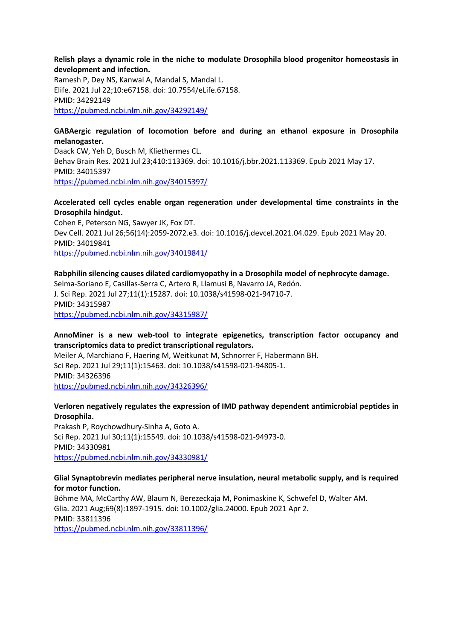#### **Relish plays a dynamic role in the niche to modulate Drosophila blood progenitor homeostasis in development and infection.**

Ramesh P, Dey NS, Kanwal A, Mandal S, Mandal L. Elife. 2021 Jul 22;10:e67158. doi: 10.7554/eLife.67158. PMID: 34292149 https://pubmed.ncbi.nlm.nih.gov/34292149/

#### **GABAergic regulation of locomotion before and during an ethanol exposure in Drosophila melanogaster.**

Daack CW, Yeh D, Busch M, Kliethermes CL. Behav Brain Res. 2021 Jul 23;410:113369. doi: 10.1016/j.bbr.2021.113369. Epub 2021 May 17. PMID: 34015397 https://pubmed.ncbi.nlm.nih.gov/34015397/

#### **Accelerated cell cycles enable organ regeneration under developmental time constraints in the Drosophila hindgut.**

Cohen E, Peterson NG, Sawyer JK, Fox DT. Dev Cell. 2021 Jul 26;56(14):2059-2072.e3. doi: 10.1016/j.devcel.2021.04.029. Epub 2021 May 20. PMID: 34019841 https://pubmed.ncbi.nlm.nih.gov/34019841/

#### **Rabphilin silencing causes dilated cardiomyopathy in a Drosophila model of nephrocyte damage.**

Selma-Soriano E, Casillas-Serra C, Artero R, Llamusi B, Navarro JA, Redón. J. Sci Rep. 2021 Jul 27;11(1):15287. doi: 10.1038/s41598-021-94710-7. PMID: 34315987 https://pubmed.ncbi.nlm.nih.gov/34315987/

#### **AnnoMiner is a new web-tool to integrate epigenetics, transcription factor occupancy and transcriptomics data to predict transcriptional regulators.**

Meiler A, Marchiano F, Haering M, Weitkunat M, Schnorrer F, Habermann BH. Sci Rep. 2021 Jul 29;11(1):15463. doi: 10.1038/s41598-021-94805-1. PMID: 34326396 https://pubmed.ncbi.nlm.nih.gov/34326396/

### **Verloren negatively regulates the expression of IMD pathway dependent antimicrobial peptides in Drosophila.**

Prakash P, Roychowdhury-Sinha A, Goto A. Sci Rep. 2021 Jul 30;11(1):15549. doi: 10.1038/s41598-021-94973-0. PMID: 34330981 https://pubmed.ncbi.nlm.nih.gov/34330981/

#### **Glial Synaptobrevin mediates peripheral nerve insulation, neural metabolic supply, and is required for motor function.**

Böhme MA, McCarthy AW, Blaum N, Berezeckaja M, Ponimaskine K, Schwefel D, Walter AM. Glia. 2021 Aug;69(8):1897-1915. doi: 10.1002/glia.24000. Epub 2021 Apr 2. PMID: 33811396 https://pubmed.ncbi.nlm.nih.gov/33811396/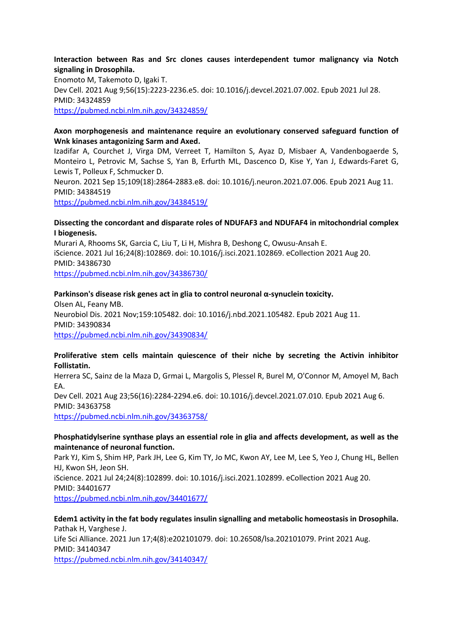#### **Interaction between Ras and Src clones causes interdependent tumor malignancy via Notch signaling in Drosophila.**

Enomoto M, Takemoto D, Igaki T. Dev Cell. 2021 Aug 9;56(15):2223-2236.e5. doi: 10.1016/j.devcel.2021.07.002. Epub 2021 Jul 28. PMID: 34324859 https://pubmed.ncbi.nlm.nih.gov/34324859/

#### **Axon morphogenesis and maintenance require an evolutionary conserved safeguard function of Wnk kinases antagonizing Sarm and Axed.**

Izadifar A, Courchet J, Virga DM, Verreet T, Hamilton S, Ayaz D, Misbaer A, Vandenbogaerde S, Monteiro L, Petrovic M, Sachse S, Yan B, Erfurth ML, Dascenco D, Kise Y, Yan J, Edwards-Faret G, Lewis T, Polleux F, Schmucker D.

Neuron. 2021 Sep 15;109(18):2864-2883.e8. doi: 10.1016/j.neuron.2021.07.006. Epub 2021 Aug 11. PMID: 34384519

https://pubmed.ncbi.nlm.nih.gov/34384519/

#### **Dissecting the concordant and disparate roles of NDUFAF3 and NDUFAF4 in mitochondrial complex I biogenesis.**

Murari A, Rhooms SK, Garcia C, Liu T, Li H, Mishra B, Deshong C, Owusu-Ansah E. iScience. 2021 Jul 16;24(8):102869. doi: 10.1016/j.isci.2021.102869. eCollection 2021 Aug 20. PMID: 34386730

https://pubmed.ncbi.nlm.nih.gov/34386730/

### **Parkinson's disease risk genes act in glia to control neuronal α-synuclein toxicity.**

Olsen AL, Feany MB. Neurobiol Dis. 2021 Nov;159:105482. doi: 10.1016/j.nbd.2021.105482. Epub 2021 Aug 11. PMID: 34390834 https://pubmed.ncbi.nlm.nih.gov/34390834/

#### **Proliferative stem cells maintain quiescence of their niche by secreting the Activin inhibitor Follistatin.**

Herrera SC, Sainz de la Maza D, Grmai L, Margolis S, Plessel R, Burel M, O'Connor M, Amoyel M, Bach EA.

Dev Cell. 2021 Aug 23;56(16):2284-2294.e6. doi: 10.1016/j.devcel.2021.07.010. Epub 2021 Aug 6. PMID: 34363758

https://pubmed.ncbi.nlm.nih.gov/34363758/

#### **Phosphatidylserine synthase plays an essential role in glia and affects development, as well as the maintenance of neuronal function.**

Park YJ, Kim S, Shim HP, Park JH, Lee G, Kim TY, Jo MC, Kwon AY, Lee M, Lee S, Yeo J, Chung HL, Bellen HJ, Kwon SH, Jeon SH. iScience. 2021 Jul 24;24(8):102899. doi: 10.1016/j.isci.2021.102899. eCollection 2021 Aug 20. PMID: 34401677 https://pubmed.ncbi.nlm.nih.gov/34401677/

**Edem1 activity in the fat body regulates insulin signalling and metabolic homeostasis in Drosophila.** Pathak H, Varghese J. Life Sci Alliance. 2021 Jun 17;4(8):e202101079. doi: 10.26508/lsa.202101079. Print 2021 Aug. PMID: 34140347 https://pubmed.ncbi.nlm.nih.gov/34140347/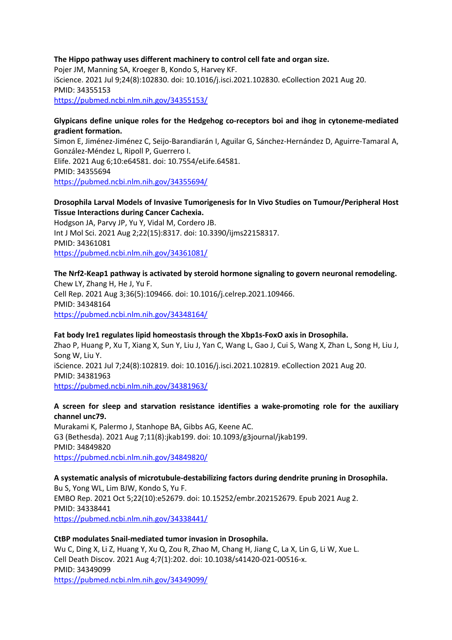#### **The Hippo pathway uses different machinery to control cell fate and organ size.**

Pojer JM, Manning SA, Kroeger B, Kondo S, Harvey KF. iScience. 2021 Jul 9;24(8):102830. doi: 10.1016/j.isci.2021.102830. eCollection 2021 Aug 20. PMID: 34355153 https://pubmed.ncbi.nlm.nih.gov/34355153/

#### **Glypicans define unique roles for the Hedgehog co-receptors boi and ihog in cytoneme-mediated gradient formation.**

Simon E, Jiménez-Jiménez C, Seijo-Barandiarán I, Aguilar G, Sánchez-Hernández D, Aguirre-Tamaral A, González-Méndez L, Ripoll P, Guerrero I. Elife. 2021 Aug 6;10:e64581. doi: 10.7554/eLife.64581. PMID: 34355694 https://pubmed.ncbi.nlm.nih.gov/34355694/

#### **Drosophila Larval Models of Invasive Tumorigenesis for In Vivo Studies on Tumour/Peripheral Host Tissue Interactions during Cancer Cachexia.**

Hodgson JA, Parvy JP, Yu Y, Vidal M, Cordero JB. Int J Mol Sci. 2021 Aug 2;22(15):8317. doi: 10.3390/ijms22158317. PMID: 34361081 https://pubmed.ncbi.nlm.nih.gov/34361081/

#### **The Nrf2-Keap1 pathway is activated by steroid hormone signaling to govern neuronal remodeling.**

Chew LY, Zhang H, He J, Yu F. Cell Rep. 2021 Aug 3;36(5):109466. doi: 10.1016/j.celrep.2021.109466. PMID: 34348164 https://pubmed.ncbi.nlm.nih.gov/34348164/

#### **Fat body Ire1 regulates lipid homeostasis through the Xbp1s-FoxO axis in Drosophila.**

Zhao P, Huang P, Xu T, Xiang X, Sun Y, Liu J, Yan C, Wang L, Gao J, Cui S, Wang X, Zhan L, Song H, Liu J, Song W, Liu Y. iScience. 2021 Jul 7;24(8):102819. doi: 10.1016/j.isci.2021.102819. eCollection 2021 Aug 20. PMID: 34381963 https://pubmed.ncbi.nlm.nih.gov/34381963/

#### **A screen for sleep and starvation resistance identifies a wake-promoting role for the auxiliary channel unc79.**

Murakami K, Palermo J, Stanhope BA, Gibbs AG, Keene AC. G3 (Bethesda). 2021 Aug 7;11(8):jkab199. doi: 10.1093/g3journal/jkab199. PMID: 34849820 https://pubmed.ncbi.nlm.nih.gov/34849820/

# **A systematic analysis of microtubule-destabilizing factors during dendrite pruning in Drosophila.**

Bu S, Yong WL, Lim BJW, Kondo S, Yu F. EMBO Rep. 2021 Oct 5;22(10):e52679. doi: 10.15252/embr.202152679. Epub 2021 Aug 2. PMID: 34338441 https://pubmed.ncbi.nlm.nih.gov/34338441/

#### **CtBP modulates Snail-mediated tumor invasion in Drosophila.**

Wu C, Ding X, Li Z, Huang Y, Xu Q, Zou R, Zhao M, Chang H, Jiang C, La X, Lin G, Li W, Xue L. Cell Death Discov. 2021 Aug 4;7(1):202. doi: 10.1038/s41420-021-00516-x. PMID: 34349099 https://pubmed.ncbi.nlm.nih.gov/34349099/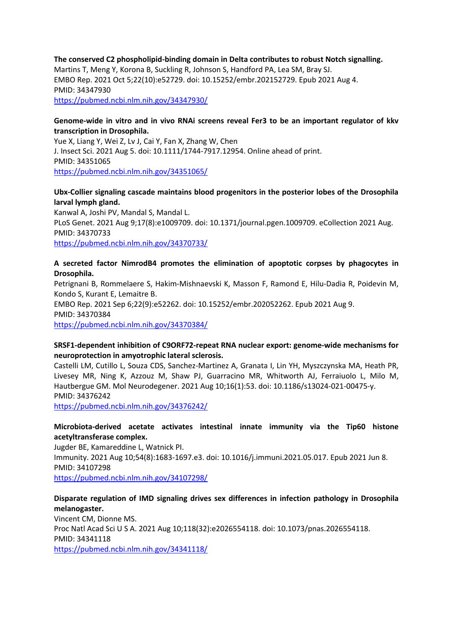#### **The conserved C2 phospholipid-binding domain in Delta contributes to robust Notch signalling.** Martins T, Meng Y, Korona B, Suckling R, Johnson S, Handford PA, Lea SM, Bray SJ. EMBO Rep. 2021 Oct 5;22(10):e52729. doi: 10.15252/embr.202152729. Epub 2021 Aug 4. PMID: 34347930 https://pubmed.ncbi.nlm.nih.gov/34347930/

#### **Genome-wide in vitro and in vivo RNAi screens reveal Fer3 to be an important regulator of kkv transcription in Drosophila.**

Yue X, Liang Y, Wei Z, Lv J, Cai Y, Fan X, Zhang W, Chen J. Insect Sci. 2021 Aug 5. doi: 10.1111/1744-7917.12954. Online ahead of print. PMID: 34351065 https://pubmed.ncbi.nlm.nih.gov/34351065/

# **Ubx-Collier signaling cascade maintains blood progenitors in the posterior lobes of the Drosophila larval lymph gland.**

Kanwal A, Joshi PV, Mandal S, Mandal L. PLoS Genet. 2021 Aug 9;17(8):e1009709. doi: 10.1371/journal.pgen.1009709. eCollection 2021 Aug. PMID: 34370733 https://pubmed.ncbi.nlm.nih.gov/34370733/

#### **A secreted factor NimrodB4 promotes the elimination of apoptotic corpses by phagocytes in Drosophila.**

Petrignani B, Rommelaere S, Hakim-Mishnaevski K, Masson F, Ramond E, Hilu-Dadia R, Poidevin M, Kondo S, Kurant E, Lemaitre B. EMBO Rep. 2021 Sep 6;22(9):e52262. doi: 10.15252/embr.202052262. Epub 2021 Aug 9. PMID: 34370384 https://pubmed.ncbi.nlm.nih.gov/34370384/

### **SRSF1-dependent inhibition of C9ORF72-repeat RNA nuclear export: genome-wide mechanisms for neuroprotection in amyotrophic lateral sclerosis.**

Castelli LM, Cutillo L, Souza CDS, Sanchez-Martinez A, Granata I, Lin YH, Myszczynska MA, Heath PR, Livesey MR, Ning K, Azzouz M, Shaw PJ, Guarracino MR, Whitworth AJ, Ferraiuolo L, Milo M, Hautbergue GM. Mol Neurodegener. 2021 Aug 10;16(1):53. doi: 10.1186/s13024-021-00475-y. PMID: 34376242

https://pubmed.ncbi.nlm.nih.gov/34376242/

### **Microbiota-derived acetate activates intestinal innate immunity via the Tip60 histone acetyltransferase complex.**

Jugder BE, Kamareddine L, Watnick PI. Immunity. 2021 Aug 10;54(8):1683-1697.e3. doi: 10.1016/j.immuni.2021.05.017. Epub 2021 Jun 8. PMID: 34107298 https://pubmed.ncbi.nlm.nih.gov/34107298/

# **Disparate regulation of IMD signaling drives sex differences in infection pathology in Drosophila melanogaster.**

Vincent CM, Dionne MS. Proc Natl Acad Sci U S A. 2021 Aug 10;118(32):e2026554118. doi: 10.1073/pnas.2026554118. PMID: 34341118 https://pubmed.ncbi.nlm.nih.gov/34341118/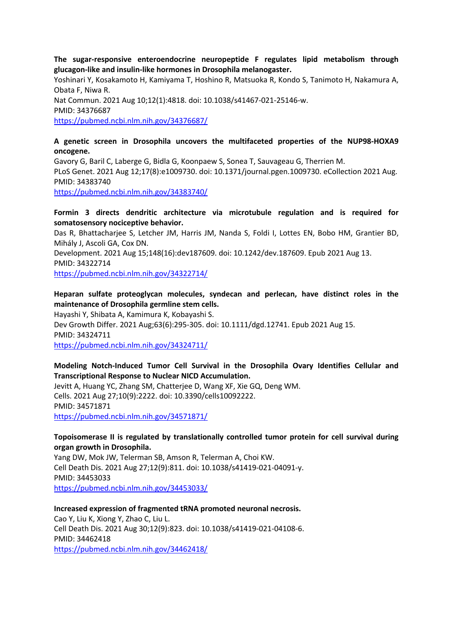**The sugar-responsive enteroendocrine neuropeptide F regulates lipid metabolism through glucagon-like and insulin-like hormones in Drosophila melanogaster.**

Yoshinari Y, Kosakamoto H, Kamiyama T, Hoshino R, Matsuoka R, Kondo S, Tanimoto H, Nakamura A, Obata F, Niwa R. Nat Commun. 2021 Aug 10;12(1):4818. doi: 10.1038/s41467-021-25146-w. PMID: 34376687 https://pubmed.ncbi.nlm.nih.gov/34376687/

### **A genetic screen in Drosophila uncovers the multifaceted properties of the NUP98-HOXA9 oncogene.**

Gavory G, Baril C, Laberge G, Bidla G, Koonpaew S, Sonea T, Sauvageau G, Therrien M. PLoS Genet. 2021 Aug 12;17(8):e1009730. doi: 10.1371/journal.pgen.1009730. eCollection 2021 Aug. PMID: 34383740 https://pubmed.ncbi.nlm.nih.gov/34383740/

#### **Formin 3 directs dendritic architecture via microtubule regulation and is required for somatosensory nociceptive behavior.**

Das R, Bhattacharjee S, Letcher JM, Harris JM, Nanda S, Foldi I, Lottes EN, Bobo HM, Grantier BD, Mihály J, Ascoli GA, Cox DN.

Development. 2021 Aug 15;148(16):dev187609. doi: 10.1242/dev.187609. Epub 2021 Aug 13. PMID: 34322714

https://pubmed.ncbi.nlm.nih.gov/34322714/

**Heparan sulfate proteoglycan molecules, syndecan and perlecan, have distinct roles in the maintenance of Drosophila germline stem cells.**

Hayashi Y, Shibata A, Kamimura K, Kobayashi S.

Dev Growth Differ. 2021 Aug;63(6):295-305. doi: 10.1111/dgd.12741. Epub 2021 Aug 15. PMID: 34324711 https://pubmed.ncbi.nlm.nih.gov/34324711/

#### **Modeling Notch-Induced Tumor Cell Survival in the Drosophila Ovary Identifies Cellular and Transcriptional Response to Nuclear NICD Accumulation.**

Jevitt A, Huang YC, Zhang SM, Chatterjee D, Wang XF, Xie GQ, Deng WM. Cells. 2021 Aug 27;10(9):2222. doi: 10.3390/cells10092222. PMID: 34571871 https://pubmed.ncbi.nlm.nih.gov/34571871/

#### **Topoisomerase II is regulated by translationally controlled tumor protein for cell survival during organ growth in Drosophila.**

Yang DW, Mok JW, Telerman SB, Amson R, Telerman A, Choi KW. Cell Death Dis. 2021 Aug 27;12(9):811. doi: 10.1038/s41419-021-04091-y. PMID: 34453033 https://pubmed.ncbi.nlm.nih.gov/34453033/

### **Increased expression of fragmented tRNA promoted neuronal necrosis.**

Cao Y, Liu K, Xiong Y, Zhao C, Liu L. Cell Death Dis. 2021 Aug 30;12(9):823. doi: 10.1038/s41419-021-04108-6. PMID: 34462418 https://pubmed.ncbi.nlm.nih.gov/34462418/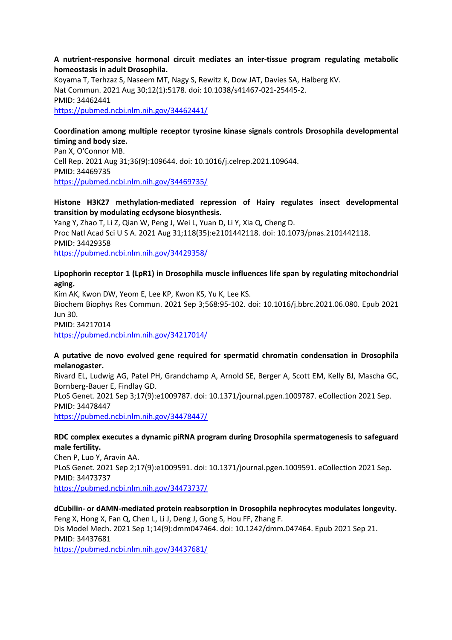#### **A nutrient-responsive hormonal circuit mediates an inter-tissue program regulating metabolic homeostasis in adult Drosophila.**

Koyama T, Terhzaz S, Naseem MT, Nagy S, Rewitz K, Dow JAT, Davies SA, Halberg KV. Nat Commun. 2021 Aug 30;12(1):5178. doi: 10.1038/s41467-021-25445-2. PMID: 34462441 https://pubmed.ncbi.nlm.nih.gov/34462441/

#### **Coordination among multiple receptor tyrosine kinase signals controls Drosophila developmental timing and body size.**

Pan X, O'Connor MB. Cell Rep. 2021 Aug 31;36(9):109644. doi: 10.1016/j.celrep.2021.109644. PMID: 34469735 https://pubmed.ncbi.nlm.nih.gov/34469735/

#### **Histone H3K27 methylation-mediated repression of Hairy regulates insect developmental transition by modulating ecdysone biosynthesis.**

Yang Y, Zhao T, Li Z, Qian W, Peng J, Wei L, Yuan D, Li Y, Xia Q, Cheng D. Proc Natl Acad Sci U S A. 2021 Aug 31;118(35):e2101442118. doi: 10.1073/pnas.2101442118. PMID: 34429358 https://pubmed.ncbi.nlm.nih.gov/34429358/

# **Lipophorin receptor 1 (LpR1) in Drosophila muscle influences life span by regulating mitochondrial aging.**

Kim AK, Kwon DW, Yeom E, Lee KP, Kwon KS, Yu K, Lee KS. Biochem Biophys Res Commun. 2021 Sep 3;568:95-102. doi: 10.1016/j.bbrc.2021.06.080. Epub 2021 Jun 30. PMID: 34217014 https://pubmed.ncbi.nlm.nih.gov/34217014/

### **A putative de novo evolved gene required for spermatid chromatin condensation in Drosophila melanogaster.**

Rivard EL, Ludwig AG, Patel PH, Grandchamp A, Arnold SE, Berger A, Scott EM, Kelly BJ, Mascha GC, Bornberg-Bauer E, Findlay GD.

PLoS Genet. 2021 Sep 3;17(9):e1009787. doi: 10.1371/journal.pgen.1009787. eCollection 2021 Sep. PMID: 34478447

https://pubmed.ncbi.nlm.nih.gov/34478447/

### **RDC complex executes a dynamic piRNA program during Drosophila spermatogenesis to safeguard male fertility.**

Chen P, Luo Y, Aravin AA. PLoS Genet. 2021 Sep 2;17(9):e1009591. doi: 10.1371/journal.pgen.1009591. eCollection 2021 Sep. PMID: 34473737 https://pubmed.ncbi.nlm.nih.gov/34473737/

# **dCubilin- or dAMN-mediated protein reabsorption in Drosophila nephrocytes modulates longevity.** Feng X, Hong X, Fan Q, Chen L, Li J, Deng J, Gong S, Hou FF, Zhang F. Dis Model Mech. 2021 Sep 1;14(9):dmm047464. doi: 10.1242/dmm.047464. Epub 2021 Sep 21. PMID: 34437681

https://pubmed.ncbi.nlm.nih.gov/34437681/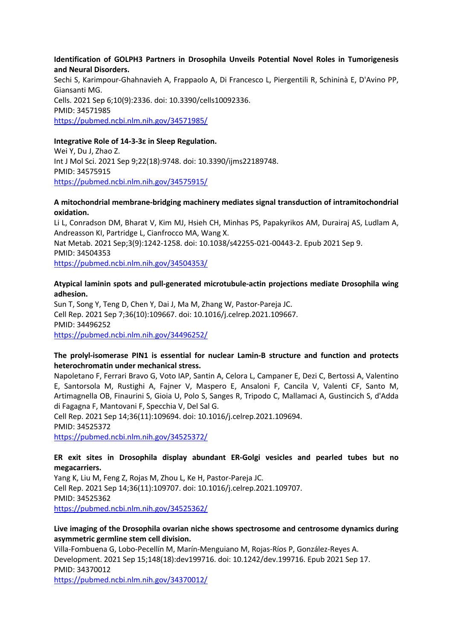#### **Identification of GOLPH3 Partners in Drosophila Unveils Potential Novel Roles in Tumorigenesis and Neural Disorders.**

Sechi S, Karimpour-Ghahnavieh A, Frappaolo A, Di Francesco L, Piergentili R, Schininà E, D'Avino PP, Giansanti MG. Cells. 2021 Sep 6;10(9):2336. doi: 10.3390/cells10092336. PMID: 34571985 https://pubmed.ncbi.nlm.nih.gov/34571985/

#### **Integrative Role of 14-3-3ε in Sleep Regulation.**

Wei Y, Du J, Zhao Z. Int J Mol Sci. 2021 Sep 9;22(18):9748. doi: 10.3390/ijms22189748. PMID: 34575915 https://pubmed.ncbi.nlm.nih.gov/34575915/

#### **A mitochondrial membrane-bridging machinery mediates signal transduction of intramitochondrial oxidation.**

Li L, Conradson DM, Bharat V, Kim MJ, Hsieh CH, Minhas PS, Papakyrikos AM, Durairaj AS, Ludlam A, Andreasson KI, Partridge L, Cianfrocco MA, Wang X. Nat Metab. 2021 Sep;3(9):1242-1258. doi: 10.1038/s42255-021-00443-2. Epub 2021 Sep 9. PMID: 34504353 https://pubmed.ncbi.nlm.nih.gov/34504353/

#### **Atypical laminin spots and pull-generated microtubule-actin projections mediate Drosophila wing adhesion.**

Sun T, Song Y, Teng D, Chen Y, Dai J, Ma M, Zhang W, Pastor-Pareja JC. Cell Rep. 2021 Sep 7;36(10):109667. doi: 10.1016/j.celrep.2021.109667. PMID: 34496252 https://pubmed.ncbi.nlm.nih.gov/34496252/

#### **The prolyl-isomerase PIN1 is essential for nuclear Lamin-B structure and function and protects heterochromatin under mechanical stress.**

Napoletano F, Ferrari Bravo G, Voto IAP, Santin A, Celora L, Campaner E, Dezi C, Bertossi A, Valentino E, Santorsola M, Rustighi A, Fajner V, Maspero E, Ansaloni F, Cancila V, Valenti CF, Santo M, Artimagnella OB, Finaurini S, Gioia U, Polo S, Sanges R, Tripodo C, Mallamaci A, Gustincich S, d'Adda di Fagagna F, Mantovani F, Specchia V, Del Sal G.

Cell Rep. 2021 Sep 14;36(11):109694. doi: 10.1016/j.celrep.2021.109694. PMID: 34525372 https://pubmed.ncbi.nlm.nih.gov/34525372/

#### **ER exit sites in Drosophila display abundant ER-Golgi vesicles and pearled tubes but no megacarriers.**

Yang K, Liu M, Feng Z, Rojas M, Zhou L, Ke H, Pastor-Pareja JC. Cell Rep. 2021 Sep 14;36(11):109707. doi: 10.1016/j.celrep.2021.109707. PMID: 34525362 https://pubmed.ncbi.nlm.nih.gov/34525362/

#### **Live imaging of the Drosophila ovarian niche shows spectrosome and centrosome dynamics during asymmetric germline stem cell division.**

Villa-Fombuena G, Lobo-Pecellín M, Marín-Menguiano M, Rojas-Ríos P, González-Reyes A. Development. 2021 Sep 15;148(18):dev199716. doi: 10.1242/dev.199716. Epub 2021 Sep 17. PMID: 34370012

https://pubmed.ncbi.nlm.nih.gov/34370012/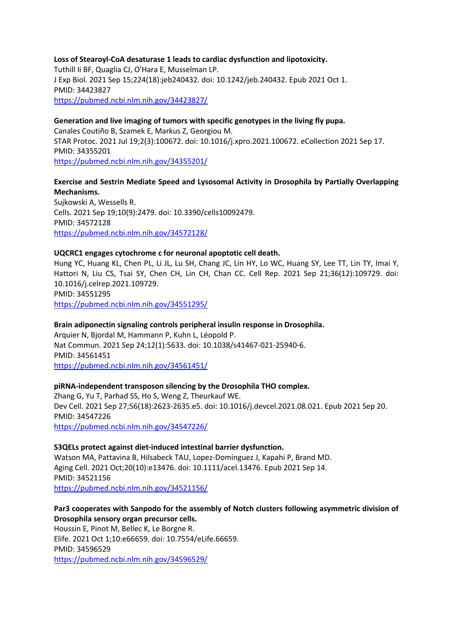#### **Loss of Stearoyl-CoA desaturase 1 leads to cardiac dysfunction and lipotoxicity.**

Tuthill Ii BF, Quaglia CJ, O'Hara E, Musselman LP. J Exp Biol. 2021 Sep 15;224(18):jeb240432. doi: 10.1242/jeb.240432. Epub 2021 Oct 1. PMID: 34423827 https://pubmed.ncbi.nlm.nih.gov/34423827/

### **Generation and live imaging of tumors with specific genotypes in the living fly pupa.**

Canales Coutiño B, Szamek E, Markus Z, Georgiou M. STAR Protoc. 2021 Jul 19;2(3):100672. doi: 10.1016/j.xpro.2021.100672. eCollection 2021 Sep 17. PMID: 34355201 https://pubmed.ncbi.nlm.nih.gov/34355201/

#### **Exercise and Sestrin Mediate Speed and Lysosomal Activity in Drosophila by Partially Overlapping Mechanisms.**

Sujkowski A, Wessells R. Cells. 2021 Sep 19;10(9):2479. doi: 10.3390/cells10092479. PMID: 34572128 https://pubmed.ncbi.nlm.nih.gov/34572128/

#### **UQCRC1 engages cytochrome c for neuronal apoptotic cell death.**

Hung YC, Huang KL, Chen PL, Li JL, Lu SH, Chang JC, Lin HY, Lo WC, Huang SY, Lee TT, Lin TY, Imai Y, Hattori N, Liu CS, Tsai SY, Chen CH, Lin CH, Chan CC. Cell Rep. 2021 Sep 21;36(12):109729. doi: 10.1016/j.celrep.2021.109729. PMID: 34551295

https://pubmed.ncbi.nlm.nih.gov/34551295/

#### **Brain adiponectin signaling controls peripheral insulin response in Drosophila.**

Arquier N, Bjordal M, Hammann P, Kuhn L, Léopold P. Nat Commun. 2021 Sep 24;12(1):5633. doi: 10.1038/s41467-021-25940-6. PMID: 34561451 https://pubmed.ncbi.nlm.nih.gov/34561451/

#### **piRNA-independent transposon silencing by the Drosophila THO complex.**

Zhang G, Yu T, Parhad SS, Ho S, Weng Z, Theurkauf WE. Dev Cell. 2021 Sep 27;56(18):2623-2635.e5. doi: 10.1016/j.devcel.2021.08.021. Epub 2021 Sep 20. PMID: 34547226 https://pubmed.ncbi.nlm.nih.gov/34547226/

#### **S3QELs protect against diet-induced intestinal barrier dysfunction.**

Watson MA, Pattavina B, Hilsabeck TAU, Lopez-Dominguez J, Kapahi P, Brand MD. Aging Cell. 2021 Oct;20(10):e13476. doi: 10.1111/acel.13476. Epub 2021 Sep 14. PMID: 34521156 https://pubmed.ncbi.nlm.nih.gov/34521156/

### **Par3 cooperates with Sanpodo for the assembly of Notch clusters following asymmetric division of Drosophila sensory organ precursor cells.**

Houssin E, Pinot M, Bellec K, Le Borgne R. Elife. 2021 Oct 1;10:e66659. doi: 10.7554/eLife.66659. PMID: 34596529 https://pubmed.ncbi.nlm.nih.gov/34596529/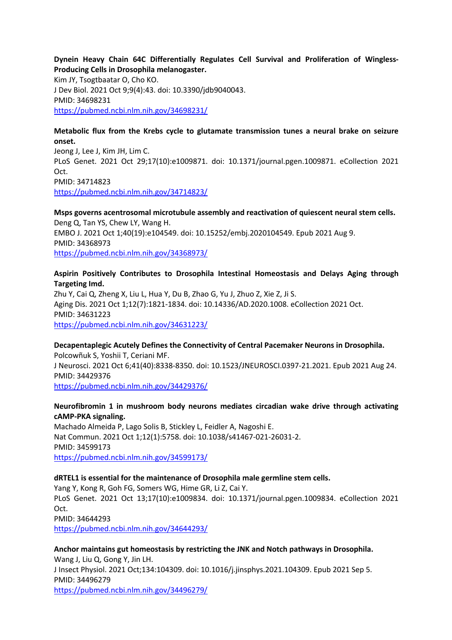#### **Dynein Heavy Chain 64C Differentially Regulates Cell Survival and Proliferation of Wingless-Producing Cells in Drosophila melanogaster.**

Kim JY, Tsogtbaatar O, Cho KO. J Dev Biol. 2021 Oct 9;9(4):43. doi: 10.3390/jdb9040043. PMID: 34698231 https://pubmed.ncbi.nlm.nih.gov/34698231/

#### **Metabolic flux from the Krebs cycle to glutamate transmission tunes a neural brake on seizure onset.**

Jeong J, Lee J, Kim JH, Lim C. PLoS Genet. 2021 Oct 29;17(10):e1009871. doi: 10.1371/journal.pgen.1009871. eCollection 2021 Oct. PMID: 34714823 https://pubmed.ncbi.nlm.nih.gov/34714823/

# **Msps governs acentrosomal microtubule assembly and reactivation of quiescent neural stem cells.** Deng Q, Tan YS, Chew LY, Wang H.

EMBO J. 2021 Oct 1;40(19):e104549. doi: 10.15252/embj.2020104549. Epub 2021 Aug 9. PMID: 34368973 https://pubmed.ncbi.nlm.nih.gov/34368973/

#### **Aspirin Positively Contributes to Drosophila Intestinal Homeostasis and Delays Aging through Targeting Imd.**

Zhu Y, Cai Q, Zheng X, Liu L, Hua Y, Du B, Zhao G, Yu J, Zhuo Z, Xie Z, Ji S. Aging Dis. 2021 Oct 1;12(7):1821-1834. doi: 10.14336/AD.2020.1008. eCollection 2021 Oct. PMID: 34631223 https://pubmed.ncbi.nlm.nih.gov/34631223/

### **Decapentaplegic Acutely Defines the Connectivity of Central Pacemaker Neurons in Drosophila.**

Polcowñuk S, Yoshii T, Ceriani MF. J Neurosci. 2021 Oct 6;41(40):8338-8350. doi: 10.1523/JNEUROSCI.0397-21.2021. Epub 2021 Aug 24. PMID: 34429376 https://pubmed.ncbi.nlm.nih.gov/34429376/

### **Neurofibromin 1 in mushroom body neurons mediates circadian wake drive through activating cAMP-PKA signaling.**

Machado Almeida P, Lago Solis B, Stickley L, Feidler A, Nagoshi E. Nat Commun. 2021 Oct 1;12(1):5758. doi: 10.1038/s41467-021-26031-2. PMID: 34599173 https://pubmed.ncbi.nlm.nih.gov/34599173/

### **dRTEL1 is essential for the maintenance of Drosophila male germline stem cells.**

Yang Y, Kong R, Goh FG, Somers WG, Hime GR, Li Z, Cai Y. PLoS Genet. 2021 Oct 13;17(10):e1009834. doi: 10.1371/journal.pgen.1009834. eCollection 2021 Oct. PMID: 34644293

https://pubmed.ncbi.nlm.nih.gov/34644293/

**Anchor maintains gut homeostasis by restricting the JNK and Notch pathways in Drosophila.** Wang J, Liu Q, Gong Y, Jin LH. J Insect Physiol. 2021 Oct;134:104309. doi: 10.1016/j.jinsphys.2021.104309. Epub 2021 Sep 5. PMID: 34496279 https://pubmed.ncbi.nlm.nih.gov/34496279/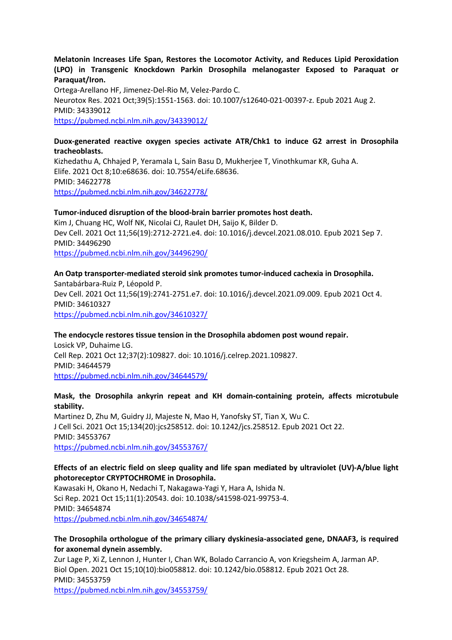#### **Melatonin Increases Life Span, Restores the Locomotor Activity, and Reduces Lipid Peroxidation (LPO) in Transgenic Knockdown Parkin Drosophila melanogaster Exposed to Paraquat or Paraquat/Iron.**

Ortega-Arellano HF, Jimenez-Del-Rio M, Velez-Pardo C. Neurotox Res. 2021 Oct;39(5):1551-1563. doi: 10.1007/s12640-021-00397-z. Epub 2021 Aug 2. PMID: 34339012 https://pubmed.ncbi.nlm.nih.gov/34339012/

#### **Duox-generated reactive oxygen species activate ATR/Chk1 to induce G2 arrest in Drosophila tracheoblasts.**

Kizhedathu A, Chhajed P, Yeramala L, Sain Basu D, Mukherjee T, Vinothkumar KR, Guha A. Elife. 2021 Oct 8;10:e68636. doi: 10.7554/eLife.68636. PMID: 34622778 https://pubmed.ncbi.nlm.nih.gov/34622778/

#### **Tumor-induced disruption of the blood-brain barrier promotes host death.**

Kim J, Chuang HC, Wolf NK, Nicolai CJ, Raulet DH, Saijo K, Bilder D. Dev Cell. 2021 Oct 11;56(19):2712-2721.e4. doi: 10.1016/j.devcel.2021.08.010. Epub 2021 Sep 7. PMID: 34496290 https://pubmed.ncbi.nlm.nih.gov/34496290/

# **An Oatp transporter-mediated steroid sink promotes tumor-induced cachexia in Drosophila.** Santabárbara-Ruiz P, Léopold P. Dev Cell. 2021 Oct 11;56(19):2741-2751.e7. doi: 10.1016/j.devcel.2021.09.009. Epub 2021 Oct 4. PMID: 34610327

https://pubmed.ncbi.nlm.nih.gov/34610327/

### **The endocycle restores tissue tension in the Drosophila abdomen post wound repair.**

Losick VP, Duhaime LG. Cell Rep. 2021 Oct 12;37(2):109827. doi: 10.1016/j.celrep.2021.109827. PMID: 34644579 https://pubmed.ncbi.nlm.nih.gov/34644579/

### **Mask, the Drosophila ankyrin repeat and KH domain-containing protein, affects microtubule stability.**

Martinez D, Zhu M, Guidry JJ, Majeste N, Mao H, Yanofsky ST, Tian X, Wu C. J Cell Sci. 2021 Oct 15;134(20):jcs258512. doi: 10.1242/jcs.258512. Epub 2021 Oct 22. PMID: 34553767 https://pubmed.ncbi.nlm.nih.gov/34553767/

### **Effects of an electric field on sleep quality and life span mediated by ultraviolet (UV)-A/blue light photoreceptor CRYPTOCHROME in Drosophila.**

Kawasaki H, Okano H, Nedachi T, Nakagawa-Yagi Y, Hara A, Ishida N. Sci Rep. 2021 Oct 15;11(1):20543. doi: 10.1038/s41598-021-99753-4. PMID: 34654874 https://pubmed.ncbi.nlm.nih.gov/34654874/

#### **The Drosophila orthologue of the primary ciliary dyskinesia-associated gene, DNAAF3, is required for axonemal dynein assembly.**

Zur Lage P, Xi Z, Lennon J, Hunter I, Chan WK, Bolado Carrancio A, von Kriegsheim A, Jarman AP. Biol Open. 2021 Oct 15;10(10):bio058812. doi: 10.1242/bio.058812. Epub 2021 Oct 28. PMID: 34553759 https://pubmed.ncbi.nlm.nih.gov/34553759/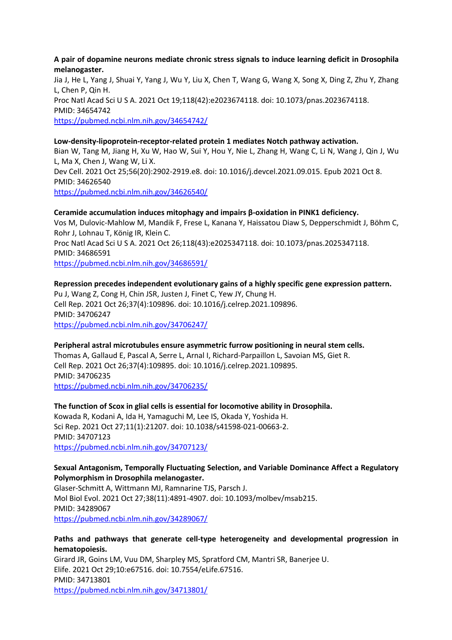#### **A pair of dopamine neurons mediate chronic stress signals to induce learning deficit in Drosophila melanogaster.**

Jia J, He L, Yang J, Shuai Y, Yang J, Wu Y, Liu X, Chen T, Wang G, Wang X, Song X, Ding Z, Zhu Y, Zhang L, Chen P, Qin H. Proc Natl Acad Sci U S A. 2021 Oct 19;118(42):e2023674118. doi: 10.1073/pnas.2023674118. PMID: 34654742 https://pubmed.ncbi.nlm.nih.gov/34654742/

#### **Low-density-lipoprotein-receptor-related protein 1 mediates Notch pathway activation.** Bian W, Tang M, Jiang H, Xu W, Hao W, Sui Y, Hou Y, Nie L, Zhang H, Wang C, Li N, Wang J, Qin J, Wu L, Ma X, Chen J, Wang W, Li X. Dev Cell. 2021 Oct 25;56(20):2902-2919.e8. doi: 10.1016/j.devcel.2021.09.015. Epub 2021 Oct 8. PMID: 34626540 https://pubmed.ncbi.nlm.nih.gov/34626540/

#### **Ceramide accumulation induces mitophagy and impairs β-oxidation in PINK1 deficiency.**

Vos M, Dulovic-Mahlow M, Mandik F, Frese L, Kanana Y, Haissatou Diaw S, Depperschmidt J, Böhm C, Rohr J, Lohnau T, König IR, Klein C. Proc Natl Acad Sci U S A. 2021 Oct 26;118(43):e2025347118. doi: 10.1073/pnas.2025347118. PMID: 34686591

https://pubmed.ncbi.nlm.nih.gov/34686591/

### **Repression precedes independent evolutionary gains of a highly specific gene expression pattern.**

Pu J, Wang Z, Cong H, Chin JSR, Justen J, Finet C, Yew JY, Chung H. Cell Rep. 2021 Oct 26;37(4):109896. doi: 10.1016/j.celrep.2021.109896. PMID: 34706247 https://pubmed.ncbi.nlm.nih.gov/34706247/

#### **Peripheral astral microtubules ensure asymmetric furrow positioning in neural stem cells.**

Thomas A, Gallaud E, Pascal A, Serre L, Arnal I, Richard-Parpaillon L, Savoian MS, Giet R. Cell Rep. 2021 Oct 26;37(4):109895. doi: 10.1016/j.celrep.2021.109895. PMID: 34706235 https://pubmed.ncbi.nlm.nih.gov/34706235/

#### **The function of Scox in glial cells is essential for locomotive ability in Drosophila.**

Kowada R, Kodani A, Ida H, Yamaguchi M, Lee IS, Okada Y, Yoshida H. Sci Rep. 2021 Oct 27;11(1):21207. doi: 10.1038/s41598-021-00663-2. PMID: 34707123 https://pubmed.ncbi.nlm.nih.gov/34707123/

#### **Sexual Antagonism, Temporally Fluctuating Selection, and Variable Dominance Affect a Regulatory Polymorphism in Drosophila melanogaster.**

Glaser-Schmitt A, Wittmann MJ, Ramnarine TJS, Parsch J. Mol Biol Evol. 2021 Oct 27;38(11):4891-4907. doi: 10.1093/molbev/msab215. PMID: 34289067 https://pubmed.ncbi.nlm.nih.gov/34289067/

#### **Paths and pathways that generate cell-type heterogeneity and developmental progression in hematopoiesis.**

Girard JR, Goins LM, Vuu DM, Sharpley MS, Spratford CM, Mantri SR, Banerjee U. Elife. 2021 Oct 29;10:e67516. doi: 10.7554/eLife.67516. PMID: 34713801 https://pubmed.ncbi.nlm.nih.gov/34713801/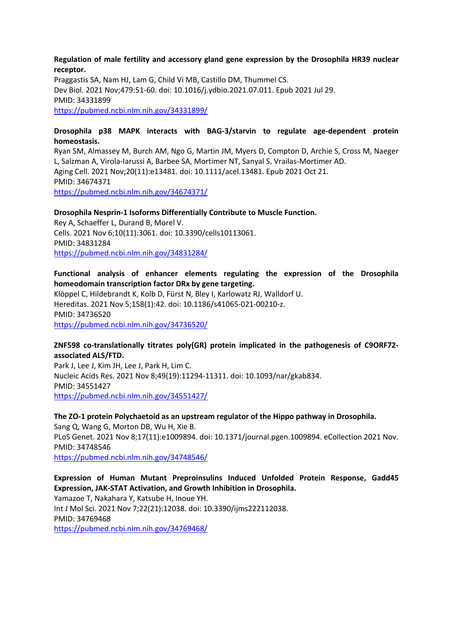#### **Regulation of male fertility and accessory gland gene expression by the Drosophila HR39 nuclear receptor.**

Praggastis SA, Nam HJ, Lam G, Child Vi MB, Castillo DM, Thummel CS. Dev Biol. 2021 Nov;479:51-60. doi: 10.1016/j.ydbio.2021.07.011. Epub 2021 Jul 29. PMID: 34331899 https://pubmed.ncbi.nlm.nih.gov/34331899/

#### **Drosophila p38 MAPK interacts with BAG-3/starvin to regulate age-dependent protein homeostasis.**

Ryan SM, Almassey M, Burch AM, Ngo G, Martin JM, Myers D, Compton D, Archie S, Cross M, Naeger L, Salzman A, Virola-Iarussi A, Barbee SA, Mortimer NT, Sanyal S, Vrailas-Mortimer AD. Aging Cell. 2021 Nov;20(11):e13481. doi: 10.1111/acel.13481. Epub 2021 Oct 21. PMID: 34674371 https://pubmed.ncbi.nlm.nih.gov/34674371/

#### **Drosophila Nesprin-1 Isoforms Differentially Contribute to Muscle Function.**

Rey A, Schaeffer L, Durand B, Morel V. Cells. 2021 Nov 6;10(11):3061. doi: 10.3390/cells10113061. PMID: 34831284 https://pubmed.ncbi.nlm.nih.gov/34831284/

#### **Functional analysis of enhancer elements regulating the expression of the Drosophila homeodomain transcription factor DRx by gene targeting.**

Klöppel C, Hildebrandt K, Kolb D, Fürst N, Bley I, Karlowatz RJ, Walldorf U. Hereditas. 2021 Nov 5;158(1):42. doi: 10.1186/s41065-021-00210-z. PMID: 34736520 https://pubmed.ncbi.nlm.nih.gov/34736520/

#### **ZNF598 co-translationally titrates poly(GR) protein implicated in the pathogenesis of C9ORF72 associated ALS/FTD.**

Park J, Lee J, Kim JH, Lee J, Park H, Lim C. Nucleic Acids Res. 2021 Nov 8;49(19):11294-11311. doi: 10.1093/nar/gkab834. PMID: 34551427 https://pubmed.ncbi.nlm.nih.gov/34551427/

# **The ZO-1 protein Polychaetoid as an upstream regulator of the Hippo pathway in Drosophila.**

Sang Q, Wang G, Morton DB, Wu H, Xie B. PLoS Genet. 2021 Nov 8;17(11):e1009894. doi: 10.1371/journal.pgen.1009894. eCollection 2021 Nov. PMID: 34748546 https://pubmed.ncbi.nlm.nih.gov/34748546/

### **Expression of Human Mutant Preproinsulins Induced Unfolded Protein Response, Gadd45 Expression, JAK-STAT Activation, and Growth Inhibition in Drosophila.**

Yamazoe T, Nakahara Y, Katsube H, Inoue YH. Int J Mol Sci. 2021 Nov 7;22(21):12038. doi: 10.3390/ijms222112038. PMID: 34769468 https://pubmed.ncbi.nlm.nih.gov/34769468/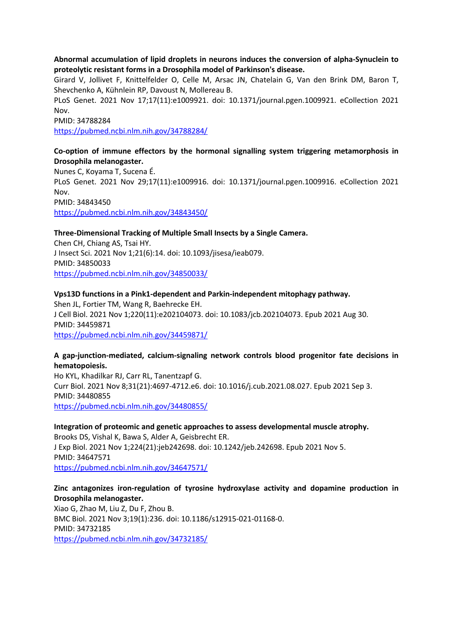#### **Abnormal accumulation of lipid droplets in neurons induces the conversion of alpha-Synuclein to proteolytic resistant forms in a Drosophila model of Parkinson's disease.**

Girard V, Jollivet F, Knittelfelder O, Celle M, Arsac JN, Chatelain G, Van den Brink DM, Baron T, Shevchenko A, Kühnlein RP, Davoust N, Mollereau B.

PLoS Genet. 2021 Nov 17;17(11):e1009921. doi: 10.1371/journal.pgen.1009921. eCollection 2021 Nov.

PMID: 34788284

https://pubmed.ncbi.nlm.nih.gov/34788284/

# **Co-option of immune effectors by the hormonal signalling system triggering metamorphosis in Drosophila melanogaster.**

Nunes C, Koyama T, Sucena É. PLoS Genet. 2021 Nov 29;17(11):e1009916. doi: 10.1371/journal.pgen.1009916. eCollection 2021 Nov. PMID: 34843450 https://pubmed.ncbi.nlm.nih.gov/34843450/

#### **Three-Dimensional Tracking of Multiple Small Insects by a Single Camera.**

Chen CH, Chiang AS, Tsai HY. J Insect Sci. 2021 Nov 1;21(6):14. doi: 10.1093/jisesa/ieab079. PMID: 34850033 https://pubmed.ncbi.nlm.nih.gov/34850033/

#### **Vps13D functions in a Pink1-dependent and Parkin-independent mitophagy pathway.**

Shen JL, Fortier TM, Wang R, Baehrecke EH. J Cell Biol. 2021 Nov 1;220(11):e202104073. doi: 10.1083/jcb.202104073. Epub 2021 Aug 30. PMID: 34459871 https://pubmed.ncbi.nlm.nih.gov/34459871/

#### **A gap-junction-mediated, calcium-signaling network controls blood progenitor fate decisions in hematopoiesis.**

Ho KYL, Khadilkar RJ, Carr RL, Tanentzapf G. Curr Biol. 2021 Nov 8;31(21):4697-4712.e6. doi: 10.1016/j.cub.2021.08.027. Epub 2021 Sep 3. PMID: 34480855 https://pubmed.ncbi.nlm.nih.gov/34480855/

#### **Integration of proteomic and genetic approaches to assess developmental muscle atrophy.** Brooks DS, Vishal K, Bawa S, Alder A, Geisbrecht ER. J Exp Biol. 2021 Nov 1;224(21):jeb242698. doi: 10.1242/jeb.242698. Epub 2021 Nov 5. PMID: 34647571 https://pubmed.ncbi.nlm.nih.gov/34647571/

### **Zinc antagonizes iron-regulation of tyrosine hydroxylase activity and dopamine production in Drosophila melanogaster.**

Xiao G, Zhao M, Liu Z, Du F, Zhou B. BMC Biol. 2021 Nov 3;19(1):236. doi: 10.1186/s12915-021-01168-0. PMID: 34732185 https://pubmed.ncbi.nlm.nih.gov/34732185/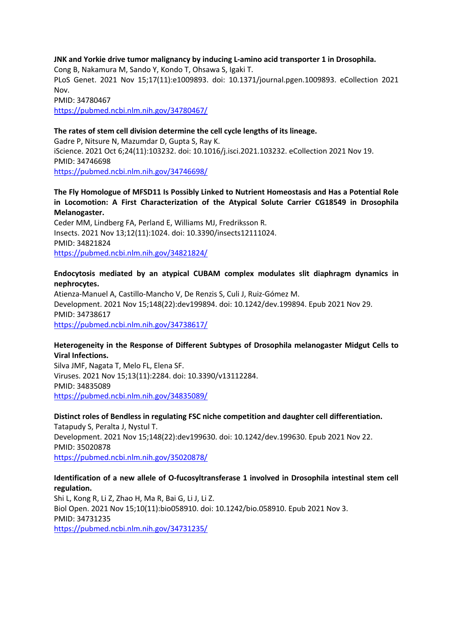#### **JNK and Yorkie drive tumor malignancy by inducing L-amino acid transporter 1 in Drosophila.**

Cong B, Nakamura M, Sando Y, Kondo T, Ohsawa S, Igaki T. PLoS Genet. 2021 Nov 15;17(11):e1009893. doi: 10.1371/journal.pgen.1009893. eCollection 2021 Nov. PMID: 34780467 https://pubmed.ncbi.nlm.nih.gov/34780467/

#### **The rates of stem cell division determine the cell cycle lengths of its lineage.**

Gadre P, Nitsure N, Mazumdar D, Gupta S, Ray K. iScience. 2021 Oct 6;24(11):103232. doi: 10.1016/j.isci.2021.103232. eCollection 2021 Nov 19. PMID: 34746698 https://pubmed.ncbi.nlm.nih.gov/34746698/

#### **The Fly Homologue of MFSD11 Is Possibly Linked to Nutrient Homeostasis and Has a Potential Role in Locomotion: A First Characterization of the Atypical Solute Carrier CG18549 in Drosophila Melanogaster.**

Ceder MM, Lindberg FA, Perland E, Williams MJ, Fredriksson R. Insects. 2021 Nov 13;12(11):1024. doi: 10.3390/insects12111024. PMID: 34821824 https://pubmed.ncbi.nlm.nih.gov/34821824/

#### **Endocytosis mediated by an atypical CUBAM complex modulates slit diaphragm dynamics in nephrocytes.**

Atienza-Manuel A, Castillo-Mancho V, De Renzis S, Culi J, Ruiz-Gómez M. Development. 2021 Nov 15;148(22):dev199894. doi: 10.1242/dev.199894. Epub 2021 Nov 29. PMID: 34738617 https://pubmed.ncbi.nlm.nih.gov/34738617/

#### **Heterogeneity in the Response of Different Subtypes of Drosophila melanogaster Midgut Cells to Viral Infections.**

Silva JMF, Nagata T, Melo FL, Elena SF. Viruses. 2021 Nov 15;13(11):2284. doi: 10.3390/v13112284. PMID: 34835089 https://pubmed.ncbi.nlm.nih.gov/34835089/

#### **Distinct roles of Bendless in regulating FSC niche competition and daughter cell differentiation.**

Tatapudy S, Peralta J, Nystul T. Development. 2021 Nov 15;148(22):dev199630. doi: 10.1242/dev.199630. Epub 2021 Nov 22. PMID: 35020878 https://pubmed.ncbi.nlm.nih.gov/35020878/

#### **Identification of a new allele of O-fucosyltransferase 1 involved in Drosophila intestinal stem cell regulation.**

Shi L, Kong R, Li Z, Zhao H, Ma R, Bai G, Li J, Li Z. Biol Open. 2021 Nov 15;10(11):bio058910. doi: 10.1242/bio.058910. Epub 2021 Nov 3. PMID: 34731235 https://pubmed.ncbi.nlm.nih.gov/34731235/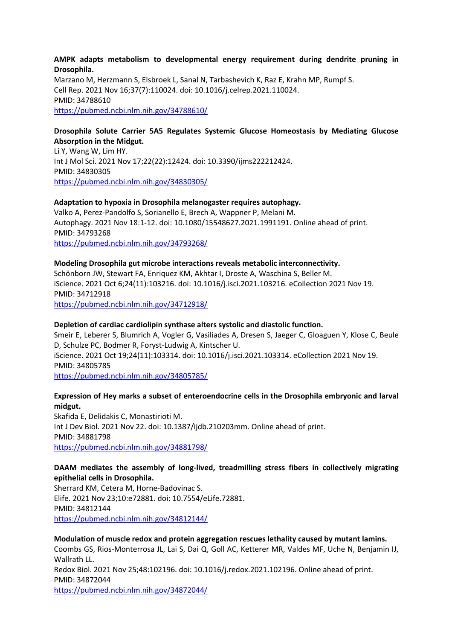#### **AMPK adapts metabolism to developmental energy requirement during dendrite pruning in Drosophila.**

Marzano M, Herzmann S, Elsbroek L, Sanal N, Tarbashevich K, Raz E, Krahn MP, Rumpf S. Cell Rep. 2021 Nov 16;37(7):110024. doi: 10.1016/j.celrep.2021.110024. PMID: 34788610 https://pubmed.ncbi.nlm.nih.gov/34788610/

#### **Drosophila Solute Carrier 5A5 Regulates Systemic Glucose Homeostasis by Mediating Glucose Absorption in the Midgut.**

Li Y, Wang W, Lim HY. Int J Mol Sci. 2021 Nov 17;22(22):12424. doi: 10.3390/ijms222212424. PMID: 34830305 https://pubmed.ncbi.nlm.nih.gov/34830305/

#### **Adaptation to hypoxia in Drosophila melanogaster requires autophagy.**

Valko A, Perez-Pandolfo S, Sorianello E, Brech A, Wappner P, Melani M. Autophagy. 2021 Nov 18:1-12. doi: 10.1080/15548627.2021.1991191. Online ahead of print. PMID: 34793268 https://pubmed.ncbi.nlm.nih.gov/34793268/

#### **Modeling Drosophila gut microbe interactions reveals metabolic interconnectivity.**

Schönborn JW, Stewart FA, Enriquez KM, Akhtar I, Droste A, Waschina S, Beller M. iScience. 2021 Oct 6;24(11):103216. doi: 10.1016/j.isci.2021.103216. eCollection 2021 Nov 19. PMID: 34712918 https://pubmed.ncbi.nlm.nih.gov/34712918/

#### **Depletion of cardiac cardiolipin synthase alters systolic and diastolic function.**

Smeir E, Leberer S, Blumrich A, Vogler G, Vasiliades A, Dresen S, Jaeger C, Gloaguen Y, Klose C, Beule D, Schulze PC, Bodmer R, Foryst-Ludwig A, Kintscher U. iScience. 2021 Oct 19;24(11):103314. doi: 10.1016/j.isci.2021.103314. eCollection 2021 Nov 19. PMID: 34805785 https://pubmed.ncbi.nlm.nih.gov/34805785/

#### **Expression of Hey marks a subset of enteroendocrine cells in the Drosophila embryonic and larval midgut.**

Skafida E, Delidakis C, Monastirioti M. Int J Dev Biol. 2021 Nov 22. doi: 10.1387/ijdb.210203mm. Online ahead of print. PMID: 34881798 https://pubmed.ncbi.nlm.nih.gov/34881798/

#### **DAAM mediates the assembly of long-lived, treadmilling stress fibers in collectively migrating epithelial cells in Drosophila.**

Sherrard KM, Cetera M, Horne-Badovinac S. Elife. 2021 Nov 23;10:e72881. doi: 10.7554/eLife.72881. PMID: 34812144 https://pubmed.ncbi.nlm.nih.gov/34812144/

#### **Modulation of muscle redox and protein aggregation rescues lethality caused by mutant lamins.**

Coombs GS, Rios-Monterrosa JL, Lai S, Dai Q, Goll AC, Ketterer MR, Valdes MF, Uche N, Benjamin IJ, Wallrath LL.

Redox Biol. 2021 Nov 25;48:102196. doi: 10.1016/j.redox.2021.102196. Online ahead of print. PMID: 34872044 https://pubmed.ncbi.nlm.nih.gov/34872044/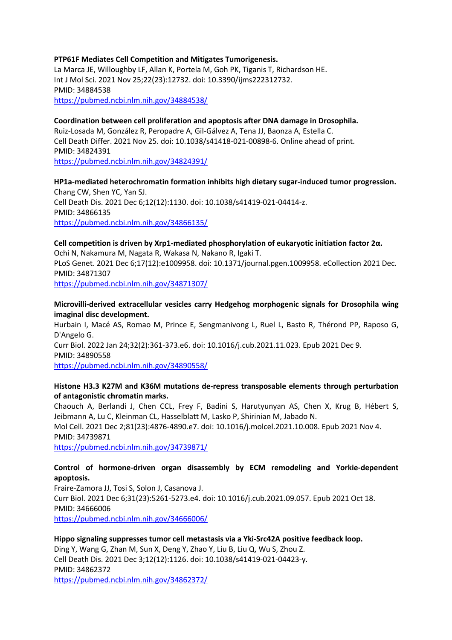#### **PTP61F Mediates Cell Competition and Mitigates Tumorigenesis.**

La Marca JE, Willoughby LF, Allan K, Portela M, Goh PK, Tiganis T, Richardson HE. Int J Mol Sci. 2021 Nov 25;22(23):12732. doi: 10.3390/ijms222312732. PMID: 34884538 https://pubmed.ncbi.nlm.nih.gov/34884538/

#### **Coordination between cell proliferation and apoptosis after DNA damage in Drosophila.**

Ruiz-Losada M, González R, Peropadre A, Gil-Gálvez A, Tena JJ, Baonza A, Estella C. Cell Death Differ. 2021 Nov 25. doi: 10.1038/s41418-021-00898-6. Online ahead of print. PMID: 34824391

https://pubmed.ncbi.nlm.nih.gov/34824391/

#### **HP1a-mediated heterochromatin formation inhibits high dietary sugar-induced tumor progression.** Chang CW, Shen YC, Yan SJ. Cell Death Dis. 2021 Dec 6;12(12):1130. doi: 10.1038/s41419-021-04414-z. PMID: 34866135 https://pubmed.ncbi.nlm.nih.gov/34866135/

#### **Cell competition is driven by Xrp1-mediated phosphorylation of eukaryotic initiation factor 2α.**

Ochi N, Nakamura M, Nagata R, Wakasa N, Nakano R, Igaki T. PLoS Genet. 2021 Dec 6;17(12):e1009958. doi: 10.1371/journal.pgen.1009958. eCollection 2021 Dec. PMID: 34871307 https://pubmed.ncbi.nlm.nih.gov/34871307/

#### **Microvilli-derived extracellular vesicles carry Hedgehog morphogenic signals for Drosophila wing imaginal disc development.**

Hurbain I, Macé AS, Romao M, Prince E, Sengmanivong L, Ruel L, Basto R, Thérond PP, Raposo G, D'Angelo G. Curr Biol. 2022 Jan 24;32(2):361-373.e6. doi: 10.1016/j.cub.2021.11.023. Epub 2021 Dec 9. PMID: 34890558 https://pubmed.ncbi.nlm.nih.gov/34890558/

#### **Histone H3.3 K27M and K36M mutations de-repress transposable elements through perturbation of antagonistic chromatin marks.**

Chaouch A, Berlandi J, Chen CCL, Frey F, Badini S, Harutyunyan AS, Chen X, Krug B, Hébert S, Jeibmann A, Lu C, Kleinman CL, Hasselblatt M, Lasko P, Shirinian M, Jabado N. Mol Cell. 2021 Dec 2;81(23):4876-4890.e7. doi: 10.1016/j.molcel.2021.10.008. Epub 2021 Nov 4. PMID: 34739871 https://pubmed.ncbi.nlm.nih.gov/34739871/

### **Control of hormone-driven organ disassembly by ECM remodeling and Yorkie-dependent apoptosis.**

Fraire-Zamora JJ, Tosi S, Solon J, Casanova J. Curr Biol. 2021 Dec 6;31(23):5261-5273.e4. doi: 10.1016/j.cub.2021.09.057. Epub 2021 Oct 18. PMID: 34666006 https://pubmed.ncbi.nlm.nih.gov/34666006/

#### **Hippo signaling suppresses tumor cell metastasis via a Yki-Src42A positive feedback loop.**

Ding Y, Wang G, Zhan M, Sun X, Deng Y, Zhao Y, Liu B, Liu Q, Wu S, Zhou Z. Cell Death Dis. 2021 Dec 3;12(12):1126. doi: 10.1038/s41419-021-04423-y. PMID: 34862372 https://pubmed.ncbi.nlm.nih.gov/34862372/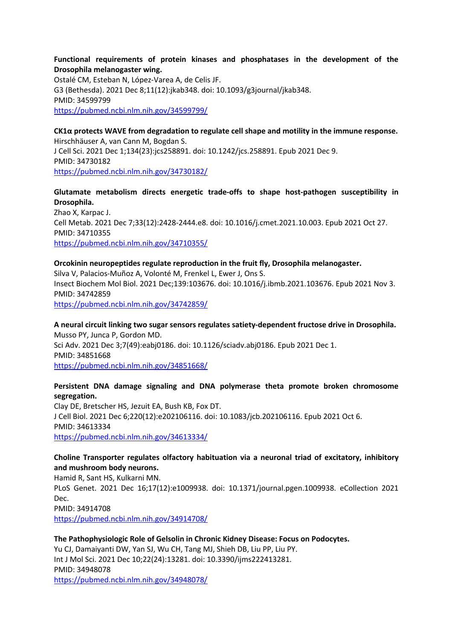### **Functional requirements of protein kinases and phosphatases in the development of the Drosophila melanogaster wing.**

Ostalé CM, Esteban N, López-Varea A, de Celis JF. G3 (Bethesda). 2021 Dec 8;11(12):jkab348. doi: 10.1093/g3journal/jkab348. PMID: 34599799 https://pubmed.ncbi.nlm.nih.gov/34599799/

#### **CK1α protects WAVE from degradation to regulate cell shape and motility in the immune response.** Hirschhäuser A, van Cann M, Bogdan S. J Cell Sci. 2021 Dec 1;134(23):jcs258891. doi: 10.1242/jcs.258891. Epub 2021 Dec 9. PMID: 34730182 https://pubmed.ncbi.nlm.nih.gov/34730182/

# **Glutamate metabolism directs energetic trade-offs to shape host-pathogen susceptibility in Drosophila.**

Zhao X, Karpac J. Cell Metab. 2021 Dec 7;33(12):2428-2444.e8. doi: 10.1016/j.cmet.2021.10.003. Epub 2021 Oct 27. PMID: 34710355 https://pubmed.ncbi.nlm.nih.gov/34710355/

#### **Orcokinin neuropeptides regulate reproduction in the fruit fly, Drosophila melanogaster.**

Silva V, Palacios-Muñoz A, Volonté M, Frenkel L, Ewer J, Ons S. Insect Biochem Mol Biol. 2021 Dec;139:103676. doi: 10.1016/j.ibmb.2021.103676. Epub 2021 Nov 3. PMID: 34742859 https://pubmed.ncbi.nlm.nih.gov/34742859/

**A neural circuit linking two sugar sensors regulates satiety-dependent fructose drive in Drosophila.** Musso PY, Junca P, Gordon MD. Sci Adv. 2021 Dec 3;7(49):eabj0186. doi: 10.1126/sciadv.abj0186. Epub 2021 Dec 1. PMID: 34851668 https://pubmed.ncbi.nlm.nih.gov/34851668/

### **Persistent DNA damage signaling and DNA polymerase theta promote broken chromosome segregation.**

Clay DE, Bretscher HS, Jezuit EA, Bush KB, Fox DT. J Cell Biol. 2021 Dec 6;220(12):e202106116. doi: 10.1083/jcb.202106116. Epub 2021 Oct 6. PMID: 34613334 https://pubmed.ncbi.nlm.nih.gov/34613334/

# **Choline Transporter regulates olfactory habituation via a neuronal triad of excitatory, inhibitory and mushroom body neurons.**

Hamid R, Sant HS, Kulkarni MN. PLoS Genet. 2021 Dec 16;17(12):e1009938. doi: 10.1371/journal.pgen.1009938. eCollection 2021 Dec. PMID: 34914708 https://pubmed.ncbi.nlm.nih.gov/34914708/

### **The Pathophysiologic Role of Gelsolin in Chronic Kidney Disease: Focus on Podocytes.**

Yu CJ, Damaiyanti DW, Yan SJ, Wu CH, Tang MJ, Shieh DB, Liu PP, Liu PY. Int J Mol Sci. 2021 Dec 10;22(24):13281. doi: 10.3390/ijms222413281. PMID: 34948078 https://pubmed.ncbi.nlm.nih.gov/34948078/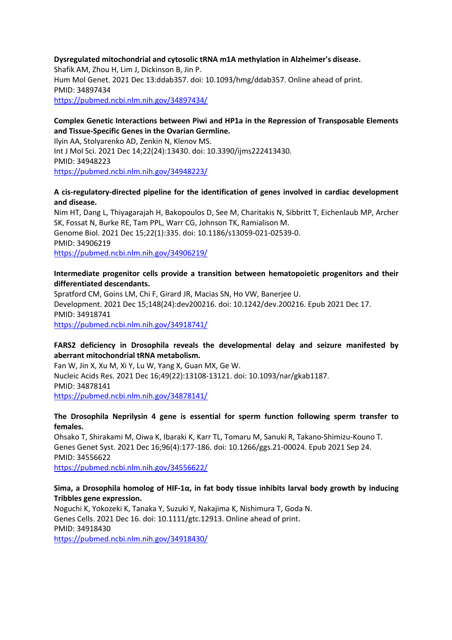#### **Dysregulated mitochondrial and cytosolic tRNA m1A methylation in Alzheimer's disease.**

Shafik AM, Zhou H, Lim J, Dickinson B, Jin P. Hum Mol Genet. 2021 Dec 13:ddab357. doi: 10.1093/hmg/ddab357. Online ahead of print. PMID: 34897434

https://pubmed.ncbi.nlm.nih.gov/34897434/

#### **Complex Genetic Interactions between Piwi and HP1a in the Repression of Transposable Elements and Tissue-Specific Genes in the Ovarian Germline.**

Ilyin AA, Stolyarenko AD, Zenkin N, Klenov MS. Int J Mol Sci. 2021 Dec 14;22(24):13430. doi: 10.3390/ijms222413430. PMID: 34948223 https://pubmed.ncbi.nlm.nih.gov/34948223/

#### **A cis-regulatory-directed pipeline for the identification of genes involved in cardiac development and disease.**

Nim HT, Dang L, Thiyagarajah H, Bakopoulos D, See M, Charitakis N, Sibbritt T, Eichenlaub MP, Archer SK, Fossat N, Burke RE, Tam PPL, Warr CG, Johnson TK, Ramialison M. Genome Biol. 2021 Dec 15;22(1):335. doi: 10.1186/s13059-021-02539-0. PMID: 34906219 https://pubmed.ncbi.nlm.nih.gov/34906219/

#### **Intermediate progenitor cells provide a transition between hematopoietic progenitors and their differentiated descendants.**

Spratford CM, Goins LM, Chi F, Girard JR, Macias SN, Ho VW, Banerjee U. Development. 2021 Dec 15;148(24):dev200216. doi: 10.1242/dev.200216. Epub 2021 Dec 17. PMID: 34918741 https://pubmed.ncbi.nlm.nih.gov/34918741/

#### **FARS2 deficiency in Drosophila reveals the developmental delay and seizure manifested by aberrant mitochondrial tRNA metabolism.**

Fan W, Jin X, Xu M, Xi Y, Lu W, Yang X, Guan MX, Ge W. Nucleic Acids Res. 2021 Dec 16;49(22):13108-13121. doi: 10.1093/nar/gkab1187. PMID: 34878141 https://pubmed.ncbi.nlm.nih.gov/34878141/

#### **The Drosophila Neprilysin 4 gene is essential for sperm function following sperm transfer to females.**

Ohsako T, Shirakami M, Oiwa K, Ibaraki K, Karr TL, Tomaru M, Sanuki R, Takano-Shimizu-Kouno T. Genes Genet Syst. 2021 Dec 16;96(4):177-186. doi: 10.1266/ggs.21-00024. Epub 2021 Sep 24. PMID: 34556622 https://pubmed.ncbi.nlm.nih.gov/34556622/

#### **Sima, a Drosophila homolog of HIF-1α, in fat body tissue inhibits larval body growth by inducing Tribbles gene expression.**

Noguchi K, Yokozeki K, Tanaka Y, Suzuki Y, Nakajima K, Nishimura T, Goda N. Genes Cells. 2021 Dec 16. doi: 10.1111/gtc.12913. Online ahead of print. PMID: 34918430 https://pubmed.ncbi.nlm.nih.gov/34918430/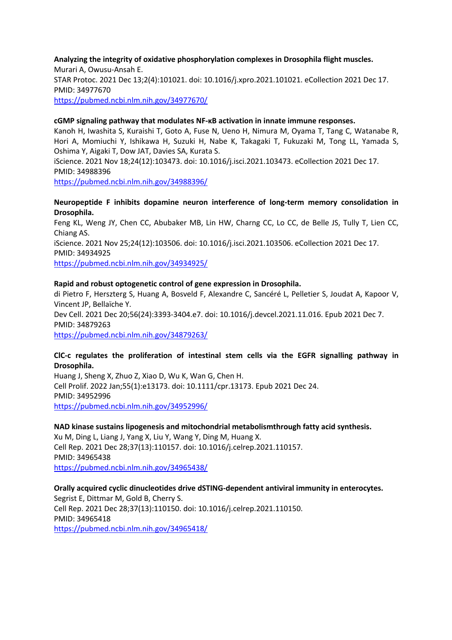**Analyzing the integrity of oxidative phosphorylation complexes in Drosophila flight muscles.** Murari A, Owusu-Ansah E. STAR Protoc. 2021 Dec 13;2(4):101021. doi: 10.1016/j.xpro.2021.101021. eCollection 2021 Dec 17. PMID: 34977670 https://pubmed.ncbi.nlm.nih.gov/34977670/

#### **cGMP signaling pathway that modulates NF-κB activation in innate immune responses.**

Kanoh H, Iwashita S, Kuraishi T, Goto A, Fuse N, Ueno H, Nimura M, Oyama T, Tang C, Watanabe R, Hori A, Momiuchi Y, Ishikawa H, Suzuki H, Nabe K, Takagaki T, Fukuzaki M, Tong LL, Yamada S, Oshima Y, Aigaki T, Dow JAT, Davies SA, Kurata S.

iScience. 2021 Nov 18;24(12):103473. doi: 10.1016/j.isci.2021.103473. eCollection 2021 Dec 17. PMID: 34988396

https://pubmed.ncbi.nlm.nih.gov/34988396/

#### **Neuropeptide F inhibits dopamine neuron interference of long-term memory consolidation in Drosophila.**

Feng KL, Weng JY, Chen CC, Abubaker MB, Lin HW, Charng CC, Lo CC, de Belle JS, Tully T, Lien CC, Chiang AS. iScience. 2021 Nov 25;24(12):103506. doi: 10.1016/j.isci.2021.103506. eCollection 2021 Dec 17. PMID: 34934925

https://pubmed.ncbi.nlm.nih.gov/34934925/

#### **Rapid and robust optogenetic control of gene expression in Drosophila.**

di Pietro F, Herszterg S, Huang A, Bosveld F, Alexandre C, Sancéré L, Pelletier S, Joudat A, Kapoor V, Vincent JP, Bellaïche Y. Dev Cell. 2021 Dec 20;56(24):3393-3404.e7. doi: 10.1016/j.devcel.2021.11.016. Epub 2021 Dec 7. PMID: 34879263

https://pubmed.ncbi.nlm.nih.gov/34879263/

#### **ClC-c regulates the proliferation of intestinal stem cells via the EGFR signalling pathway in Drosophila.**

Huang J, Sheng X, Zhuo Z, Xiao D, Wu K, Wan G, Chen H. Cell Prolif. 2022 Jan;55(1):e13173. doi: 10.1111/cpr.13173. Epub 2021 Dec 24. PMID: 34952996 https://pubmed.ncbi.nlm.nih.gov/34952996/

#### **NAD kinase sustains lipogenesis and mitochondrial metabolismthrough fatty acid synthesis.**

Xu M, Ding L, Liang J, Yang X, Liu Y, Wang Y, Ding M, Huang X. Cell Rep. 2021 Dec 28;37(13):110157. doi: 10.1016/j.celrep.2021.110157. PMID: 34965438 https://pubmed.ncbi.nlm.nih.gov/34965438/

#### **Orally acquired cyclic dinucleotides drive dSTING-dependent antiviral immunity in enterocytes.**

Segrist E, Dittmar M, Gold B, Cherry S. Cell Rep. 2021 Dec 28;37(13):110150. doi: 10.1016/j.celrep.2021.110150. PMID: 34965418 https://pubmed.ncbi.nlm.nih.gov/34965418/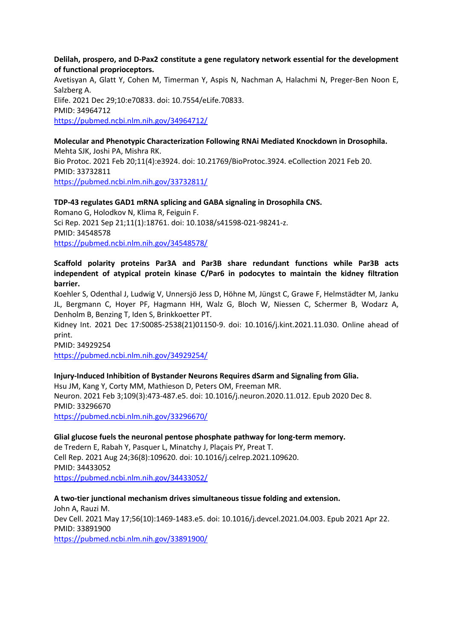**Delilah, prospero, and D-Pax2 constitute a gene regulatory network essential for the development of functional proprioceptors.**

Avetisyan A, Glatt Y, Cohen M, Timerman Y, Aspis N, Nachman A, Halachmi N, Preger-Ben Noon E, Salzberg A. Elife. 2021 Dec 29;10:e70833. doi: 10.7554/eLife.70833. PMID: 34964712 https://pubmed.ncbi.nlm.nih.gov/34964712/

**Molecular and Phenotypic Characterization Following RNAi Mediated Knockdown in Drosophila.** Mehta SJK, Joshi PA, Mishra RK. Bio Protoc. 2021 Feb 20;11(4):e3924. doi: 10.21769/BioProtoc.3924. eCollection 2021 Feb 20. PMID: 33732811 https://pubmed.ncbi.nlm.nih.gov/33732811/

#### **TDP-43 regulates GAD1 mRNA splicing and GABA signaling in Drosophila CNS.**

Romano G, Holodkov N, Klima R, Feiguin F. Sci Rep. 2021 Sep 21;11(1):18761. doi: 10.1038/s41598-021-98241-z. PMID: 34548578 https://pubmed.ncbi.nlm.nih.gov/34548578/

### **Scaffold polarity proteins Par3A and Par3B share redundant functions while Par3B acts independent of atypical protein kinase C/Par6 in podocytes to maintain the kidney filtration barrier.**

Koehler S, Odenthal J, Ludwig V, Unnersjö Jess D, Höhne M, Jüngst C, Grawe F, Helmstädter M, Janku JL, Bergmann C, Hoyer PF, Hagmann HH, Walz G, Bloch W, Niessen C, Schermer B, Wodarz A, Denholm B, Benzing T, Iden S, Brinkkoetter PT.

Kidney Int. 2021 Dec 17:S0085-2538(21)01150-9. doi: 10.1016/j.kint.2021.11.030. Online ahead of print.

PMID: 34929254

https://pubmed.ncbi.nlm.nih.gov/34929254/

#### **Injury-Induced Inhibition of Bystander Neurons Requires dSarm and Signaling from Glia.**

Hsu JM, Kang Y, Corty MM, Mathieson D, Peters OM, Freeman MR. Neuron. 2021 Feb 3;109(3):473-487.e5. doi: 10.1016/j.neuron.2020.11.012. Epub 2020 Dec 8. PMID: 33296670 https://pubmed.ncbi.nlm.nih.gov/33296670/

#### **Glial glucose fuels the neuronal pentose phosphate pathway for long-term memory.**

de Tredern E, Rabah Y, Pasquer L, Minatchy J, Plaçais PY, Preat T. Cell Rep. 2021 Aug 24;36(8):109620. doi: 10.1016/j.celrep.2021.109620. PMID: 34433052 https://pubmed.ncbi.nlm.nih.gov/34433052/

#### **A two-tier junctional mechanism drives simultaneous tissue folding and extension.**

John A, Rauzi M. Dev Cell. 2021 May 17;56(10):1469-1483.e5. doi: 10.1016/j.devcel.2021.04.003. Epub 2021 Apr 22. PMID: 33891900 https://pubmed.ncbi.nlm.nih.gov/33891900/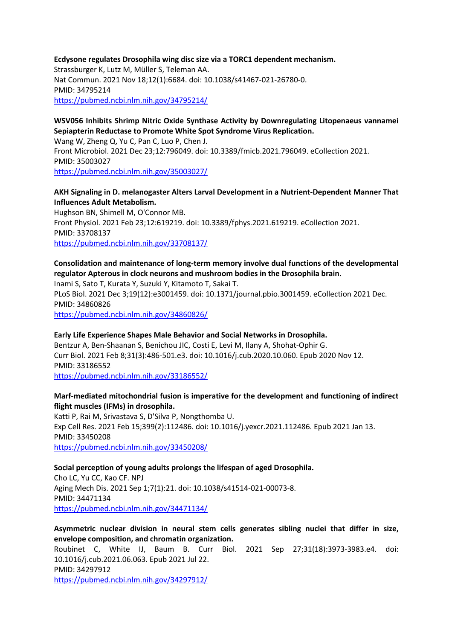#### **Ecdysone regulates Drosophila wing disc size via a TORC1 dependent mechanism.** Strassburger K, Lutz M, Müller S, Teleman AA. Nat Commun. 2021 Nov 18;12(1):6684. doi: 10.1038/s41467-021-26780-0. PMID: 34795214 https://pubmed.ncbi.nlm.nih.gov/34795214/

# **WSV056 Inhibits Shrimp Nitric Oxide Synthase Activity by Downregulating Litopenaeus vannamei Sepiapterin Reductase to Promote White Spot Syndrome Virus Replication.**

Wang W, Zheng Q, Yu C, Pan C, Luo P, Chen J. Front Microbiol. 2021 Dec 23;12:796049. doi: 10.3389/fmicb.2021.796049. eCollection 2021. PMID: 35003027 https://pubmed.ncbi.nlm.nih.gov/35003027/

### **AKH Signaling in D. melanogaster Alters Larval Development in a Nutrient-Dependent Manner That Influences Adult Metabolism.**

Hughson BN, Shimell M, O'Connor MB. Front Physiol. 2021 Feb 23;12:619219. doi: 10.3389/fphys.2021.619219. eCollection 2021. PMID: 33708137 https://pubmed.ncbi.nlm.nih.gov/33708137/

# **Consolidation and maintenance of long-term memory involve dual functions of the developmental regulator Apterous in clock neurons and mushroom bodies in the Drosophila brain.**

Inami S, Sato T, Kurata Y, Suzuki Y, Kitamoto T, Sakai T.

PLoS Biol. 2021 Dec 3;19(12):e3001459. doi: 10.1371/journal.pbio.3001459. eCollection 2021 Dec. PMID: 34860826

https://pubmed.ncbi.nlm.nih.gov/34860826/

#### **Early Life Experience Shapes Male Behavior and Social Networks in Drosophila.** Bentzur A, Ben-Shaanan S, Benichou JIC, Costi E, Levi M, Ilany A, Shohat-Ophir G.

Curr Biol. 2021 Feb 8;31(3):486-501.e3. doi: 10.1016/j.cub.2020.10.060. Epub 2020 Nov 12. PMID: 33186552 https://pubmed.ncbi.nlm.nih.gov/33186552/

# **Marf-mediated mitochondrial fusion is imperative for the development and functioning of indirect flight muscles (IFMs) in drosophila.**

Katti P, Rai M, Srivastava S, D'Silva P, Nongthomba U. Exp Cell Res. 2021 Feb 15;399(2):112486. doi: 10.1016/j.yexcr.2021.112486. Epub 2021 Jan 13. PMID: 33450208 https://pubmed.ncbi.nlm.nih.gov/33450208/

# **Social perception of young adults prolongs the lifespan of aged Drosophila.**

Cho LC, Yu CC, Kao CF. NPJ Aging Mech Dis. 2021 Sep 1;7(1):21. doi: 10.1038/s41514-021-00073-8. PMID: 34471134 https://pubmed.ncbi.nlm.nih.gov/34471134/

# **Asymmetric nuclear division in neural stem cells generates sibling nuclei that differ in size, envelope composition, and chromatin organization.**

Roubinet C, White IJ, Baum B. Curr Biol. 2021 Sep 27;31(18):3973-3983.e4. doi: 10.1016/j.cub.2021.06.063. Epub 2021 Jul 22. PMID: 34297912 https://pubmed.ncbi.nlm.nih.gov/34297912/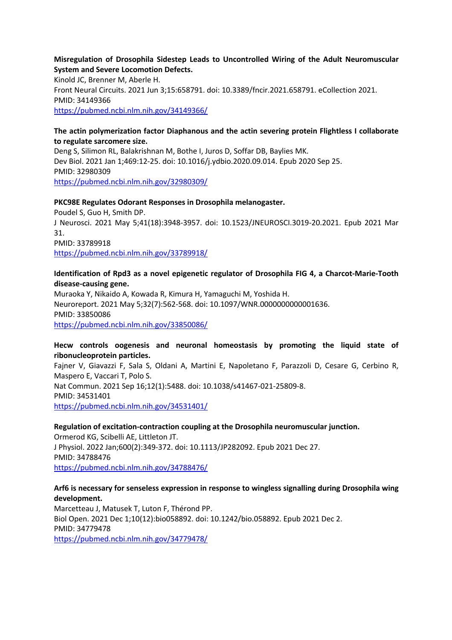#### **Misregulation of Drosophila Sidestep Leads to Uncontrolled Wiring of the Adult Neuromuscular System and Severe Locomotion Defects.**

Kinold JC, Brenner M, Aberle H. Front Neural Circuits. 2021 Jun 3;15:658791. doi: 10.3389/fncir.2021.658791. eCollection 2021. PMID: 34149366 https://pubmed.ncbi.nlm.nih.gov/34149366/

#### **The actin polymerization factor Diaphanous and the actin severing protein Flightless I collaborate to regulate sarcomere size.**

Deng S, Silimon RL, Balakrishnan M, Bothe I, Juros D, Soffar DB, Baylies MK. Dev Biol. 2021 Jan 1;469:12-25. doi: 10.1016/j.ydbio.2020.09.014. Epub 2020 Sep 25. PMID: 32980309 https://pubmed.ncbi.nlm.nih.gov/32980309/

#### **PKC98E Regulates Odorant Responses in Drosophila melanogaster.**

Poudel S, Guo H, Smith DP. J Neurosci. 2021 May 5;41(18):3948-3957. doi: 10.1523/JNEUROSCI.3019-20.2021. Epub 2021 Mar 31. PMID: 33789918 https://pubmed.ncbi.nlm.nih.gov/33789918/

#### **Identification of Rpd3 as a novel epigenetic regulator of Drosophila FIG 4, a Charcot-Marie-Tooth disease-causing gene.**

Muraoka Y, Nikaido A, Kowada R, Kimura H, Yamaguchi M, Yoshida H. Neuroreport. 2021 May 5;32(7):562-568. doi: 10.1097/WNR.0000000000001636. PMID: 33850086 https://pubmed.ncbi.nlm.nih.gov/33850086/

#### **Hecw controls oogenesis and neuronal homeostasis by promoting the liquid state of ribonucleoprotein particles.**

Fajner V, Giavazzi F, Sala S, Oldani A, Martini E, Napoletano F, Parazzoli D, Cesare G, Cerbino R, Maspero E, Vaccari T, Polo S. Nat Commun. 2021 Sep 16;12(1):5488. doi: 10.1038/s41467-021-25809-8. PMID: 34531401 https://pubmed.ncbi.nlm.nih.gov/34531401/

### **Regulation of excitation-contraction coupling at the Drosophila neuromuscular junction.**

Ormerod KG, Scibelli AE, Littleton JT. J Physiol. 2022 Jan;600(2):349-372. doi: 10.1113/JP282092. Epub 2021 Dec 27. PMID: 34788476 https://pubmed.ncbi.nlm.nih.gov/34788476/

#### **Arf6 is necessary for senseless expression in response to wingless signalling during Drosophila wing development.**

Marcetteau J, Matusek T, Luton F, Thérond PP. Biol Open. 2021 Dec 1;10(12):bio058892. doi: 10.1242/bio.058892. Epub 2021 Dec 2. PMID: 34779478 https://pubmed.ncbi.nlm.nih.gov/34779478/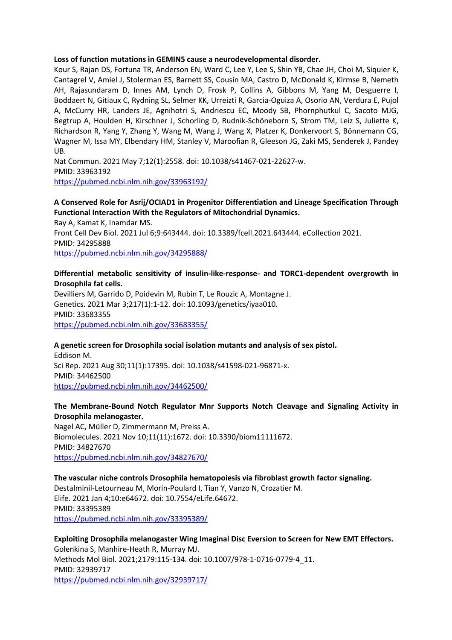#### **Loss of function mutations in GEMIN5 cause a neurodevelopmental disorder.**

Kour S, Rajan DS, Fortuna TR, Anderson EN, Ward C, Lee Y, Lee S, Shin YB, Chae JH, Choi M, Siquier K, Cantagrel V, Amiel J, Stolerman ES, Barnett SS, Cousin MA, Castro D, McDonald K, Kirmse B, Nemeth AH, Rajasundaram D, Innes AM, Lynch D, Frosk P, Collins A, Gibbons M, Yang M, Desguerre I, Boddaert N, Gitiaux C, Rydning SL, Selmer KK, Urreizti R, Garcia-Oguiza A, Osorio AN, Verdura E, Pujol A, McCurry HR, Landers JE, Agnihotri S, Andriescu EC, Moody SB, Phornphutkul C, Sacoto MJG, Begtrup A, Houlden H, Kirschner J, Schorling D, Rudnik-Schöneborn S, Strom TM, Leiz S, Juliette K, Richardson R, Yang Y, Zhang Y, Wang M, Wang J, Wang X, Platzer K, Donkervoort S, Bönnemann CG, Wagner M, Issa MY, Elbendary HM, Stanley V, Maroofian R, Gleeson JG, Zaki MS, Senderek J, Pandey UB.

Nat Commun. 2021 May 7;12(1):2558. doi: 10.1038/s41467-021-22627-w. PMID: 33963192 https://pubmed.ncbi.nlm.nih.gov/33963192/

# **A Conserved Role for Asrij/OCIAD1 in Progenitor Differentiation and Lineage Specification Through Functional Interaction With the Regulators of Mitochondrial Dynamics.**

Ray A, Kamat K, Inamdar MS. Front Cell Dev Biol. 2021 Jul 6;9:643444. doi: 10.3389/fcell.2021.643444. eCollection 2021. PMID: 34295888 https://pubmed.ncbi.nlm.nih.gov/34295888/

#### **Differential metabolic sensitivity of insulin-like-response- and TORC1-dependent overgrowth in Drosophila fat cells.**

Devilliers M, Garrido D, Poidevin M, Rubin T, Le Rouzic A, Montagne J. Genetics. 2021 Mar 3;217(1):1-12. doi: 10.1093/genetics/iyaa010. PMID: 33683355 https://pubmed.ncbi.nlm.nih.gov/33683355/

#### **A genetic screen for Drosophila social isolation mutants and analysis of sex pistol.**

Eddison M. Sci Rep. 2021 Aug 30;11(1):17395. doi: 10.1038/s41598-021-96871-x. PMID: 34462500 https://pubmed.ncbi.nlm.nih.gov/34462500/

#### **The Membrane-Bound Notch Regulator Mnr Supports Notch Cleavage and Signaling Activity in Drosophila melanogaster.**

Nagel AC, Müller D, Zimmermann M, Preiss A. Biomolecules. 2021 Nov 10;11(11):1672. doi: 10.3390/biom11111672. PMID: 34827670 https://pubmed.ncbi.nlm.nih.gov/34827670/

### **The vascular niche controls Drosophila hematopoiesis via fibroblast growth factor signaling.**

Destalminil-Letourneau M, Morin-Poulard I, Tian Y, Vanzo N, Crozatier M. Elife. 2021 Jan 4;10:e64672. doi: 10.7554/eLife.64672. PMID: 33395389 https://pubmed.ncbi.nlm.nih.gov/33395389/

#### **Exploiting Drosophila melanogaster Wing Imaginal Disc Eversion to Screen for New EMT Effectors.** Golenkina S, Manhire-Heath R, Murray MJ. Methods Mol Biol. 2021;2179:115-134. doi: 10.1007/978-1-0716-0779-4\_11. PMID: 32939717 https://pubmed.ncbi.nlm.nih.gov/32939717/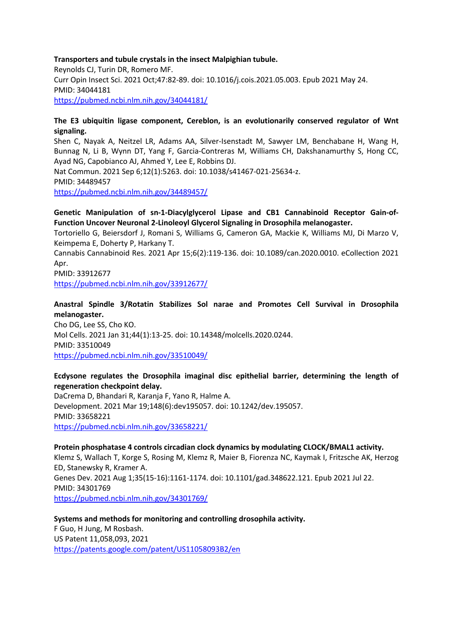#### **Transporters and tubule crystals in the insect Malpighian tubule.**

Reynolds CJ, Turin DR, Romero MF. Curr Opin Insect Sci. 2021 Oct;47:82-89. doi: 10.1016/j.cois.2021.05.003. Epub 2021 May 24. PMID: 34044181 https://pubmed.ncbi.nlm.nih.gov/34044181/

#### **The E3 ubiquitin ligase component, Cereblon, is an evolutionarily conserved regulator of Wnt signaling.**

Shen C, Nayak A, Neitzel LR, Adams AA, Silver-Isenstadt M, Sawyer LM, Benchabane H, Wang H, Bunnag N, Li B, Wynn DT, Yang F, Garcia-Contreras M, Williams CH, Dakshanamurthy S, Hong CC, Ayad NG, Capobianco AJ, Ahmed Y, Lee E, Robbins DJ.

Nat Commun. 2021 Sep 6;12(1):5263. doi: 10.1038/s41467-021-25634-z. PMID: 34489457 https://pubmed.ncbi.nlm.nih.gov/34489457/

### **Genetic Manipulation of sn-1-Diacylglycerol Lipase and CB1 Cannabinoid Receptor Gain-of-Function Uncover Neuronal 2-Linoleoyl Glycerol Signaling in Drosophila melanogaster.**

Tortoriello G, Beiersdorf J, Romani S, Williams G, Cameron GA, Mackie K, Williams MJ, Di Marzo V, Keimpema E, Doherty P, Harkany T.

Cannabis Cannabinoid Res. 2021 Apr 15;6(2):119-136. doi: 10.1089/can.2020.0010. eCollection 2021 Apr.

PMID: 33912677

https://pubmed.ncbi.nlm.nih.gov/33912677/

### **Anastral Spindle 3/Rotatin Stabilizes Sol narae and Promotes Cell Survival in Drosophila melanogaster.**

Cho DG, Lee SS, Cho KO. Mol Cells. 2021 Jan 31;44(1):13-25. doi: 10.14348/molcells.2020.0244. PMID: 33510049 https://pubmed.ncbi.nlm.nih.gov/33510049/

# **Ecdysone regulates the Drosophila imaginal disc epithelial barrier, determining the length of regeneration checkpoint delay.**

DaCrema D, Bhandari R, Karanja F, Yano R, Halme A. Development. 2021 Mar 19;148(6):dev195057. doi: 10.1242/dev.195057. PMID: 33658221 https://pubmed.ncbi.nlm.nih.gov/33658221/

#### **Protein phosphatase 4 controls circadian clock dynamics by modulating CLOCK/BMAL1 activity.**

Klemz S, Wallach T, Korge S, Rosing M, Klemz R, Maier B, Fiorenza NC, Kaymak I, Fritzsche AK, Herzog ED, Stanewsky R, Kramer A. Genes Dev. 2021 Aug 1;35(15-16):1161-1174. doi: 10.1101/gad.348622.121. Epub 2021 Jul 22. PMID: 34301769

https://pubmed.ncbi.nlm.nih.gov/34301769/

### **Systems and methods for monitoring and controlling drosophila activity.**

F Guo, H Jung, M Rosbash. US Patent 11,058,093, 2021 https://patents.google.com/patent/US11058093B2/en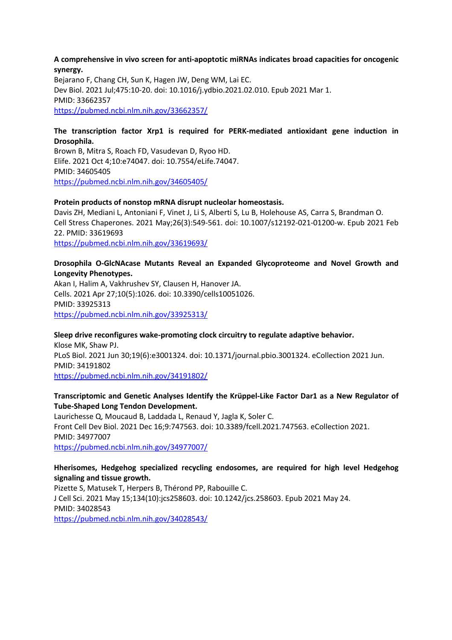#### **A comprehensive in vivo screen for anti-apoptotic miRNAs indicates broad capacities for oncogenic synergy.**

Bejarano F, Chang CH, Sun K, Hagen JW, Deng WM, Lai EC. Dev Biol. 2021 Jul;475:10-20. doi: 10.1016/j.ydbio.2021.02.010. Epub 2021 Mar 1. PMID: 33662357 https://pubmed.ncbi.nlm.nih.gov/33662357/

#### **The transcription factor Xrp1 is required for PERK-mediated antioxidant gene induction in Drosophila.**

Brown B, Mitra S, Roach FD, Vasudevan D, Ryoo HD. Elife. 2021 Oct 4;10:e74047. doi: 10.7554/eLife.74047. PMID: 34605405 https://pubmed.ncbi.nlm.nih.gov/34605405/

#### **Protein products of nonstop mRNA disrupt nucleolar homeostasis.**

Davis ZH, Mediani L, Antoniani F, Vinet J, Li S, Alberti S, Lu B, Holehouse AS, Carra S, Brandman O. Cell Stress Chaperones. 2021 May;26(3):549-561. doi: 10.1007/s12192-021-01200-w. Epub 2021 Feb 22. PMID: 33619693 https://pubmed.ncbi.nlm.nih.gov/33619693/

#### **Drosophila O-GlcNAcase Mutants Reveal an Expanded Glycoproteome and Novel Growth and Longevity Phenotypes.**

Akan I, Halim A, Vakhrushev SY, Clausen H, Hanover JA. Cells. 2021 Apr 27;10(5):1026. doi: 10.3390/cells10051026. PMID: 33925313 https://pubmed.ncbi.nlm.nih.gov/33925313/

#### **Sleep drive reconfigures wake-promoting clock circuitry to regulate adaptive behavior.** Klose MK, Shaw PJ. PLoS Biol. 2021 Jun 30;19(6):e3001324. doi: 10.1371/journal.pbio.3001324. eCollection 2021 Jun. PMID: 34191802 https://pubmed.ncbi.nlm.nih.gov/34191802/

#### **Transcriptomic and Genetic Analyses Identify the Krüppel-Like Factor Dar1 as a New Regulator of Tube-Shaped Long Tendon Development.**

Laurichesse Q, Moucaud B, Laddada L, Renaud Y, Jagla K, Soler C. Front Cell Dev Biol. 2021 Dec 16;9:747563. doi: 10.3389/fcell.2021.747563. eCollection 2021. PMID: 34977007 https://pubmed.ncbi.nlm.nih.gov/34977007/

### **Hherisomes, Hedgehog specialized recycling endosomes, are required for high level Hedgehog signaling and tissue growth.**

Pizette S, Matusek T, Herpers B, Thérond PP, Rabouille C. J Cell Sci. 2021 May 15;134(10):jcs258603. doi: 10.1242/jcs.258603. Epub 2021 May 24. PMID: 34028543 https://pubmed.ncbi.nlm.nih.gov/34028543/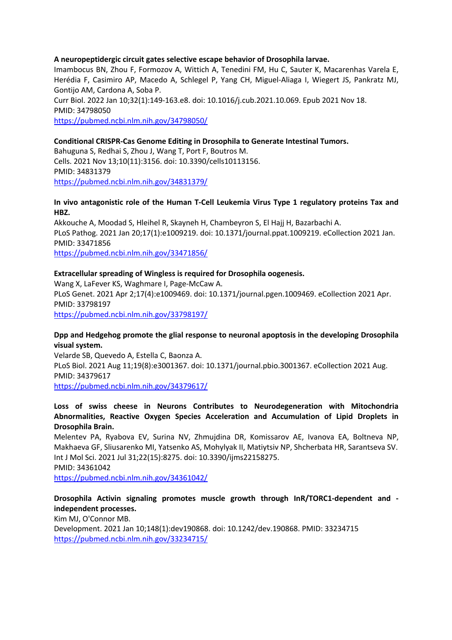#### **A neuropeptidergic circuit gates selective escape behavior of Drosophila larvae.**

Imambocus BN, Zhou F, Formozov A, Wittich A, Tenedini FM, Hu C, Sauter K, Macarenhas Varela E, Herédia F, Casimiro AP, Macedo A, Schlegel P, Yang CH, Miguel-Aliaga I, Wiegert JS, Pankratz MJ, Gontijo AM, Cardona A, Soba P.

Curr Biol. 2022 Jan 10;32(1):149-163.e8. doi: 10.1016/j.cub.2021.10.069. Epub 2021 Nov 18. PMID: 34798050 https://pubmed.ncbi.nlm.nih.gov/34798050/

#### **Conditional CRISPR-Cas Genome Editing in Drosophila to Generate Intestinal Tumors.**

Bahuguna S, Redhai S, Zhou J, Wang T, Port F, Boutros M. Cells. 2021 Nov 13;10(11):3156. doi: 10.3390/cells10113156. PMID: 34831379 https://pubmed.ncbi.nlm.nih.gov/34831379/

#### **In vivo antagonistic role of the Human T-Cell Leukemia Virus Type 1 regulatory proteins Tax and HBZ.**

Akkouche A, Moodad S, Hleihel R, Skayneh H, Chambeyron S, El Hajj H, Bazarbachi A. PLoS Pathog. 2021 Jan 20;17(1):e1009219. doi: 10.1371/journal.ppat.1009219. eCollection 2021 Jan. PMID: 33471856 https://pubmed.ncbi.nlm.nih.gov/33471856/

#### **Extracellular spreading of Wingless is required for Drosophila oogenesis.**

Wang X, LaFever KS, Waghmare I, Page-McCaw A. PLoS Genet. 2021 Apr 2;17(4):e1009469. doi: 10.1371/journal.pgen.1009469. eCollection 2021 Apr. PMID: 33798197 https://pubmed.ncbi.nlm.nih.gov/33798197/

#### **Dpp and Hedgehog promote the glial response to neuronal apoptosis in the developing Drosophila visual system.**

Velarde SB, Quevedo A, Estella C, Baonza A. PLoS Biol. 2021 Aug 11;19(8):e3001367. doi: 10.1371/journal.pbio.3001367. eCollection 2021 Aug. PMID: 34379617 https://pubmed.ncbi.nlm.nih.gov/34379617/

#### **Loss of swiss cheese in Neurons Contributes to Neurodegeneration with Mitochondria Abnormalities, Reactive Oxygen Species Acceleration and Accumulation of Lipid Droplets in Drosophila Brain.**

Melentev PA, Ryabova EV, Surina NV, Zhmujdina DR, Komissarov AE, Ivanova EA, Boltneva NP, Makhaeva GF, Sliusarenko MI, Yatsenko AS, Mohylyak II, Matiytsiv NP, Shcherbata HR, Sarantseva SV. Int J Mol Sci. 2021 Jul 31;22(15):8275. doi: 10.3390/ijms22158275.

PMID: 34361042

https://pubmed.ncbi.nlm.nih.gov/34361042/

#### **Drosophila Activin signaling promotes muscle growth through InR/TORC1-dependent and independent processes.**

Kim MJ, O'Connor MB.

Development. 2021 Jan 10;148(1):dev190868. doi: 10.1242/dev.190868. PMID: 33234715 https://pubmed.ncbi.nlm.nih.gov/33234715/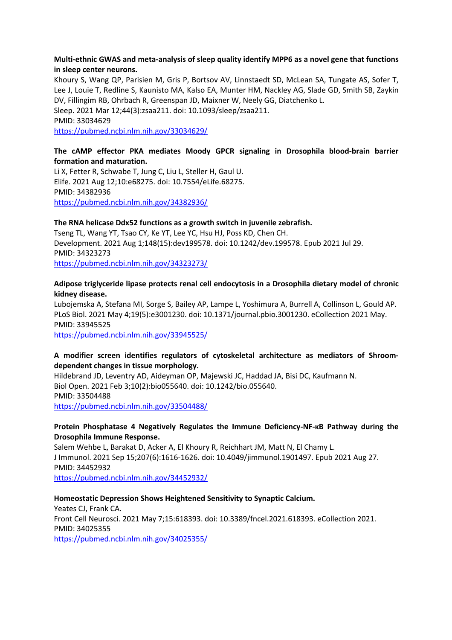#### **Multi-ethnic GWAS and meta-analysis of sleep quality identify MPP6 as a novel gene that functions in sleep center neurons.**

Khoury S, Wang QP, Parisien M, Gris P, Bortsov AV, Linnstaedt SD, McLean SA, Tungate AS, Sofer T, Lee J, Louie T, Redline S, Kaunisto MA, Kalso EA, Munter HM, Nackley AG, Slade GD, Smith SB, Zaykin DV, Fillingim RB, Ohrbach R, Greenspan JD, Maixner W, Neely GG, Diatchenko L. Sleep. 2021 Mar 12;44(3):zsaa211. doi: 10.1093/sleep/zsaa211.

PMID: 33034629

https://pubmed.ncbi.nlm.nih.gov/33034629/

#### **The cAMP effector PKA mediates Moody GPCR signaling in Drosophila blood-brain barrier formation and maturation.**

Li X, Fetter R, Schwabe T, Jung C, Liu L, Steller H, Gaul U. Elife. 2021 Aug 12;10:e68275. doi: 10.7554/eLife.68275. PMID: 34382936 https://pubmed.ncbi.nlm.nih.gov/34382936/

#### **The RNA helicase Ddx52 functions as a growth switch in juvenile zebrafish.**

Tseng TL, Wang YT, Tsao CY, Ke YT, Lee YC, Hsu HJ, Poss KD, Chen CH. Development. 2021 Aug 1;148(15):dev199578. doi: 10.1242/dev.199578. Epub 2021 Jul 29. PMID: 34323273

https://pubmed.ncbi.nlm.nih.gov/34323273/

#### **Adipose triglyceride lipase protects renal cell endocytosis in a Drosophila dietary model of chronic kidney disease.**

Lubojemska A, Stefana MI, Sorge S, Bailey AP, Lampe L, Yoshimura A, Burrell A, Collinson L, Gould AP. PLoS Biol. 2021 May 4;19(5):e3001230. doi: 10.1371/journal.pbio.3001230. eCollection 2021 May. PMID: 33945525

https://pubmed.ncbi.nlm.nih.gov/33945525/

### **A modifier screen identifies regulators of cytoskeletal architecture as mediators of Shroomdependent changes in tissue morphology.**

Hildebrand JD, Leventry AD, Aideyman OP, Majewski JC, Haddad JA, Bisi DC, Kaufmann N. Biol Open. 2021 Feb 3;10(2):bio055640. doi: 10.1242/bio.055640. PMID: 33504488 https://pubmed.ncbi.nlm.nih.gov/33504488/

#### **Protein Phosphatase 4 Negatively Regulates the Immune Deficiency-NF-κB Pathway during the Drosophila Immune Response.**

Salem Wehbe L, Barakat D, Acker A, El Khoury R, Reichhart JM, Matt N, El Chamy L. J Immunol. 2021 Sep 15;207(6):1616-1626. doi: 10.4049/jimmunol.1901497. Epub 2021 Aug 27. PMID: 34452932

https://pubmed.ncbi.nlm.nih.gov/34452932/

### **Homeostatic Depression Shows Heightened Sensitivity to Synaptic Calcium.**

Yeates CJ, Frank CA. Front Cell Neurosci. 2021 May 7;15:618393. doi: 10.3389/fncel.2021.618393. eCollection 2021. PMID: 34025355 https://pubmed.ncbi.nlm.nih.gov/34025355/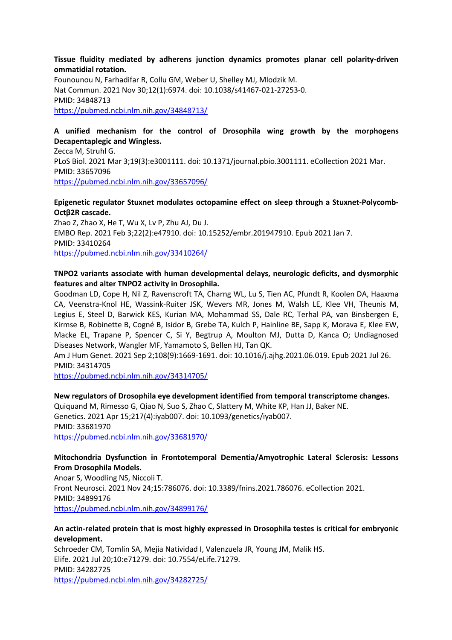#### **Tissue fluidity mediated by adherens junction dynamics promotes planar cell polarity-driven ommatidial rotation.**

Founounou N, Farhadifar R, Collu GM, Weber U, Shelley MJ, Mlodzik M. Nat Commun. 2021 Nov 30;12(1):6974. doi: 10.1038/s41467-021-27253-0. PMID: 34848713 https://pubmed.ncbi.nlm.nih.gov/34848713/

### **A unified mechanism for the control of Drosophila wing growth by the morphogens Decapentaplegic and Wingless.**

Zecca M, Struhl G. PLoS Biol. 2021 Mar 3;19(3):e3001111. doi: 10.1371/journal.pbio.3001111. eCollection 2021 Mar. PMID: 33657096 https://pubmed.ncbi.nlm.nih.gov/33657096/

#### **Epigenetic regulator Stuxnet modulates octopamine effect on sleep through a Stuxnet-Polycomb-Octβ2R cascade.**

Zhao Z, Zhao X, He T, Wu X, Lv P, Zhu AJ, Du J. EMBO Rep. 2021 Feb 3;22(2):e47910. doi: 10.15252/embr.201947910. Epub 2021 Jan 7. PMID: 33410264 https://pubmed.ncbi.nlm.nih.gov/33410264/

#### **TNPO2 variants associate with human developmental delays, neurologic deficits, and dysmorphic features and alter TNPO2 activity in Drosophila.**

Goodman LD, Cope H, Nil Z, Ravenscroft TA, Charng WL, Lu S, Tien AC, Pfundt R, Koolen DA, Haaxma CA, Veenstra-Knol HE, Wassink-Ruiter JSK, Wevers MR, Jones M, Walsh LE, Klee VH, Theunis M, Legius E, Steel D, Barwick KES, Kurian MA, Mohammad SS, Dale RC, Terhal PA, van Binsbergen E, Kirmse B, Robinette B, Cogné B, Isidor B, Grebe TA, Kulch P, Hainline BE, Sapp K, Morava E, Klee EW, Macke EL, Trapane P, Spencer C, Si Y, Begtrup A, Moulton MJ, Dutta D, Kanca O; Undiagnosed Diseases Network, Wangler MF, Yamamoto S, Bellen HJ, Tan QK.

Am J Hum Genet. 2021 Sep 2;108(9):1669-1691. doi: 10.1016/j.ajhg.2021.06.019. Epub 2021 Jul 26. PMID: 34314705

https://pubmed.ncbi.nlm.nih.gov/34314705/

#### **New regulators of Drosophila eye development identified from temporal transcriptome changes.**

Quiquand M, Rimesso G, Qiao N, Suo S, Zhao C, Slattery M, White KP, Han JJ, Baker NE. Genetics. 2021 Apr 15;217(4):iyab007. doi: 10.1093/genetics/iyab007. PMID: 33681970 https://pubmed.ncbi.nlm.nih.gov/33681970/

#### **Mitochondria Dysfunction in Frontotemporal Dementia/Amyotrophic Lateral Sclerosis: Lessons From Drosophila Models.**

Anoar S, Woodling NS, Niccoli T. Front Neurosci. 2021 Nov 24;15:786076. doi: 10.3389/fnins.2021.786076. eCollection 2021. PMID: 34899176 https://pubmed.ncbi.nlm.nih.gov/34899176/

#### **An actin-related protein that is most highly expressed in Drosophila testes is critical for embryonic development.**

Schroeder CM, Tomlin SA, Mejia Natividad I, Valenzuela JR, Young JM, Malik HS. Elife. 2021 Jul 20;10:e71279. doi: 10.7554/eLife.71279. PMID: 34282725 https://pubmed.ncbi.nlm.nih.gov/34282725/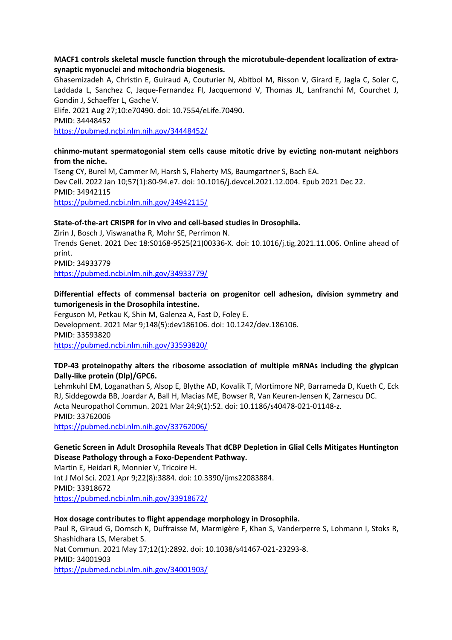#### **MACF1 controls skeletal muscle function through the microtubule-dependent localization of extrasynaptic myonuclei and mitochondria biogenesis.**

Ghasemizadeh A, Christin E, Guiraud A, Couturier N, Abitbol M, Risson V, Girard E, Jagla C, Soler C, Laddada L, Sanchez C, Jaque-Fernandez FI, Jacquemond V, Thomas JL, Lanfranchi M, Courchet J, Gondin J, Schaeffer L, Gache V.

Elife. 2021 Aug 27;10:e70490. doi: 10.7554/eLife.70490. PMID: 34448452 https://pubmed.ncbi.nlm.nih.gov/34448452/

#### **chinmo-mutant spermatogonial stem cells cause mitotic drive by evicting non-mutant neighbors from the niche.**

Tseng CY, Burel M, Cammer M, Harsh S, Flaherty MS, Baumgartner S, Bach EA. Dev Cell. 2022 Jan 10;57(1):80-94.e7. doi: 10.1016/j.devcel.2021.12.004. Epub 2021 Dec 22. PMID: 34942115 https://pubmed.ncbi.nlm.nih.gov/34942115/

#### **State-of-the-art CRISPR for in vivo and cell-based studies in Drosophila.**

Zirin J, Bosch J, Viswanatha R, Mohr SE, Perrimon N. Trends Genet. 2021 Dec 18:S0168-9525(21)00336-X. doi: 10.1016/j.tig.2021.11.006. Online ahead of print. PMID: 34933779

https://pubmed.ncbi.nlm.nih.gov/34933779/

### **Differential effects of commensal bacteria on progenitor cell adhesion, division symmetry and tumorigenesis in the Drosophila intestine.**

Ferguson M, Petkau K, Shin M, Galenza A, Fast D, Foley E. Development. 2021 Mar 9;148(5):dev186106. doi: 10.1242/dev.186106. PMID: 33593820 https://pubmed.ncbi.nlm.nih.gov/33593820/

### **TDP-43 proteinopathy alters the ribosome association of multiple mRNAs including the glypican Dally-like protein (Dlp)/GPC6.**

Lehmkuhl EM, Loganathan S, Alsop E, Blythe AD, Kovalik T, Mortimore NP, Barrameda D, Kueth C, Eck RJ, Siddegowda BB, Joardar A, Ball H, Macias ME, Bowser R, Van Keuren-Jensen K, Zarnescu DC. Acta Neuropathol Commun. 2021 Mar 24;9(1):52. doi: 10.1186/s40478-021-01148-z. PMID: 33762006

https://pubmed.ncbi.nlm.nih.gov/33762006/

# **Genetic Screen in Adult Drosophila Reveals That dCBP Depletion in Glial Cells Mitigates Huntington Disease Pathology through a Foxo-Dependent Pathway.**

Martin E, Heidari R, Monnier V, Tricoire H. Int J Mol Sci. 2021 Apr 9;22(8):3884. doi: 10.3390/ijms22083884. PMID: 33918672 https://pubmed.ncbi.nlm.nih.gov/33918672/

#### **Hox dosage contributes to flight appendage morphology in Drosophila.**

Paul R, Giraud G, Domsch K, Duffraisse M, Marmigère F, Khan S, Vanderperre S, Lohmann I, Stoks R, Shashidhara LS, Merabet S. Nat Commun. 2021 May 17;12(1):2892. doi: 10.1038/s41467-021-23293-8. PMID: 34001903 https://pubmed.ncbi.nlm.nih.gov/34001903/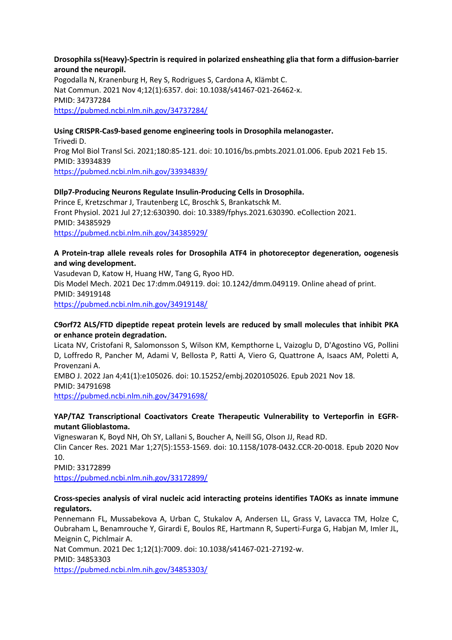#### **Drosophila ss(Heavy)-Spectrin is required in polarized ensheathing glia that form a diffusion-barrier around the neuropil.**

Pogodalla N, Kranenburg H, Rey S, Rodrigues S, Cardona A, Klämbt C. Nat Commun. 2021 Nov 4;12(1):6357. doi: 10.1038/s41467-021-26462-x. PMID: 34737284 https://pubmed.ncbi.nlm.nih.gov/34737284/

#### **Using CRISPR-Cas9-based genome engineering tools in Drosophila melanogaster.**

Trivedi D. Prog Mol Biol Transl Sci. 2021;180:85-121. doi: 10.1016/bs.pmbts.2021.01.006. Epub 2021 Feb 15. PMID: 33934839 https://pubmed.ncbi.nlm.nih.gov/33934839/

#### **DIlp7-Producing Neurons Regulate Insulin-Producing Cells in Drosophila.**

Prince E, Kretzschmar J, Trautenberg LC, Broschk S, Brankatschk M. Front Physiol. 2021 Jul 27;12:630390. doi: 10.3389/fphys.2021.630390. eCollection 2021. PMID: 34385929 https://pubmed.ncbi.nlm.nih.gov/34385929/

#### **A Protein-trap allele reveals roles for Drosophila ATF4 in photoreceptor degeneration, oogenesis and wing development.**

Vasudevan D, Katow H, Huang HW, Tang G, Ryoo HD. Dis Model Mech. 2021 Dec 17:dmm.049119. doi: 10.1242/dmm.049119. Online ahead of print. PMID: 34919148 https://pubmed.ncbi.nlm.nih.gov/34919148/

#### **C9orf72 ALS/FTD dipeptide repeat protein levels are reduced by small molecules that inhibit PKA or enhance protein degradation.**

Licata NV, Cristofani R, Salomonsson S, Wilson KM, Kempthorne L, Vaizoglu D, D'Agostino VG, Pollini D, Loffredo R, Pancher M, Adami V, Bellosta P, Ratti A, Viero G, Quattrone A, Isaacs AM, Poletti A, Provenzani A.

EMBO J. 2022 Jan 4;41(1):e105026. doi: 10.15252/embj.2020105026. Epub 2021 Nov 18. PMID: 34791698

https://pubmed.ncbi.nlm.nih.gov/34791698/

### **YAP/TAZ Transcriptional Coactivators Create Therapeutic Vulnerability to Verteporfin in EGFRmutant Glioblastoma.**

Vigneswaran K, Boyd NH, Oh SY, Lallani S, Boucher A, Neill SG, Olson JJ, Read RD.

Clin Cancer Res. 2021 Mar 1;27(5):1553-1569. doi: 10.1158/1078-0432.CCR-20-0018. Epub 2020 Nov 10.

PMID: 33172899

https://pubmed.ncbi.nlm.nih.gov/33172899/

#### **Cross-species analysis of viral nucleic acid interacting proteins identifies TAOKs as innate immune regulators.**

Pennemann FL, Mussabekova A, Urban C, Stukalov A, Andersen LL, Grass V, Lavacca TM, Holze C, Oubraham L, Benamrouche Y, Girardi E, Boulos RE, Hartmann R, Superti-Furga G, Habjan M, Imler JL, Meignin C, Pichlmair A.

Nat Commun. 2021 Dec 1;12(1):7009. doi: 10.1038/s41467-021-27192-w. PMID: 34853303 https://pubmed.ncbi.nlm.nih.gov/34853303/